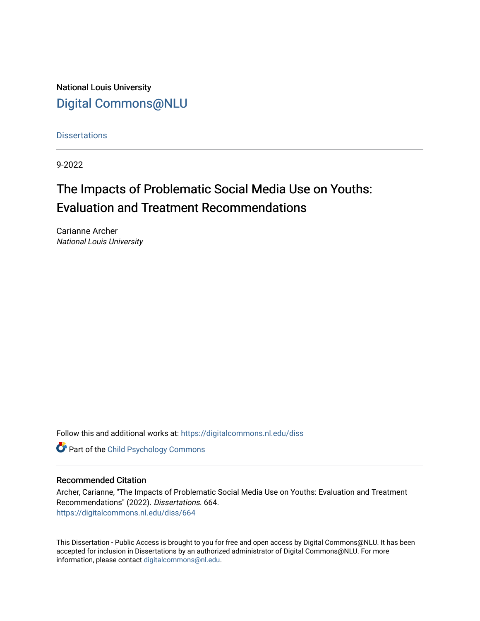National Louis University [Digital Commons@NLU](https://digitalcommons.nl.edu/)

**Dissertations** 

9-2022

# The Impacts of Problematic Social Media Use on Youths: Evaluation and Treatment Recommendations

Carianne Archer National Louis University

Follow this and additional works at: [https://digitalcommons.nl.edu/diss](https://digitalcommons.nl.edu/diss?utm_source=digitalcommons.nl.edu%2Fdiss%2F664&utm_medium=PDF&utm_campaign=PDFCoverPages) 

**Part of the Child Psychology Commons** 

#### Recommended Citation

Archer, Carianne, "The Impacts of Problematic Social Media Use on Youths: Evaluation and Treatment Recommendations" (2022). Dissertations. 664. [https://digitalcommons.nl.edu/diss/664](https://digitalcommons.nl.edu/diss/664?utm_source=digitalcommons.nl.edu%2Fdiss%2F664&utm_medium=PDF&utm_campaign=PDFCoverPages) 

This Dissertation - Public Access is brought to you for free and open access by Digital Commons@NLU. It has been accepted for inclusion in Dissertations by an authorized administrator of Digital Commons@NLU. For more information, please contact [digitalcommons@nl.edu.](mailto:digitalcommons@nl.edu)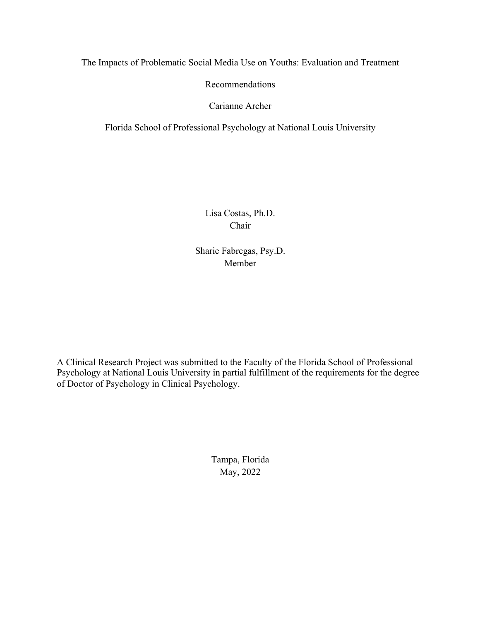The Impacts of Problematic Social Media Use on Youths: Evaluation and Treatment

Recommendations

Carianne Archer

Florida School of Professional Psychology at National Louis University

Lisa Costas, Ph.D. Chair

Sharie Fabregas, Psy.D. Member

A Clinical Research Project was submitted to the Faculty of the Florida School of Professional Psychology at National Louis University in partial fulfillment of the requirements for the degree of Doctor of Psychology in Clinical Psychology.

> Tampa, Florida May, 2022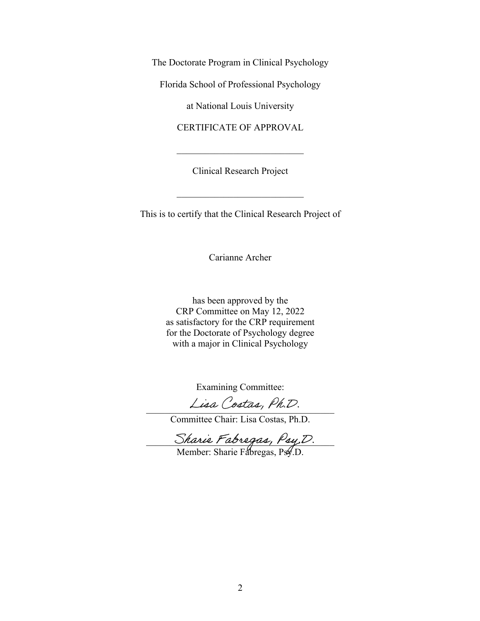The Doctorate Program in Clinical Psychology

Florida School of Professional Psychology

at National Louis University

CERTIFICATE OF APPROVAL

Clinical Research Project

This is to certify that the Clinical Research Project of

Carianne Archer

has been approved by the CRP Committee on May 12, 2022 as satisfactory for the CRP requirement for the Doctorate of Psychology degree with a major in Clinical Psychology

Examining Committee:

Lisa Costas, Ph.D.

Committee Chair: Lisa Costas, Ph.D.

Sharie Fabregas, Psy,D.

Member: Sharie Fabregas, Psy.D.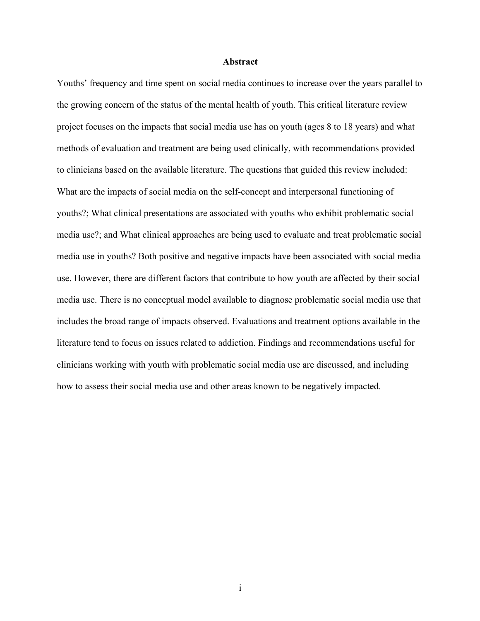#### **Abstract**

Youths' frequency and time spent on social media continues to increase over the years parallel to the growing concern of the status of the mental health of youth. This critical literature review project focuses on the impacts that social media use has on youth (ages 8 to 18 years) and what methods of evaluation and treatment are being used clinically, with recommendations provided to clinicians based on the available literature. The questions that guided this review included: What are the impacts of social media on the self-concept and interpersonal functioning of youths?; What clinical presentations are associated with youths who exhibit problematic social media use?; and What clinical approaches are being used to evaluate and treat problematic social media use in youths? Both positive and negative impacts have been associated with social media use. However, there are different factors that contribute to how youth are affected by their social media use. There is no conceptual model available to diagnose problematic social media use that includes the broad range of impacts observed. Evaluations and treatment options available in the literature tend to focus on issues related to addiction. Findings and recommendations useful for clinicians working with youth with problematic social media use are discussed, and including how to assess their social media use and other areas known to be negatively impacted.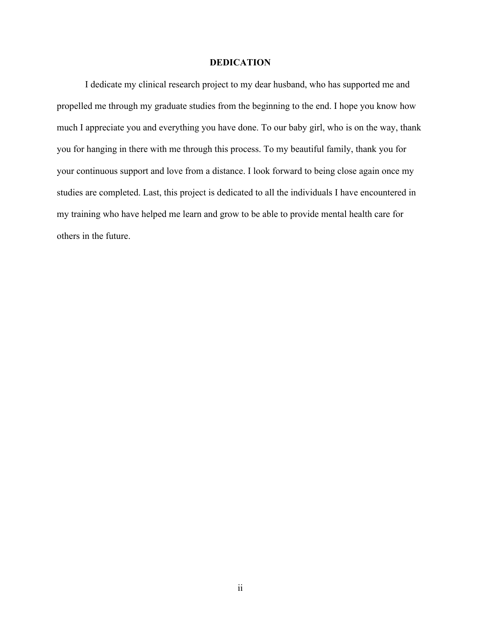#### **DEDICATION**

I dedicate my clinical research project to my dear husband, who has supported me and propelled me through my graduate studies from the beginning to the end. I hope you know how much I appreciate you and everything you have done. To our baby girl, who is on the way, thank you for hanging in there with me through this process. To my beautiful family, thank you for your continuous support and love from a distance. I look forward to being close again once my studies are completed. Last, this project is dedicated to all the individuals I have encountered in my training who have helped me learn and grow to be able to provide mental health care for others in the future.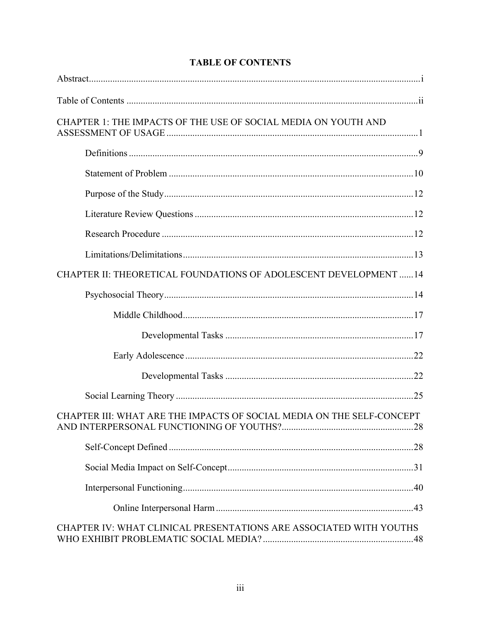| CHAPTER 1: THE IMPACTS OF THE USE OF SOCIAL MEDIA ON YOUTH AND        |
|-----------------------------------------------------------------------|
|                                                                       |
|                                                                       |
|                                                                       |
|                                                                       |
|                                                                       |
|                                                                       |
| CHAPTER II: THEORETICAL FOUNDATIONS OF ADOLESCENT DEVELOPMENT  14     |
|                                                                       |
|                                                                       |
|                                                                       |
|                                                                       |
|                                                                       |
|                                                                       |
| CHAPTER III: WHAT ARE THE IMPACTS OF SOCIAL MEDIA ON THE SELF-CONCEPT |
|                                                                       |
|                                                                       |
|                                                                       |
|                                                                       |
| CHAPTER IV: WHAT CLINICAL PRESENTATIONS ARE ASSOCIATED WITH YOUTHS    |

# **TABLE OF CONTENTS**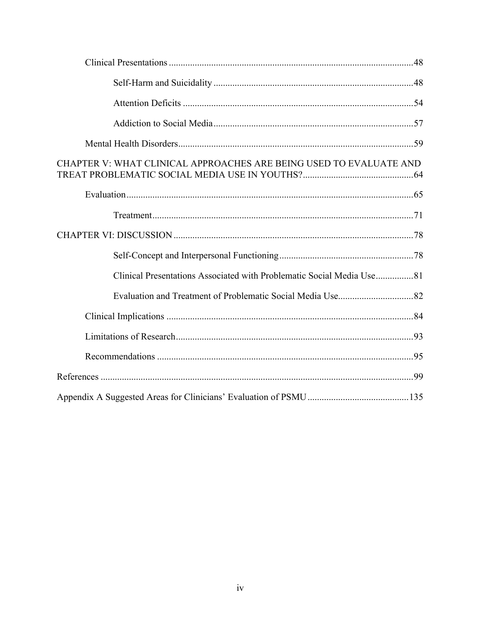| CHAPTER V: WHAT CLINICAL APPROACHES ARE BEING USED TO EVALUATE AND |
|--------------------------------------------------------------------|
|                                                                    |
|                                                                    |
|                                                                    |
|                                                                    |
|                                                                    |
|                                                                    |
|                                                                    |
|                                                                    |
|                                                                    |
|                                                                    |
|                                                                    |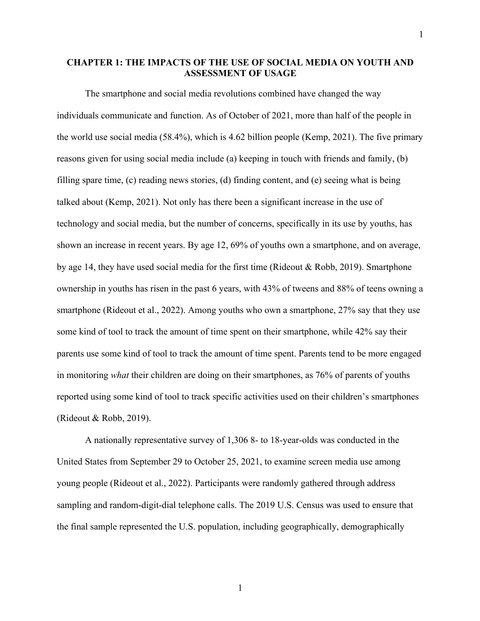# **CHAPTER 1: THE IMPACTS OF THE USE OF SOCIAL MEDIA ON YOUTH AND ASSESSMENT OF USAGE**

The smartphone and social media revolutions combined have changed the way individuals communicate and function. As of October of 2021, more than half of the people in the world use social media (58.4%), which is 4.62 billion people (Kemp, 2021). The five primary reasons given for using social media include (a) keeping in touch with friends and family, (b) filling spare time, (c) reading news stories, (d) finding content, and (e) seeing what is being talked about (Kemp, 2021). Not only has there been a significant increase in the use of technology and social media, but the number of concerns, specifically in its use by youths, has shown an increase in recent years. By age 12, 69% of youths own a smartphone, and on average, by age 14, they have used social media for the first time (Rideout & Robb, 2019). Smartphone ownership in youths has risen in the past 6 years, with 43% of tweens and 88% of teens owning a smartphone (Rideout et al., 2022). Among youths who own a smartphone, 27% say that they use some kind of tool to track the amount of time spent on their smartphone, while 42% say their parents use some kind of tool to track the amount of time spent. Parents tend to be more engaged in monitoring *what* their children are doing on their smartphones, as 76% of parents of youths reported using some kind of tool to track specific activities used on their children's smartphones (Rideout & Robb, 2019).

A nationally representative survey of 1,306 8- to 18-year-olds was conducted in the United States from September 29 to October 25, 2021, to examine screen media use among young people (Rideout et al., 2022). Participants were randomly gathered through address sampling and random-digit-dial telephone calls. The 2019 U.S. Census was used to ensure that the final sample represented the U.S. population, including geographically, demographically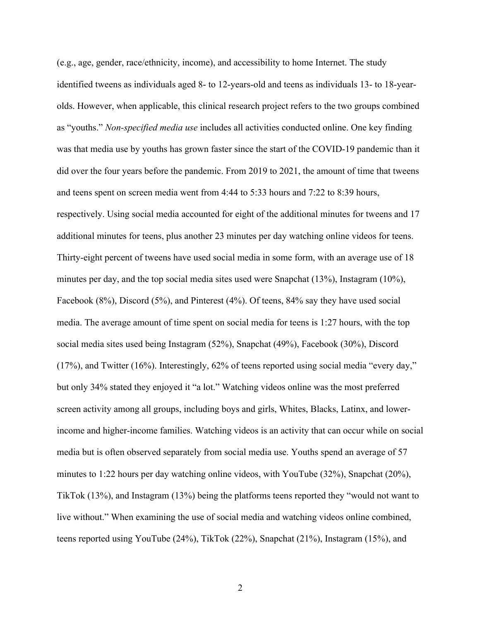(e.g., age, gender, race/ethnicity, income), and accessibility to home Internet. The study identified tweens as individuals aged 8- to 12-years-old and teens as individuals 13- to 18-yearolds. However, when applicable, this clinical research project refers to the two groups combined as "youths." *Non-specified media use* includes all activities conducted online. One key finding was that media use by youths has grown faster since the start of the COVID-19 pandemic than it did over the four years before the pandemic. From 2019 to 2021, the amount of time that tweens and teens spent on screen media went from 4:44 to 5:33 hours and 7:22 to 8:39 hours, respectively. Using social media accounted for eight of the additional minutes for tweens and 17 additional minutes for teens, plus another 23 minutes per day watching online videos for teens. Thirty-eight percent of tweens have used social media in some form, with an average use of 18 minutes per day, and the top social media sites used were Snapchat (13%), Instagram (10%), Facebook (8%), Discord (5%), and Pinterest (4%). Of teens, 84% say they have used social media. The average amount of time spent on social media for teens is 1:27 hours, with the top social media sites used being Instagram (52%), Snapchat (49%), Facebook (30%), Discord (17%), and Twitter (16%). Interestingly, 62% of teens reported using social media "every day," but only 34% stated they enjoyed it "a lot." Watching videos online was the most preferred screen activity among all groups, including boys and girls, Whites, Blacks, Latinx, and lowerincome and higher-income families. Watching videos is an activity that can occur while on social media but is often observed separately from social media use. Youths spend an average of 57 minutes to 1:22 hours per day watching online videos, with YouTube (32%), Snapchat (20%), TikTok (13%), and Instagram (13%) being the platforms teens reported they "would not want to live without." When examining the use of social media and watching videos online combined, teens reported using YouTube (24%), TikTok (22%), Snapchat (21%), Instagram (15%), and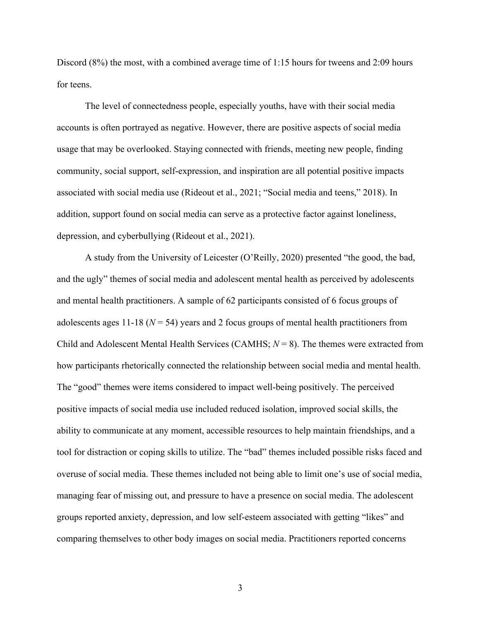Discord (8%) the most, with a combined average time of 1:15 hours for tweens and 2:09 hours for teens.

The level of connectedness people, especially youths, have with their social media accounts is often portrayed as negative. However, there are positive aspects of social media usage that may be overlooked. Staying connected with friends, meeting new people, finding community, social support, self-expression, and inspiration are all potential positive impacts associated with social media use (Rideout et al., 2021; "Social media and teens," 2018). In addition, support found on social media can serve as a protective factor against loneliness, depression, and cyberbullying (Rideout et al., 2021).

A study from the University of Leicester (O'Reilly, 2020) presented "the good, the bad, and the ugly" themes of social media and adolescent mental health as perceived by adolescents and mental health practitioners. A sample of 62 participants consisted of 6 focus groups of adolescents ages 11-18 ( $N = 54$ ) years and 2 focus groups of mental health practitioners from Child and Adolescent Mental Health Services (CAMHS;  $N = 8$ ). The themes were extracted from how participants rhetorically connected the relationship between social media and mental health. The "good" themes were items considered to impact well-being positively. The perceived positive impacts of social media use included reduced isolation, improved social skills, the ability to communicate at any moment, accessible resources to help maintain friendships, and a tool for distraction or coping skills to utilize. The "bad" themes included possible risks faced and overuse of social media. These themes included not being able to limit one's use of social media, managing fear of missing out, and pressure to have a presence on social media. The adolescent groups reported anxiety, depression, and low self-esteem associated with getting "likes" and comparing themselves to other body images on social media. Practitioners reported concerns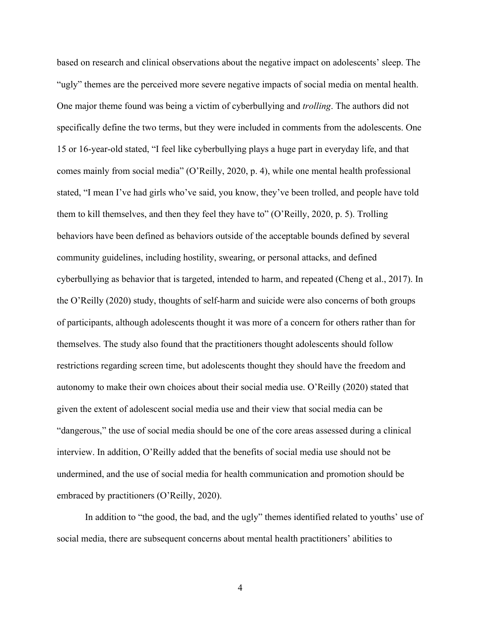based on research and clinical observations about the negative impact on adolescents' sleep. The "ugly" themes are the perceived more severe negative impacts of social media on mental health. One major theme found was being a victim of cyberbullying and *trolling*. The authors did not specifically define the two terms, but they were included in comments from the adolescents. One 15 or 16-year-old stated, "I feel like cyberbullying plays a huge part in everyday life, and that comes mainly from social media" (O'Reilly, 2020, p. 4), while one mental health professional stated, "I mean I've had girls who've said, you know, they've been trolled, and people have told them to kill themselves, and then they feel they have to" (O'Reilly, 2020, p. 5). Trolling behaviors have been defined as behaviors outside of the acceptable bounds defined by several community guidelines, including hostility, swearing, or personal attacks, and defined cyberbullying as behavior that is targeted, intended to harm, and repeated (Cheng et al., 2017). In the O'Reilly (2020) study, thoughts of self-harm and suicide were also concerns of both groups of participants, although adolescents thought it was more of a concern for others rather than for themselves. The study also found that the practitioners thought adolescents should follow restrictions regarding screen time, but adolescents thought they should have the freedom and autonomy to make their own choices about their social media use. O'Reilly (2020) stated that given the extent of adolescent social media use and their view that social media can be "dangerous," the use of social media should be one of the core areas assessed during a clinical interview. In addition, O'Reilly added that the benefits of social media use should not be undermined, and the use of social media for health communication and promotion should be embraced by practitioners (O'Reilly, 2020).

In addition to "the good, the bad, and the ugly" themes identified related to youths' use of social media, there are subsequent concerns about mental health practitioners' abilities to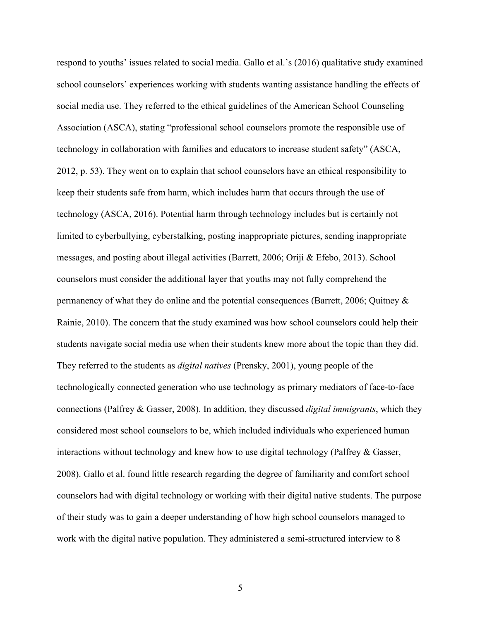respond to youths' issues related to social media. Gallo et al.'s (2016) qualitative study examined school counselors' experiences working with students wanting assistance handling the effects of social media use. They referred to the ethical guidelines of the American School Counseling Association (ASCA), stating "professional school counselors promote the responsible use of technology in collaboration with families and educators to increase student safety" (ASCA, 2012, p. 53). They went on to explain that school counselors have an ethical responsibility to keep their students safe from harm, which includes harm that occurs through the use of technology (ASCA, 2016). Potential harm through technology includes but is certainly not limited to cyberbullying, cyberstalking, posting inappropriate pictures, sending inappropriate messages, and posting about illegal activities (Barrett, 2006; Oriji & Efebo, 2013). School counselors must consider the additional layer that youths may not fully comprehend the permanency of what they do online and the potential consequences (Barrett, 2006; Quitney & Rainie, 2010). The concern that the study examined was how school counselors could help their students navigate social media use when their students knew more about the topic than they did. They referred to the students as *digital natives* (Prensky, 2001), young people of the technologically connected generation who use technology as primary mediators of face-to-face connections (Palfrey & Gasser, 2008). In addition, they discussed *digital immigrants*, which they considered most school counselors to be, which included individuals who experienced human interactions without technology and knew how to use digital technology (Palfrey & Gasser, 2008). Gallo et al. found little research regarding the degree of familiarity and comfort school counselors had with digital technology or working with their digital native students. The purpose of their study was to gain a deeper understanding of how high school counselors managed to work with the digital native population. They administered a semi-structured interview to 8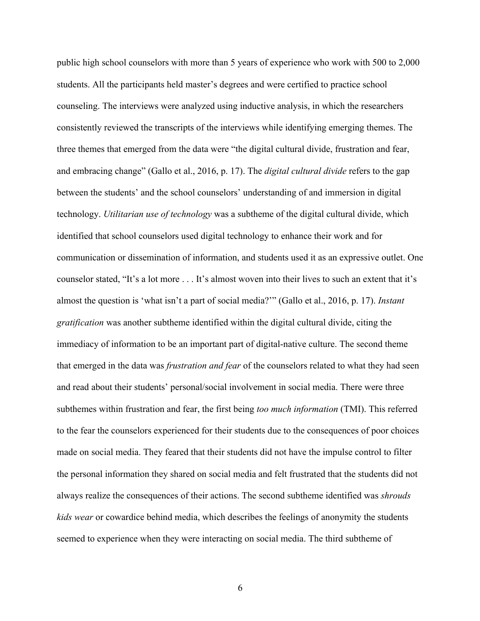public high school counselors with more than 5 years of experience who work with 500 to 2,000 students. All the participants held master's degrees and were certified to practice school counseling. The interviews were analyzed using inductive analysis, in which the researchers consistently reviewed the transcripts of the interviews while identifying emerging themes. The three themes that emerged from the data were "the digital cultural divide, frustration and fear, and embracing change" (Gallo et al., 2016, p. 17). The *digital cultural divide* refers to the gap between the students' and the school counselors' understanding of and immersion in digital technology. *Utilitarian use of technology* was a subtheme of the digital cultural divide, which identified that school counselors used digital technology to enhance their work and for communication or dissemination of information, and students used it as an expressive outlet. One counselor stated, "It's a lot more . . . It's almost woven into their lives to such an extent that it's almost the question is 'what isn't a part of social media?'" (Gallo et al., 2016, p. 17). *Instant gratification* was another subtheme identified within the digital cultural divide, citing the immediacy of information to be an important part of digital-native culture. The second theme that emerged in the data was *frustration and fear* of the counselors related to what they had seen and read about their students' personal/social involvement in social media. There were three subthemes within frustration and fear, the first being *too much information* (TMI). This referred to the fear the counselors experienced for their students due to the consequences of poor choices made on social media. They feared that their students did not have the impulse control to filter the personal information they shared on social media and felt frustrated that the students did not always realize the consequences of their actions. The second subtheme identified was *shrouds kids wear* or cowardice behind media, which describes the feelings of anonymity the students seemed to experience when they were interacting on social media. The third subtheme of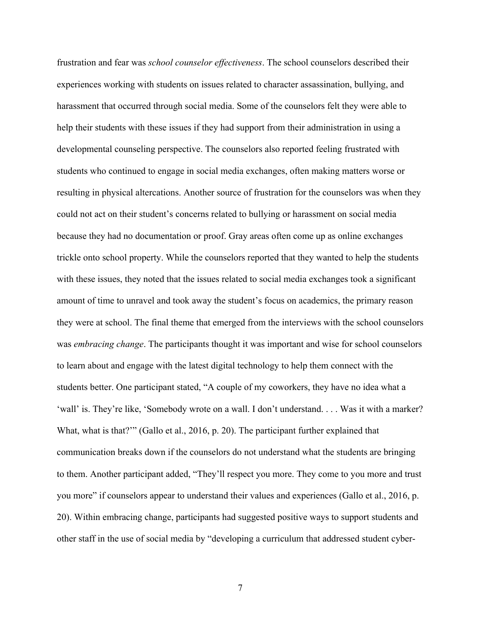frustration and fear was *school counselor effectiveness*. The school counselors described their experiences working with students on issues related to character assassination, bullying, and harassment that occurred through social media. Some of the counselors felt they were able to help their students with these issues if they had support from their administration in using a developmental counseling perspective. The counselors also reported feeling frustrated with students who continued to engage in social media exchanges, often making matters worse or resulting in physical altercations. Another source of frustration for the counselors was when they could not act on their student's concerns related to bullying or harassment on social media because they had no documentation or proof. Gray areas often come up as online exchanges trickle onto school property. While the counselors reported that they wanted to help the students with these issues, they noted that the issues related to social media exchanges took a significant amount of time to unravel and took away the student's focus on academics, the primary reason they were at school. The final theme that emerged from the interviews with the school counselors was *embracing change*. The participants thought it was important and wise for school counselors to learn about and engage with the latest digital technology to help them connect with the students better. One participant stated, "A couple of my coworkers, they have no idea what a 'wall' is. They're like, 'Somebody wrote on a wall. I don't understand. . . . Was it with a marker? What, what is that?"" (Gallo et al., 2016, p. 20). The participant further explained that communication breaks down if the counselors do not understand what the students are bringing to them. Another participant added, "They'll respect you more. They come to you more and trust you more" if counselors appear to understand their values and experiences (Gallo et al., 2016, p. 20). Within embracing change, participants had suggested positive ways to support students and other staff in the use of social media by "developing a curriculum that addressed student cyber-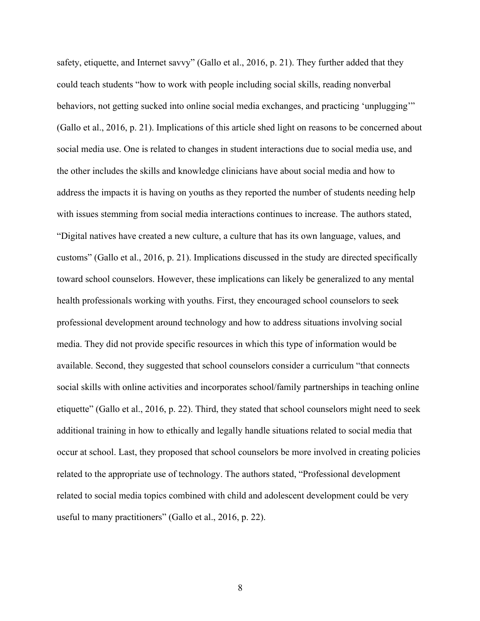safety, etiquette, and Internet savvy" (Gallo et al., 2016, p. 21). They further added that they could teach students "how to work with people including social skills, reading nonverbal behaviors, not getting sucked into online social media exchanges, and practicing 'unplugging'" (Gallo et al., 2016, p. 21). Implications of this article shed light on reasons to be concerned about social media use. One is related to changes in student interactions due to social media use, and the other includes the skills and knowledge clinicians have about social media and how to address the impacts it is having on youths as they reported the number of students needing help with issues stemming from social media interactions continues to increase. The authors stated, "Digital natives have created a new culture, a culture that has its own language, values, and customs" (Gallo et al., 2016, p. 21). Implications discussed in the study are directed specifically toward school counselors. However, these implications can likely be generalized to any mental health professionals working with youths. First, they encouraged school counselors to seek professional development around technology and how to address situations involving social media. They did not provide specific resources in which this type of information would be available. Second, they suggested that school counselors consider a curriculum "that connects social skills with online activities and incorporates school/family partnerships in teaching online etiquette" (Gallo et al., 2016, p. 22). Third, they stated that school counselors might need to seek additional training in how to ethically and legally handle situations related to social media that occur at school. Last, they proposed that school counselors be more involved in creating policies related to the appropriate use of technology. The authors stated, "Professional development related to social media topics combined with child and adolescent development could be very useful to many practitioners" (Gallo et al., 2016, p. 22).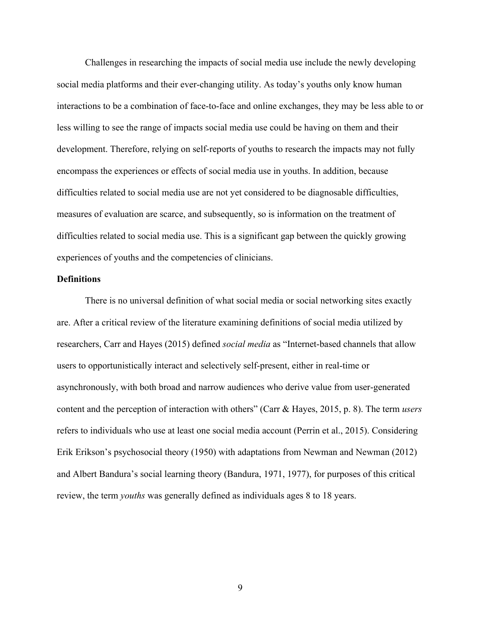Challenges in researching the impacts of social media use include the newly developing social media platforms and their ever-changing utility. As today's youths only know human interactions to be a combination of face-to-face and online exchanges, they may be less able to or less willing to see the range of impacts social media use could be having on them and their development. Therefore, relying on self-reports of youths to research the impacts may not fully encompass the experiences or effects of social media use in youths. In addition, because difficulties related to social media use are not yet considered to be diagnosable difficulties, measures of evaluation are scarce, and subsequently, so is information on the treatment of difficulties related to social media use. This is a significant gap between the quickly growing experiences of youths and the competencies of clinicians.

#### **Definitions**

There is no universal definition of what social media or social networking sites exactly are. After a critical review of the literature examining definitions of social media utilized by researchers, Carr and Hayes (2015) defined *social media* as "Internet-based channels that allow users to opportunistically interact and selectively self-present, either in real-time or asynchronously, with both broad and narrow audiences who derive value from user-generated content and the perception of interaction with others" (Carr & Hayes, 2015, p. 8). The term *users* refers to individuals who use at least one social media account (Perrin et al., 2015). Considering Erik Erikson's psychosocial theory (1950) with adaptations from Newman and Newman (2012) and Albert Bandura's social learning theory (Bandura, 1971, 1977), for purposes of this critical review, the term *youths* was generally defined as individuals ages 8 to 18 years.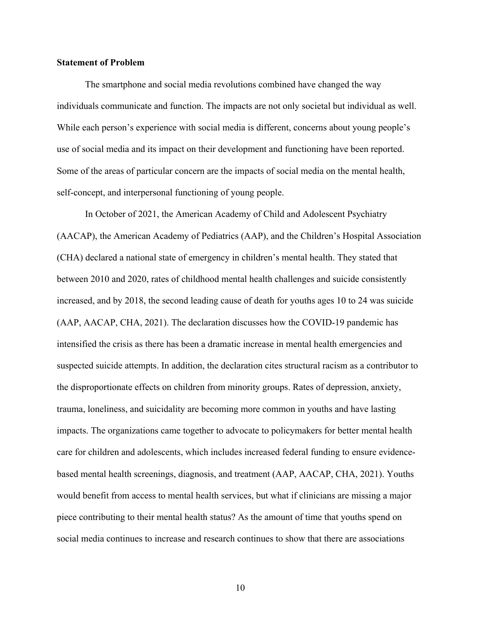#### **Statement of Problem**

The smartphone and social media revolutions combined have changed the way individuals communicate and function. The impacts are not only societal but individual as well. While each person's experience with social media is different, concerns about young people's use of social media and its impact on their development and functioning have been reported. Some of the areas of particular concern are the impacts of social media on the mental health, self-concept, and interpersonal functioning of young people.

In October of 2021, the American Academy of Child and Adolescent Psychiatry (AACAP), the American Academy of Pediatrics (AAP), and the Children's Hospital Association (CHA) declared a national state of emergency in children's mental health. They stated that between 2010 and 2020, rates of childhood mental health challenges and suicide consistently increased, and by 2018, the second leading cause of death for youths ages 10 to 24 was suicide (AAP, AACAP, CHA, 2021). The declaration discusses how the COVID-19 pandemic has intensified the crisis as there has been a dramatic increase in mental health emergencies and suspected suicide attempts. In addition, the declaration cites structural racism as a contributor to the disproportionate effects on children from minority groups. Rates of depression, anxiety, trauma, loneliness, and suicidality are becoming more common in youths and have lasting impacts. The organizations came together to advocate to policymakers for better mental health care for children and adolescents, which includes increased federal funding to ensure evidencebased mental health screenings, diagnosis, and treatment (AAP, AACAP, CHA, 2021). Youths would benefit from access to mental health services, but what if clinicians are missing a major piece contributing to their mental health status? As the amount of time that youths spend on social media continues to increase and research continues to show that there are associations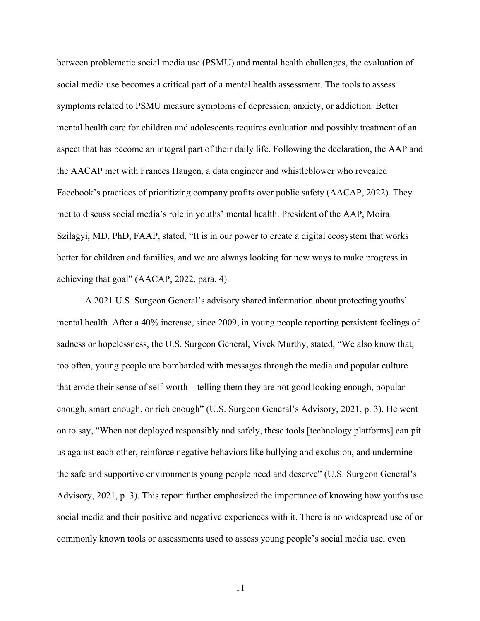between problematic social media use (PSMU) and mental health challenges, the evaluation of social media use becomes a critical part of a mental health assessment. The tools to assess symptoms related to PSMU measure symptoms of depression, anxiety, or addiction. Better mental health care for children and adolescents requires evaluation and possibly treatment of an aspect that has become an integral part of their daily life. Following the declaration, the AAP and the AACAP met with Frances Haugen, a data engineer and whistleblower who revealed Facebook's practices of prioritizing company profits over public safety (AACAP, 2022). They met to discuss social media's role in youths' mental health. President of the AAP, Moira Szilagyi, MD, PhD, FAAP, stated, "It is in our power to create a digital ecosystem that works better for children and families, and we are always looking for new ways to make progress in achieving that goal" (AACAP, 2022, para. 4).

A 2021 U.S. Surgeon General's advisory shared information about protecting youths' mental health. After a 40% increase, since 2009, in young people reporting persistent feelings of sadness or hopelessness, the U.S. Surgeon General, Vivek Murthy, stated, "We also know that, too often, young people are bombarded with messages through the media and popular culture that erode their sense of self-worth—telling them they are not good looking enough, popular enough, smart enough, or rich enough" (U.S. Surgeon General's Advisory, 2021, p. 3). He went on to say, "When not deployed responsibly and safely, these tools [technology platforms] can pit us against each other, reinforce negative behaviors like bullying and exclusion, and undermine the safe and supportive environments young people need and deserve" (U.S. Surgeon General's Advisory, 2021, p. 3). This report further emphasized the importance of knowing how youths use social media and their positive and negative experiences with it. There is no widespread use of or commonly known tools or assessments used to assess young people's social media use, even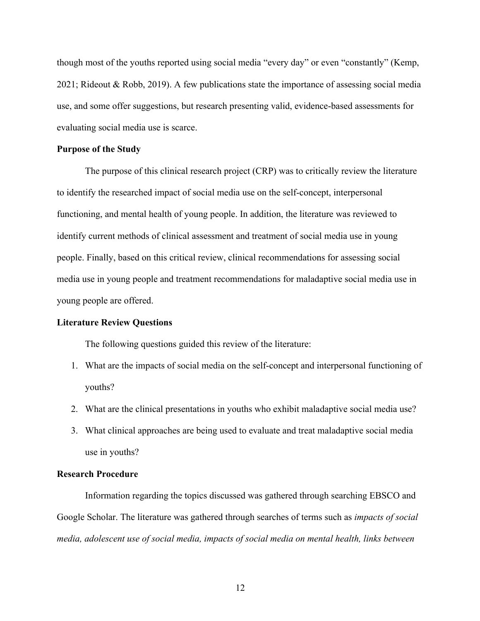though most of the youths reported using social media "every day" or even "constantly" (Kemp, 2021; Rideout & Robb, 2019). A few publications state the importance of assessing social media use, and some offer suggestions, but research presenting valid, evidence-based assessments for evaluating social media use is scarce.

#### **Purpose of the Study**

The purpose of this clinical research project (CRP) was to critically review the literature to identify the researched impact of social media use on the self-concept, interpersonal functioning, and mental health of young people. In addition, the literature was reviewed to identify current methods of clinical assessment and treatment of social media use in young people. Finally, based on this critical review, clinical recommendations for assessing social media use in young people and treatment recommendations for maladaptive social media use in young people are offered.

# **Literature Review Questions**

The following questions guided this review of the literature:

- 1. What are the impacts of social media on the self-concept and interpersonal functioning of youths?
- 2. What are the clinical presentations in youths who exhibit maladaptive social media use?
- 3. What clinical approaches are being used to evaluate and treat maladaptive social media use in youths?

#### **Research Procedure**

Information regarding the topics discussed was gathered through searching EBSCO and Google Scholar. The literature was gathered through searches of terms such as *impacts of social media, adolescent use of social media, impacts of social media on mental health, links between*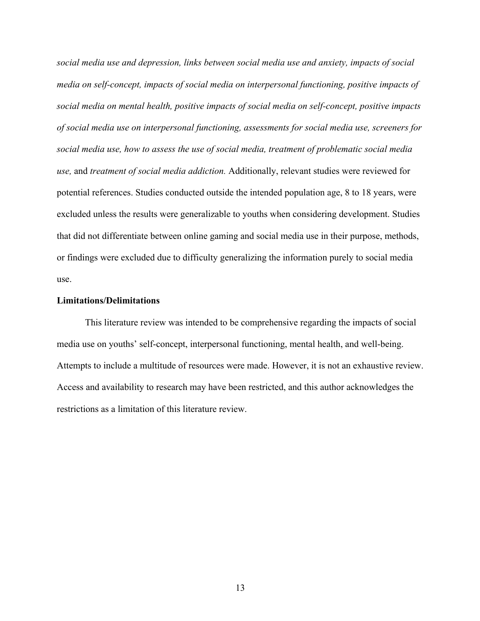*social media use and depression, links between social media use and anxiety, impacts of social media on self-concept, impacts of social media on interpersonal functioning, positive impacts of social media on mental health, positive impacts of social media on self-concept, positive impacts of social media use on interpersonal functioning, assessments for social media use, screeners for social media use, how to assess the use of social media, treatment of problematic social media use,* and *treatment of social media addiction.* Additionally, relevant studies were reviewed for potential references. Studies conducted outside the intended population age, 8 to 18 years, were excluded unless the results were generalizable to youths when considering development. Studies that did not differentiate between online gaming and social media use in their purpose, methods, or findings were excluded due to difficulty generalizing the information purely to social media use.

#### **Limitations/Delimitations**

This literature review was intended to be comprehensive regarding the impacts of social media use on youths' self-concept, interpersonal functioning, mental health, and well-being. Attempts to include a multitude of resources were made. However, it is not an exhaustive review. Access and availability to research may have been restricted, and this author acknowledges the restrictions as a limitation of this literature review.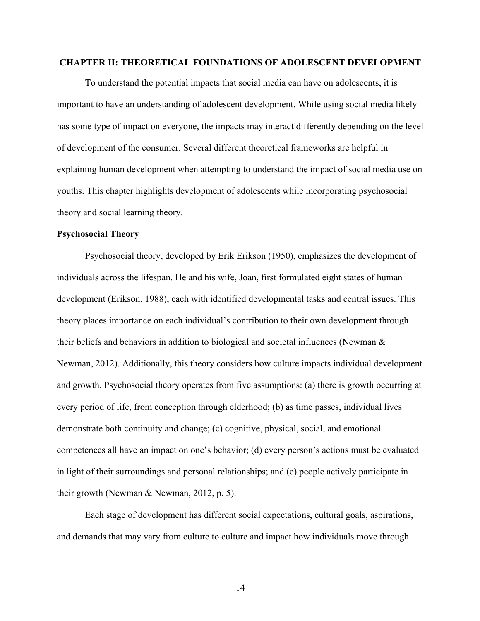# **CHAPTER II: THEORETICAL FOUNDATIONS OF ADOLESCENT DEVELOPMENT**

To understand the potential impacts that social media can have on adolescents, it is important to have an understanding of adolescent development. While using social media likely has some type of impact on everyone, the impacts may interact differently depending on the level of development of the consumer. Several different theoretical frameworks are helpful in explaining human development when attempting to understand the impact of social media use on youths. This chapter highlights development of adolescents while incorporating psychosocial theory and social learning theory.

#### **Psychosocial Theory**

Psychosocial theory, developed by Erik Erikson (1950), emphasizes the development of individuals across the lifespan. He and his wife, Joan, first formulated eight states of human development (Erikson, 1988), each with identified developmental tasks and central issues. This theory places importance on each individual's contribution to their own development through their beliefs and behaviors in addition to biological and societal influences (Newman & Newman, 2012). Additionally, this theory considers how culture impacts individual development and growth. Psychosocial theory operates from five assumptions: (a) there is growth occurring at every period of life, from conception through elderhood; (b) as time passes, individual lives demonstrate both continuity and change; (c) cognitive, physical, social, and emotional competences all have an impact on one's behavior; (d) every person's actions must be evaluated in light of their surroundings and personal relationships; and (e) people actively participate in their growth (Newman & Newman, 2012, p. 5).

Each stage of development has different social expectations, cultural goals, aspirations, and demands that may vary from culture to culture and impact how individuals move through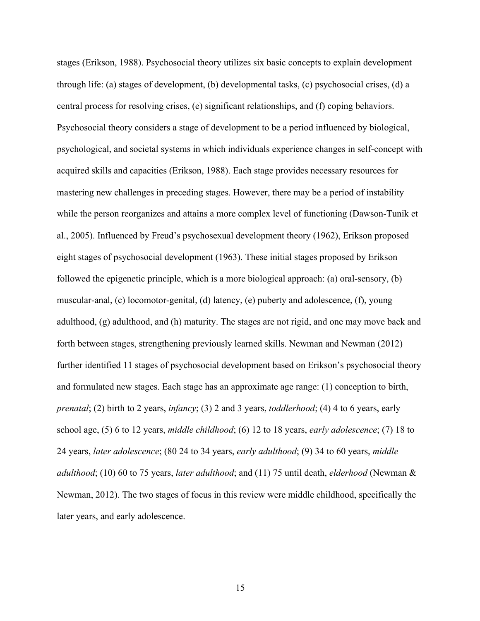stages (Erikson, 1988). Psychosocial theory utilizes six basic concepts to explain development through life: (a) stages of development, (b) developmental tasks, (c) psychosocial crises, (d) a central process for resolving crises, (e) significant relationships, and (f) coping behaviors. Psychosocial theory considers a stage of development to be a period influenced by biological, psychological, and societal systems in which individuals experience changes in self-concept with acquired skills and capacities (Erikson, 1988). Each stage provides necessary resources for mastering new challenges in preceding stages. However, there may be a period of instability while the person reorganizes and attains a more complex level of functioning (Dawson-Tunik et al., 2005). Influenced by Freud's psychosexual development theory (1962), Erikson proposed eight stages of psychosocial development (1963). These initial stages proposed by Erikson followed the epigenetic principle, which is a more biological approach: (a) oral-sensory, (b) muscular-anal, (c) locomotor-genital, (d) latency, (e) puberty and adolescence, (f), young adulthood, (g) adulthood, and (h) maturity. The stages are not rigid, and one may move back and forth between stages, strengthening previously learned skills. Newman and Newman (2012) further identified 11 stages of psychosocial development based on Erikson's psychosocial theory and formulated new stages. Each stage has an approximate age range: (1) conception to birth, *prenatal*; (2) birth to 2 years, *infancy*; (3) 2 and 3 years, *toddlerhood*; (4) 4 to 6 years, early school age, (5) 6 to 12 years, *middle childhood*; (6) 12 to 18 years, *early adolescence*; (7) 18 to 24 years, *later adolescence*; (80 24 to 34 years, *early adulthood*; (9) 34 to 60 years, *middle adulthood*; (10) 60 to 75 years, *later adulthood*; and (11) 75 until death, *elderhood* (Newman & Newman, 2012). The two stages of focus in this review were middle childhood, specifically the later years, and early adolescence.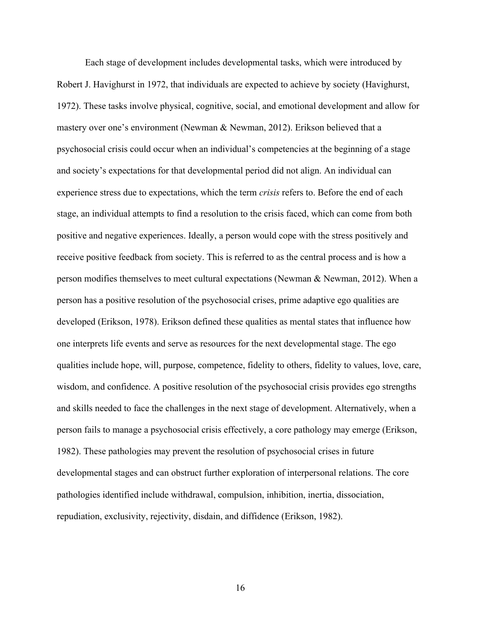Each stage of development includes developmental tasks, which were introduced by Robert J. Havighurst in 1972, that individuals are expected to achieve by society (Havighurst, 1972). These tasks involve physical, cognitive, social, and emotional development and allow for mastery over one's environment (Newman & Newman, 2012). Erikson believed that a psychosocial crisis could occur when an individual's competencies at the beginning of a stage and society's expectations for that developmental period did not align. An individual can experience stress due to expectations, which the term *crisis* refers to. Before the end of each stage, an individual attempts to find a resolution to the crisis faced, which can come from both positive and negative experiences. Ideally, a person would cope with the stress positively and receive positive feedback from society. This is referred to as the central process and is how a person modifies themselves to meet cultural expectations (Newman & Newman, 2012). When a person has a positive resolution of the psychosocial crises, prime adaptive ego qualities are developed (Erikson, 1978). Erikson defined these qualities as mental states that influence how one interprets life events and serve as resources for the next developmental stage. The ego qualities include hope, will, purpose, competence, fidelity to others, fidelity to values, love, care, wisdom, and confidence. A positive resolution of the psychosocial crisis provides ego strengths and skills needed to face the challenges in the next stage of development. Alternatively, when a person fails to manage a psychosocial crisis effectively, a core pathology may emerge (Erikson, 1982). These pathologies may prevent the resolution of psychosocial crises in future developmental stages and can obstruct further exploration of interpersonal relations. The core pathologies identified include withdrawal, compulsion, inhibition, inertia, dissociation, repudiation, exclusivity, rejectivity, disdain, and diffidence (Erikson, 1982).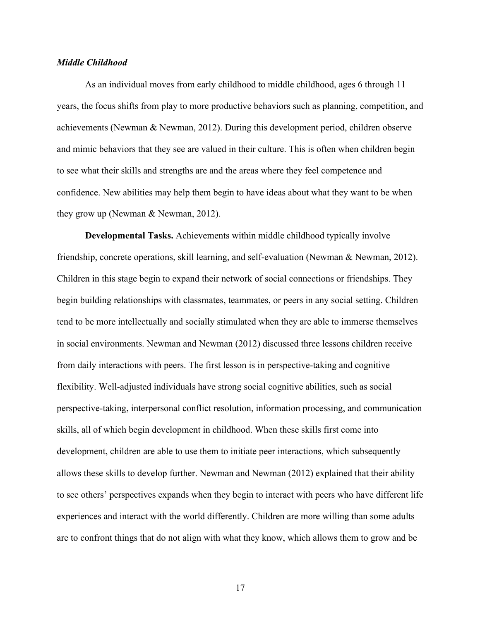#### *Middle Childhood*

As an individual moves from early childhood to middle childhood, ages 6 through 11 years, the focus shifts from play to more productive behaviors such as planning, competition, and achievements (Newman & Newman, 2012). During this development period, children observe and mimic behaviors that they see are valued in their culture. This is often when children begin to see what their skills and strengths are and the areas where they feel competence and confidence. New abilities may help them begin to have ideas about what they want to be when they grow up (Newman & Newman, 2012).

**Developmental Tasks.** Achievements within middle childhood typically involve friendship, concrete operations, skill learning, and self-evaluation (Newman & Newman, 2012). Children in this stage begin to expand their network of social connections or friendships. They begin building relationships with classmates, teammates, or peers in any social setting. Children tend to be more intellectually and socially stimulated when they are able to immerse themselves in social environments. Newman and Newman (2012) discussed three lessons children receive from daily interactions with peers. The first lesson is in perspective-taking and cognitive flexibility. Well-adjusted individuals have strong social cognitive abilities, such as social perspective-taking, interpersonal conflict resolution, information processing, and communication skills, all of which begin development in childhood. When these skills first come into development, children are able to use them to initiate peer interactions, which subsequently allows these skills to develop further. Newman and Newman (2012) explained that their ability to see others' perspectives expands when they begin to interact with peers who have different life experiences and interact with the world differently. Children are more willing than some adults are to confront things that do not align with what they know, which allows them to grow and be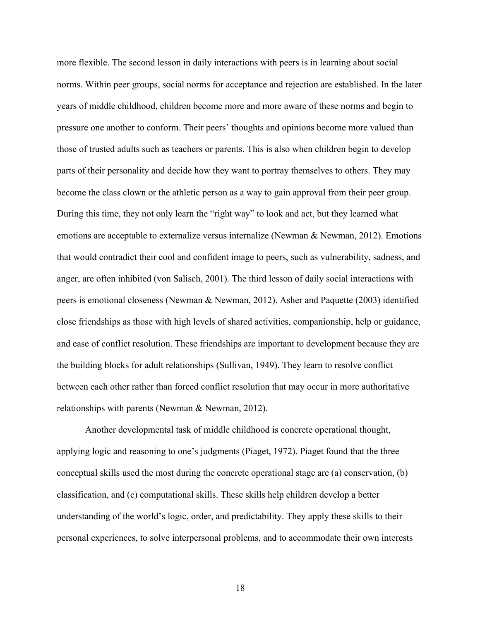more flexible. The second lesson in daily interactions with peers is in learning about social norms. Within peer groups, social norms for acceptance and rejection are established. In the later years of middle childhood, children become more and more aware of these norms and begin to pressure one another to conform. Their peers' thoughts and opinions become more valued than those of trusted adults such as teachers or parents. This is also when children begin to develop parts of their personality and decide how they want to portray themselves to others. They may become the class clown or the athletic person as a way to gain approval from their peer group. During this time, they not only learn the "right way" to look and act, but they learned what emotions are acceptable to externalize versus internalize (Newman & Newman, 2012). Emotions that would contradict their cool and confident image to peers, such as vulnerability, sadness, and anger, are often inhibited (von Salisch, 2001). The third lesson of daily social interactions with peers is emotional closeness (Newman & Newman, 2012). Asher and Paquette (2003) identified close friendships as those with high levels of shared activities, companionship, help or guidance, and ease of conflict resolution. These friendships are important to development because they are the building blocks for adult relationships (Sullivan, 1949). They learn to resolve conflict between each other rather than forced conflict resolution that may occur in more authoritative relationships with parents (Newman & Newman, 2012).

Another developmental task of middle childhood is concrete operational thought, applying logic and reasoning to one's judgments (Piaget, 1972). Piaget found that the three conceptual skills used the most during the concrete operational stage are (a) conservation, (b) classification, and (c) computational skills. These skills help children develop a better understanding of the world's logic, order, and predictability. They apply these skills to their personal experiences, to solve interpersonal problems, and to accommodate their own interests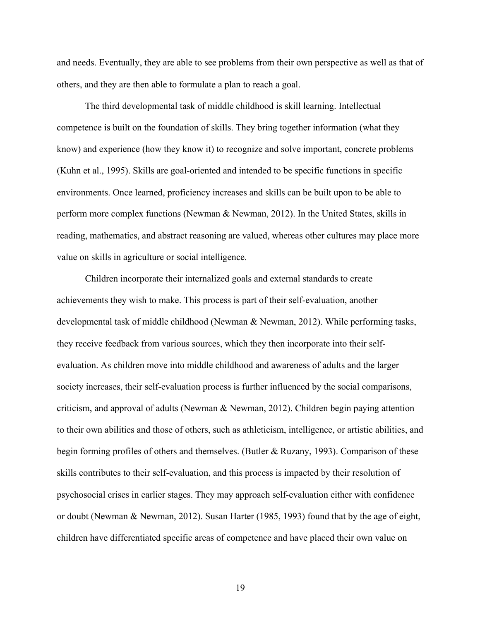and needs. Eventually, they are able to see problems from their own perspective as well as that of others, and they are then able to formulate a plan to reach a goal.

The third developmental task of middle childhood is skill learning. Intellectual competence is built on the foundation of skills. They bring together information (what they know) and experience (how they know it) to recognize and solve important, concrete problems (Kuhn et al., 1995). Skills are goal-oriented and intended to be specific functions in specific environments. Once learned, proficiency increases and skills can be built upon to be able to perform more complex functions (Newman & Newman, 2012). In the United States, skills in reading, mathematics, and abstract reasoning are valued, whereas other cultures may place more value on skills in agriculture or social intelligence.

Children incorporate their internalized goals and external standards to create achievements they wish to make. This process is part of their self-evaluation, another developmental task of middle childhood (Newman & Newman, 2012). While performing tasks, they receive feedback from various sources, which they then incorporate into their selfevaluation. As children move into middle childhood and awareness of adults and the larger society increases, their self-evaluation process is further influenced by the social comparisons, criticism, and approval of adults (Newman & Newman, 2012). Children begin paying attention to their own abilities and those of others, such as athleticism, intelligence, or artistic abilities, and begin forming profiles of others and themselves. (Butler & Ruzany, 1993). Comparison of these skills contributes to their self-evaluation, and this process is impacted by their resolution of psychosocial crises in earlier stages. They may approach self-evaluation either with confidence or doubt (Newman & Newman, 2012). Susan Harter (1985, 1993) found that by the age of eight, children have differentiated specific areas of competence and have placed their own value on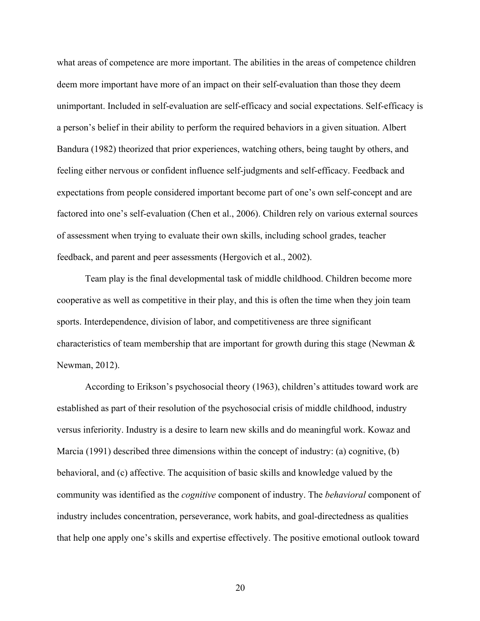what areas of competence are more important. The abilities in the areas of competence children deem more important have more of an impact on their self-evaluation than those they deem unimportant. Included in self-evaluation are self-efficacy and social expectations. Self-efficacy is a person's belief in their ability to perform the required behaviors in a given situation. Albert Bandura (1982) theorized that prior experiences, watching others, being taught by others, and feeling either nervous or confident influence self-judgments and self-efficacy. Feedback and expectations from people considered important become part of one's own self-concept and are factored into one's self-evaluation (Chen et al., 2006). Children rely on various external sources of assessment when trying to evaluate their own skills, including school grades, teacher feedback, and parent and peer assessments (Hergovich et al., 2002).

Team play is the final developmental task of middle childhood. Children become more cooperative as well as competitive in their play, and this is often the time when they join team sports. Interdependence, division of labor, and competitiveness are three significant characteristics of team membership that are important for growth during this stage (Newman & Newman, 2012).

According to Erikson's psychosocial theory (1963), children's attitudes toward work are established as part of their resolution of the psychosocial crisis of middle childhood, industry versus inferiority. Industry is a desire to learn new skills and do meaningful work. Kowaz and Marcia (1991) described three dimensions within the concept of industry: (a) cognitive, (b) behavioral, and (c) affective. The acquisition of basic skills and knowledge valued by the community was identified as the *cognitive* component of industry. The *behavioral* component of industry includes concentration, perseverance, work habits, and goal-directedness as qualities that help one apply one's skills and expertise effectively. The positive emotional outlook toward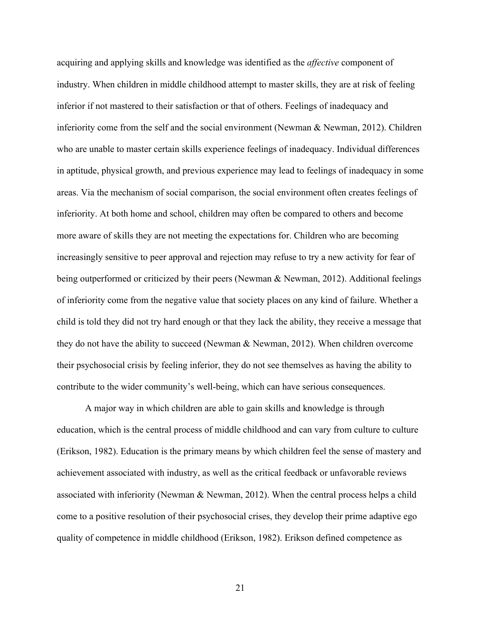acquiring and applying skills and knowledge was identified as the *affective* component of industry. When children in middle childhood attempt to master skills, they are at risk of feeling inferior if not mastered to their satisfaction or that of others. Feelings of inadequacy and inferiority come from the self and the social environment (Newman & Newman, 2012). Children who are unable to master certain skills experience feelings of inadequacy. Individual differences in aptitude, physical growth, and previous experience may lead to feelings of inadequacy in some areas. Via the mechanism of social comparison, the social environment often creates feelings of inferiority. At both home and school, children may often be compared to others and become more aware of skills they are not meeting the expectations for. Children who are becoming increasingly sensitive to peer approval and rejection may refuse to try a new activity for fear of being outperformed or criticized by their peers (Newman & Newman, 2012). Additional feelings of inferiority come from the negative value that society places on any kind of failure. Whether a child is told they did not try hard enough or that they lack the ability, they receive a message that they do not have the ability to succeed (Newman & Newman, 2012). When children overcome their psychosocial crisis by feeling inferior, they do not see themselves as having the ability to contribute to the wider community's well-being, which can have serious consequences.

A major way in which children are able to gain skills and knowledge is through education, which is the central process of middle childhood and can vary from culture to culture (Erikson, 1982). Education is the primary means by which children feel the sense of mastery and achievement associated with industry, as well as the critical feedback or unfavorable reviews associated with inferiority (Newman & Newman, 2012). When the central process helps a child come to a positive resolution of their psychosocial crises, they develop their prime adaptive ego quality of competence in middle childhood (Erikson, 1982). Erikson defined competence as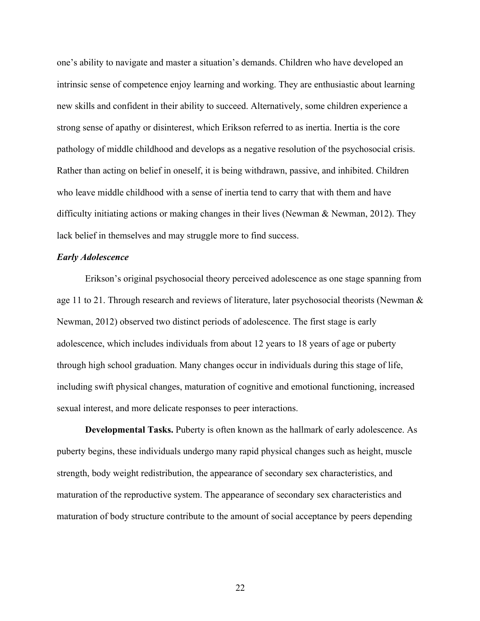one's ability to navigate and master a situation's demands. Children who have developed an intrinsic sense of competence enjoy learning and working. They are enthusiastic about learning new skills and confident in their ability to succeed. Alternatively, some children experience a strong sense of apathy or disinterest, which Erikson referred to as inertia. Inertia is the core pathology of middle childhood and develops as a negative resolution of the psychosocial crisis. Rather than acting on belief in oneself, it is being withdrawn, passive, and inhibited. Children who leave middle childhood with a sense of inertia tend to carry that with them and have difficulty initiating actions or making changes in their lives (Newman & Newman, 2012). They lack belief in themselves and may struggle more to find success.

#### *Early Adolescence*

Erikson's original psychosocial theory perceived adolescence as one stage spanning from age 11 to 21. Through research and reviews of literature, later psychosocial theorists (Newman  $\&$ Newman, 2012) observed two distinct periods of adolescence. The first stage is early adolescence, which includes individuals from about 12 years to 18 years of age or puberty through high school graduation. Many changes occur in individuals during this stage of life, including swift physical changes, maturation of cognitive and emotional functioning, increased sexual interest, and more delicate responses to peer interactions.

**Developmental Tasks.** Puberty is often known as the hallmark of early adolescence. As puberty begins, these individuals undergo many rapid physical changes such as height, muscle strength, body weight redistribution, the appearance of secondary sex characteristics, and maturation of the reproductive system. The appearance of secondary sex characteristics and maturation of body structure contribute to the amount of social acceptance by peers depending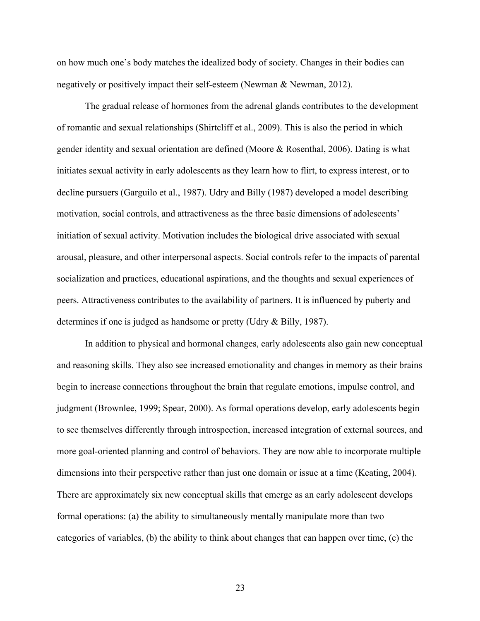on how much one's body matches the idealized body of society. Changes in their bodies can negatively or positively impact their self-esteem (Newman & Newman, 2012).

The gradual release of hormones from the adrenal glands contributes to the development of romantic and sexual relationships (Shirtcliff et al., 2009). This is also the period in which gender identity and sexual orientation are defined (Moore & Rosenthal, 2006). Dating is what initiates sexual activity in early adolescents as they learn how to flirt, to express interest, or to decline pursuers (Garguilo et al., 1987). Udry and Billy (1987) developed a model describing motivation, social controls, and attractiveness as the three basic dimensions of adolescents' initiation of sexual activity. Motivation includes the biological drive associated with sexual arousal, pleasure, and other interpersonal aspects. Social controls refer to the impacts of parental socialization and practices, educational aspirations, and the thoughts and sexual experiences of peers. Attractiveness contributes to the availability of partners. It is influenced by puberty and determines if one is judged as handsome or pretty (Udry & Billy, 1987).

In addition to physical and hormonal changes, early adolescents also gain new conceptual and reasoning skills. They also see increased emotionality and changes in memory as their brains begin to increase connections throughout the brain that regulate emotions, impulse control, and judgment (Brownlee, 1999; Spear, 2000). As formal operations develop, early adolescents begin to see themselves differently through introspection, increased integration of external sources, and more goal-oriented planning and control of behaviors. They are now able to incorporate multiple dimensions into their perspective rather than just one domain or issue at a time (Keating, 2004). There are approximately six new conceptual skills that emerge as an early adolescent develops formal operations: (a) the ability to simultaneously mentally manipulate more than two categories of variables, (b) the ability to think about changes that can happen over time, (c) the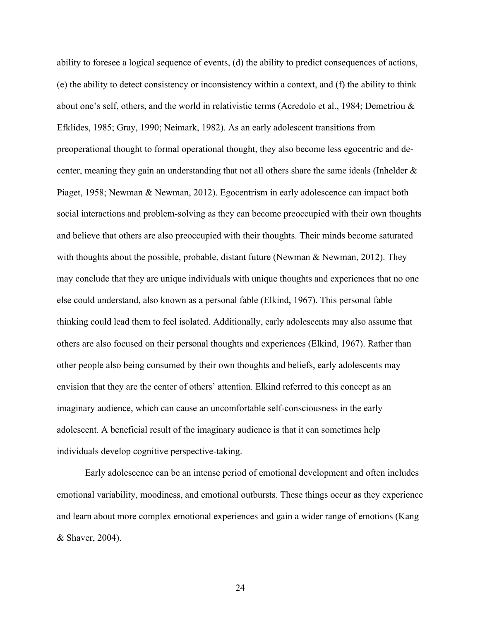ability to foresee a logical sequence of events, (d) the ability to predict consequences of actions, (e) the ability to detect consistency or inconsistency within a context, and (f) the ability to think about one's self, others, and the world in relativistic terms (Acredolo et al., 1984; Demetriou & Efklides, 1985; Gray, 1990; Neimark, 1982). As an early adolescent transitions from preoperational thought to formal operational thought, they also become less egocentric and decenter, meaning they gain an understanding that not all others share the same ideals (Inhelder & Piaget, 1958; Newman & Newman, 2012). Egocentrism in early adolescence can impact both social interactions and problem-solving as they can become preoccupied with their own thoughts and believe that others are also preoccupied with their thoughts. Their minds become saturated with thoughts about the possible, probable, distant future (Newman & Newman, 2012). They may conclude that they are unique individuals with unique thoughts and experiences that no one else could understand, also known as a personal fable (Elkind, 1967). This personal fable thinking could lead them to feel isolated. Additionally, early adolescents may also assume that others are also focused on their personal thoughts and experiences (Elkind, 1967). Rather than other people also being consumed by their own thoughts and beliefs, early adolescents may envision that they are the center of others' attention. Elkind referred to this concept as an imaginary audience, which can cause an uncomfortable self-consciousness in the early adolescent. A beneficial result of the imaginary audience is that it can sometimes help individuals develop cognitive perspective-taking.

Early adolescence can be an intense period of emotional development and often includes emotional variability, moodiness, and emotional outbursts. These things occur as they experience and learn about more complex emotional experiences and gain a wider range of emotions (Kang & Shaver, 2004).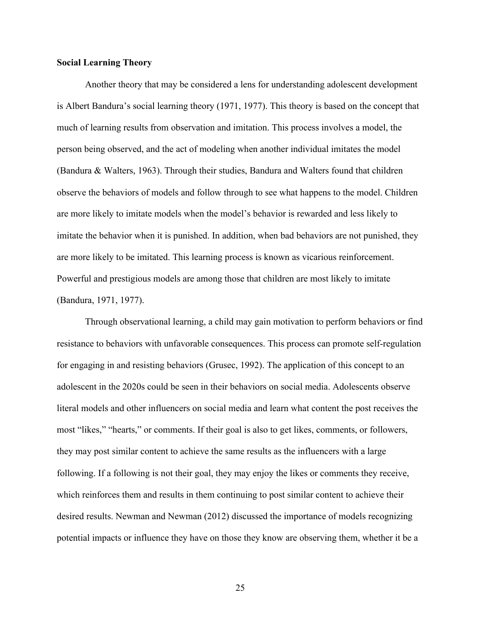#### **Social Learning Theory**

Another theory that may be considered a lens for understanding adolescent development is Albert Bandura's social learning theory (1971, 1977). This theory is based on the concept that much of learning results from observation and imitation. This process involves a model, the person being observed, and the act of modeling when another individual imitates the model (Bandura & Walters, 1963). Through their studies, Bandura and Walters found that children observe the behaviors of models and follow through to see what happens to the model. Children are more likely to imitate models when the model's behavior is rewarded and less likely to imitate the behavior when it is punished. In addition, when bad behaviors are not punished, they are more likely to be imitated. This learning process is known as vicarious reinforcement. Powerful and prestigious models are among those that children are most likely to imitate (Bandura, 1971, 1977).

Through observational learning, a child may gain motivation to perform behaviors or find resistance to behaviors with unfavorable consequences. This process can promote self-regulation for engaging in and resisting behaviors (Grusec, 1992). The application of this concept to an adolescent in the 2020s could be seen in their behaviors on social media. Adolescents observe literal models and other influencers on social media and learn what content the post receives the most "likes," "hearts," or comments. If their goal is also to get likes, comments, or followers, they may post similar content to achieve the same results as the influencers with a large following. If a following is not their goal, they may enjoy the likes or comments they receive, which reinforces them and results in them continuing to post similar content to achieve their desired results. Newman and Newman (2012) discussed the importance of models recognizing potential impacts or influence they have on those they know are observing them, whether it be a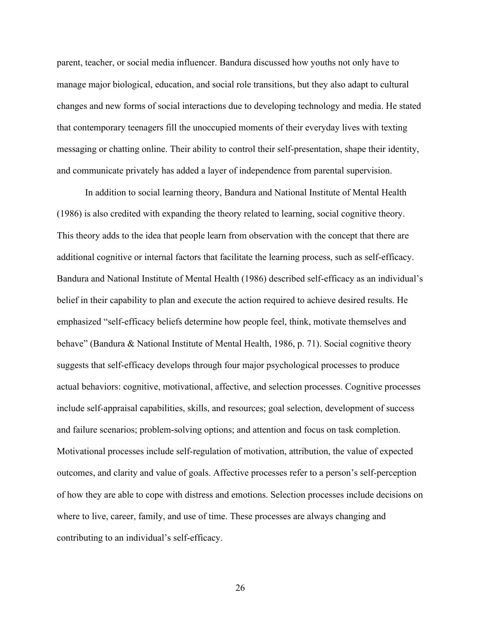parent, teacher, or social media influencer. Bandura discussed how youths not only have to manage major biological, education, and social role transitions, but they also adapt to cultural changes and new forms of social interactions due to developing technology and media. He stated that contemporary teenagers fill the unoccupied moments of their everyday lives with texting messaging or chatting online. Their ability to control their self-presentation, shape their identity, and communicate privately has added a layer of independence from parental supervision.

In addition to social learning theory, Bandura and National Institute of Mental Health (1986) is also credited with expanding the theory related to learning, social cognitive theory. This theory adds to the idea that people learn from observation with the concept that there are additional cognitive or internal factors that facilitate the learning process, such as self-efficacy. Bandura and National Institute of Mental Health (1986) described self-efficacy as an individual's belief in their capability to plan and execute the action required to achieve desired results. He emphasized "self-efficacy beliefs determine how people feel, think, motivate themselves and behave" (Bandura & National Institute of Mental Health, 1986, p. 71). Social cognitive theory suggests that self-efficacy develops through four major psychological processes to produce actual behaviors: cognitive, motivational, affective, and selection processes. Cognitive processes include self-appraisal capabilities, skills, and resources; goal selection, development of success and failure scenarios; problem-solving options; and attention and focus on task completion. Motivational processes include self-regulation of motivation, attribution, the value of expected outcomes, and clarity and value of goals. Affective processes refer to a person's self-perception of how they are able to cope with distress and emotions. Selection processes include decisions on where to live, career, family, and use of time. These processes are always changing and contributing to an individual's self-efficacy.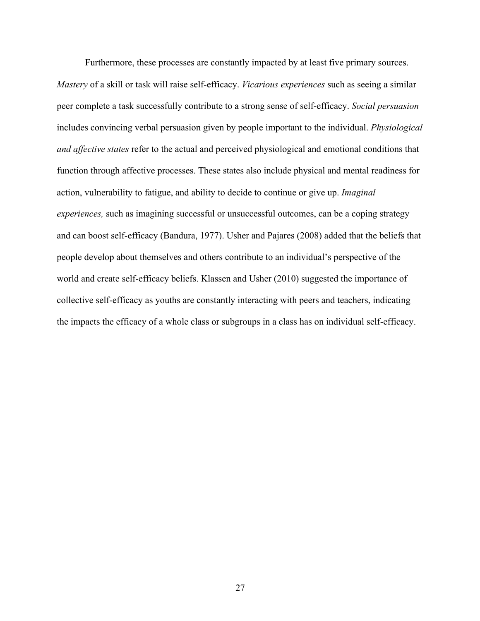Furthermore, these processes are constantly impacted by at least five primary sources. *Mastery* of a skill or task will raise self-efficacy. *Vicarious experiences* such as seeing a similar peer complete a task successfully contribute to a strong sense of self-efficacy. *Social persuasion* includes convincing verbal persuasion given by people important to the individual. *Physiological and affective states* refer to the actual and perceived physiological and emotional conditions that function through affective processes. These states also include physical and mental readiness for action, vulnerability to fatigue, and ability to decide to continue or give up. *Imaginal experiences*, such as imagining successful or unsuccessful outcomes, can be a coping strategy and can boost self-efficacy (Bandura, 1977). Usher and Pajares (2008) added that the beliefs that people develop about themselves and others contribute to an individual's perspective of the world and create self-efficacy beliefs. Klassen and Usher (2010) suggested the importance of collective self-efficacy as youths are constantly interacting with peers and teachers, indicating the impacts the efficacy of a whole class or subgroups in a class has on individual self-efficacy.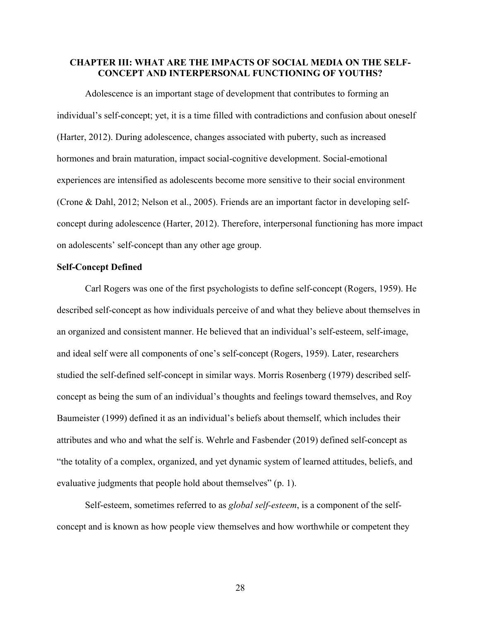# **CHAPTER III: WHAT ARE THE IMPACTS OF SOCIAL MEDIA ON THE SELF-CONCEPT AND INTERPERSONAL FUNCTIONING OF YOUTHS?**

Adolescence is an important stage of development that contributes to forming an individual's self-concept; yet, it is a time filled with contradictions and confusion about oneself (Harter, 2012). During adolescence, changes associated with puberty, such as increased hormones and brain maturation, impact social-cognitive development. Social-emotional experiences are intensified as adolescents become more sensitive to their social environment (Crone & Dahl, 2012; Nelson et al., 2005). Friends are an important factor in developing selfconcept during adolescence (Harter, 2012). Therefore, interpersonal functioning has more impact on adolescents' self-concept than any other age group.

#### **Self-Concept Defined**

Carl Rogers was one of the first psychologists to define self-concept (Rogers, 1959). He described self-concept as how individuals perceive of and what they believe about themselves in an organized and consistent manner. He believed that an individual's self-esteem, self-image, and ideal self were all components of one's self-concept (Rogers, 1959). Later, researchers studied the self-defined self-concept in similar ways. Morris Rosenberg (1979) described selfconcept as being the sum of an individual's thoughts and feelings toward themselves, and Roy Baumeister (1999) defined it as an individual's beliefs about themself, which includes their attributes and who and what the self is. Wehrle and Fasbender (2019) defined self-concept as "the totality of a complex, organized, and yet dynamic system of learned attitudes, beliefs, and evaluative judgments that people hold about themselves" (p. 1).

Self-esteem, sometimes referred to as *global self-esteem*, is a component of the selfconcept and is known as how people view themselves and how worthwhile or competent they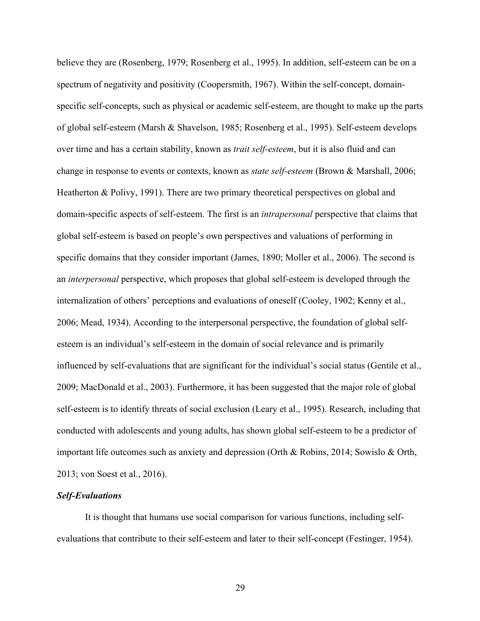believe they are (Rosenberg, 1979; Rosenberg et al., 1995). In addition, self-esteem can be on a spectrum of negativity and positivity (Coopersmith, 1967). Within the self-concept, domainspecific self-concepts, such as physical or academic self-esteem, are thought to make up the parts of global self-esteem (Marsh & Shavelson, 1985; Rosenberg et al., 1995). Self-esteem develops over time and has a certain stability, known as *trait self-esteem*, but it is also fluid and can change in response to events or contexts, known as *state self-esteem* (Brown & Marshall, 2006; Heatherton & Polivy, 1991). There are two primary theoretical perspectives on global and domain-specific aspects of self-esteem. The first is an *intrapersonal* perspective that claims that global self-esteem is based on people's own perspectives and valuations of performing in specific domains that they consider important (James, 1890; Moller et al., 2006). The second is an *interpersonal* perspective, which proposes that global self-esteem is developed through the internalization of others' perceptions and evaluations of oneself (Cooley, 1902; Kenny et al., 2006; Mead, 1934). According to the interpersonal perspective, the foundation of global selfesteem is an individual's self-esteem in the domain of social relevance and is primarily influenced by self-evaluations that are significant for the individual's social status (Gentile et al., 2009; MacDonald et al., 2003). Furthermore, it has been suggested that the major role of global self-esteem is to identify threats of social exclusion (Leary et al., 1995). Research, including that conducted with adolescents and young adults, has shown global self-esteem to be a predictor of important life outcomes such as anxiety and depression (Orth & Robins, 2014; Sowislo & Orth, 2013; von Soest et al., 2016).

# *Self-Evaluations*

It is thought that humans use social comparison for various functions, including selfevaluations that contribute to their self-esteem and later to their self-concept (Festinger, 1954).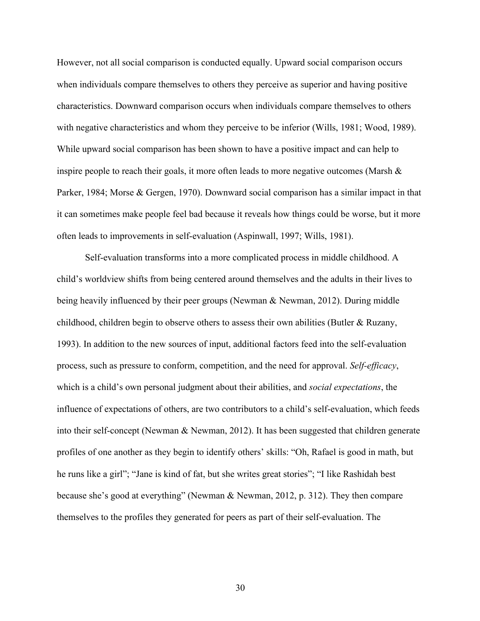However, not all social comparison is conducted equally. Upward social comparison occurs when individuals compare themselves to others they perceive as superior and having positive characteristics. Downward comparison occurs when individuals compare themselves to others with negative characteristics and whom they perceive to be inferior (Wills, 1981; Wood, 1989). While upward social comparison has been shown to have a positive impact and can help to inspire people to reach their goals, it more often leads to more negative outcomes (Marsh  $\&$ Parker, 1984; Morse & Gergen, 1970). Downward social comparison has a similar impact in that it can sometimes make people feel bad because it reveals how things could be worse, but it more often leads to improvements in self-evaluation (Aspinwall, 1997; Wills, 1981).

Self-evaluation transforms into a more complicated process in middle childhood. A child's worldview shifts from being centered around themselves and the adults in their lives to being heavily influenced by their peer groups (Newman & Newman, 2012). During middle childhood, children begin to observe others to assess their own abilities (Butler & Ruzany, 1993). In addition to the new sources of input, additional factors feed into the self-evaluation process, such as pressure to conform, competition, and the need for approval. *Self-efficacy*, which is a child's own personal judgment about their abilities, and *social expectations*, the influence of expectations of others, are two contributors to a child's self-evaluation, which feeds into their self-concept (Newman & Newman, 2012). It has been suggested that children generate profiles of one another as they begin to identify others' skills: "Oh, Rafael is good in math, but he runs like a girl"; "Jane is kind of fat, but she writes great stories"; "I like Rashidah best because she's good at everything" (Newman & Newman, 2012, p. 312). They then compare themselves to the profiles they generated for peers as part of their self-evaluation. The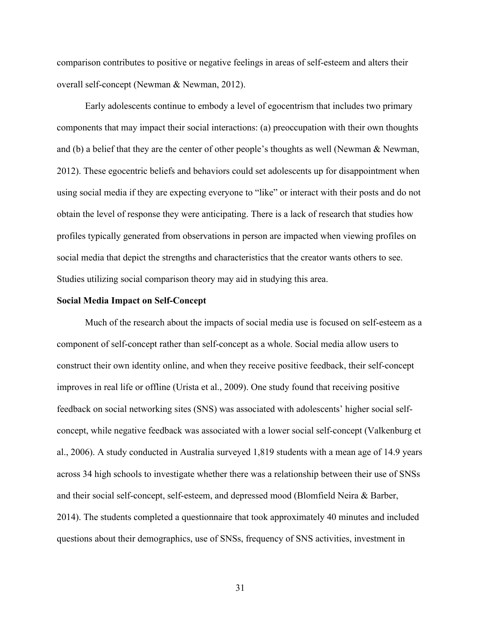comparison contributes to positive or negative feelings in areas of self-esteem and alters their overall self-concept (Newman & Newman, 2012).

Early adolescents continue to embody a level of egocentrism that includes two primary components that may impact their social interactions: (a) preoccupation with their own thoughts and (b) a belief that they are the center of other people's thoughts as well (Newman & Newman, 2012). These egocentric beliefs and behaviors could set adolescents up for disappointment when using social media if they are expecting everyone to "like" or interact with their posts and do not obtain the level of response they were anticipating. There is a lack of research that studies how profiles typically generated from observations in person are impacted when viewing profiles on social media that depict the strengths and characteristics that the creator wants others to see. Studies utilizing social comparison theory may aid in studying this area.

#### **Social Media Impact on Self-Concept**

Much of the research about the impacts of social media use is focused on self-esteem as a component of self-concept rather than self-concept as a whole. Social media allow users to construct their own identity online, and when they receive positive feedback, their self-concept improves in real life or offline (Urista et al., 2009). One study found that receiving positive feedback on social networking sites (SNS) was associated with adolescents' higher social selfconcept, while negative feedback was associated with a lower social self-concept (Valkenburg et al., 2006). A study conducted in Australia surveyed 1,819 students with a mean age of 14.9 years across 34 high schools to investigate whether there was a relationship between their use of SNSs and their social self-concept, self-esteem, and depressed mood (Blomfield Neira & Barber, 2014). The students completed a questionnaire that took approximately 40 minutes and included questions about their demographics, use of SNSs, frequency of SNS activities, investment in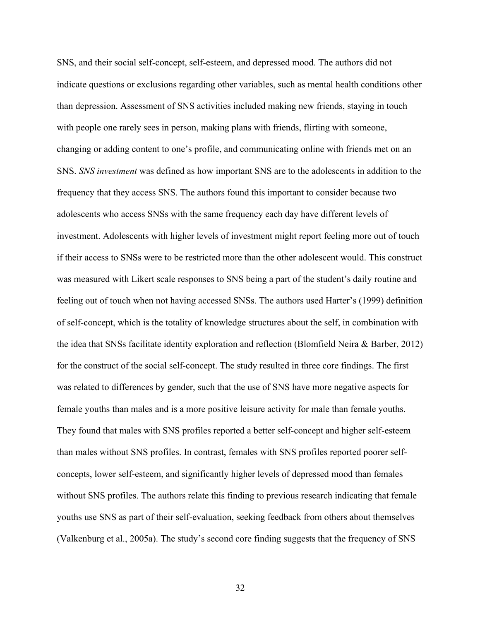SNS, and their social self-concept, self-esteem, and depressed mood. The authors did not indicate questions or exclusions regarding other variables, such as mental health conditions other than depression. Assessment of SNS activities included making new friends, staying in touch with people one rarely sees in person, making plans with friends, flirting with someone, changing or adding content to one's profile, and communicating online with friends met on an SNS. *SNS investment* was defined as how important SNS are to the adolescents in addition to the frequency that they access SNS. The authors found this important to consider because two adolescents who access SNSs with the same frequency each day have different levels of investment. Adolescents with higher levels of investment might report feeling more out of touch if their access to SNSs were to be restricted more than the other adolescent would. This construct was measured with Likert scale responses to SNS being a part of the student's daily routine and feeling out of touch when not having accessed SNSs. The authors used Harter's (1999) definition of self-concept, which is the totality of knowledge structures about the self, in combination with the idea that SNSs facilitate identity exploration and reflection (Blomfield Neira & Barber, 2012) for the construct of the social self-concept. The study resulted in three core findings. The first was related to differences by gender, such that the use of SNS have more negative aspects for female youths than males and is a more positive leisure activity for male than female youths. They found that males with SNS profiles reported a better self-concept and higher self-esteem than males without SNS profiles. In contrast, females with SNS profiles reported poorer selfconcepts, lower self-esteem, and significantly higher levels of depressed mood than females without SNS profiles. The authors relate this finding to previous research indicating that female youths use SNS as part of their self-evaluation, seeking feedback from others about themselves (Valkenburg et al., 2005a). The study's second core finding suggests that the frequency of SNS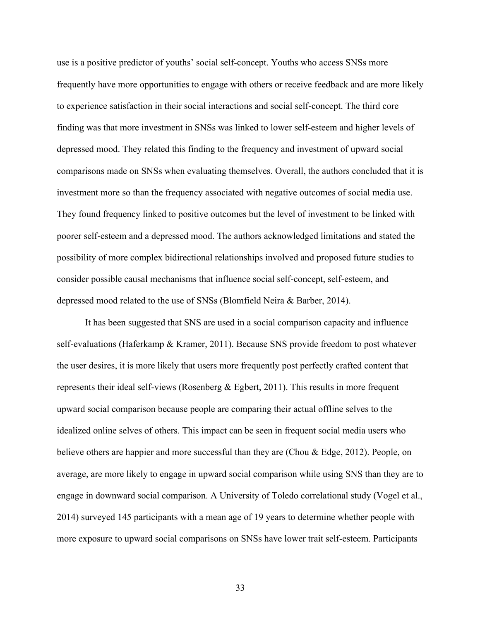use is a positive predictor of youths' social self-concept. Youths who access SNSs more frequently have more opportunities to engage with others or receive feedback and are more likely to experience satisfaction in their social interactions and social self-concept. The third core finding was that more investment in SNSs was linked to lower self-esteem and higher levels of depressed mood. They related this finding to the frequency and investment of upward social comparisons made on SNSs when evaluating themselves. Overall, the authors concluded that it is investment more so than the frequency associated with negative outcomes of social media use. They found frequency linked to positive outcomes but the level of investment to be linked with poorer self-esteem and a depressed mood. The authors acknowledged limitations and stated the possibility of more complex bidirectional relationships involved and proposed future studies to consider possible causal mechanisms that influence social self-concept, self-esteem, and depressed mood related to the use of SNSs (Blomfield Neira & Barber, 2014).

It has been suggested that SNS are used in a social comparison capacity and influence self-evaluations (Haferkamp & Kramer, 2011). Because SNS provide freedom to post whatever the user desires, it is more likely that users more frequently post perfectly crafted content that represents their ideal self-views (Rosenberg & Egbert, 2011). This results in more frequent upward social comparison because people are comparing their actual offline selves to the idealized online selves of others. This impact can be seen in frequent social media users who believe others are happier and more successful than they are (Chou & Edge, 2012). People, on average, are more likely to engage in upward social comparison while using SNS than they are to engage in downward social comparison. A University of Toledo correlational study (Vogel et al., 2014) surveyed 145 participants with a mean age of 19 years to determine whether people with more exposure to upward social comparisons on SNSs have lower trait self-esteem. Participants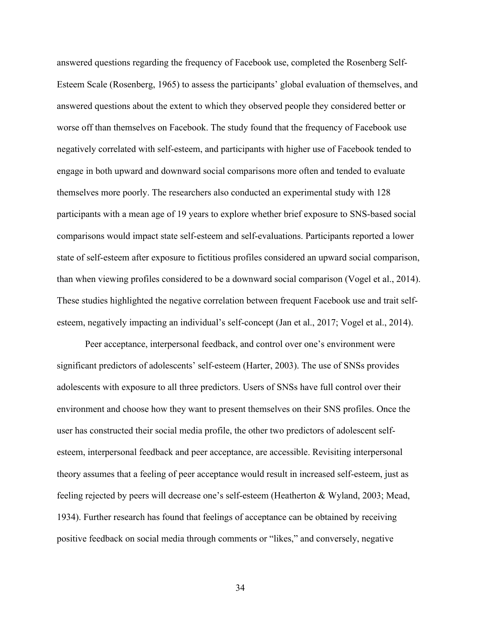answered questions regarding the frequency of Facebook use, completed the Rosenberg Self-Esteem Scale (Rosenberg, 1965) to assess the participants' global evaluation of themselves, and answered questions about the extent to which they observed people they considered better or worse off than themselves on Facebook. The study found that the frequency of Facebook use negatively correlated with self-esteem, and participants with higher use of Facebook tended to engage in both upward and downward social comparisons more often and tended to evaluate themselves more poorly. The researchers also conducted an experimental study with 128 participants with a mean age of 19 years to explore whether brief exposure to SNS-based social comparisons would impact state self-esteem and self-evaluations. Participants reported a lower state of self-esteem after exposure to fictitious profiles considered an upward social comparison, than when viewing profiles considered to be a downward social comparison (Vogel et al., 2014). These studies highlighted the negative correlation between frequent Facebook use and trait selfesteem, negatively impacting an individual's self-concept (Jan et al., 2017; Vogel et al., 2014).

Peer acceptance, interpersonal feedback, and control over one's environment were significant predictors of adolescents' self-esteem (Harter, 2003). The use of SNSs provides adolescents with exposure to all three predictors. Users of SNSs have full control over their environment and choose how they want to present themselves on their SNS profiles. Once the user has constructed their social media profile, the other two predictors of adolescent selfesteem, interpersonal feedback and peer acceptance, are accessible. Revisiting interpersonal theory assumes that a feeling of peer acceptance would result in increased self-esteem, just as feeling rejected by peers will decrease one's self-esteem (Heatherton & Wyland, 2003; Mead, 1934). Further research has found that feelings of acceptance can be obtained by receiving positive feedback on social media through comments or "likes," and conversely, negative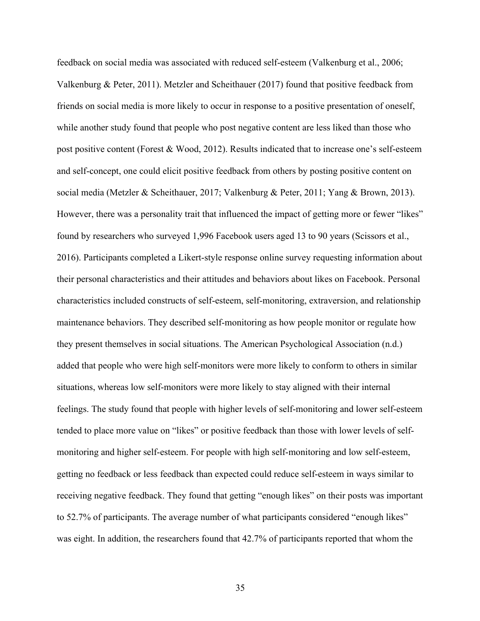feedback on social media was associated with reduced self-esteem (Valkenburg et al., 2006; Valkenburg & Peter, 2011). Metzler and Scheithauer (2017) found that positive feedback from friends on social media is more likely to occur in response to a positive presentation of oneself, while another study found that people who post negative content are less liked than those who post positive content (Forest & Wood, 2012). Results indicated that to increase one's self-esteem and self-concept, one could elicit positive feedback from others by posting positive content on social media (Metzler & Scheithauer, 2017; Valkenburg & Peter, 2011; Yang & Brown, 2013). However, there was a personality trait that influenced the impact of getting more or fewer "likes" found by researchers who surveyed 1,996 Facebook users aged 13 to 90 years (Scissors et al., 2016). Participants completed a Likert-style response online survey requesting information about their personal characteristics and their attitudes and behaviors about likes on Facebook. Personal characteristics included constructs of self-esteem, self-monitoring, extraversion, and relationship maintenance behaviors. They described self-monitoring as how people monitor or regulate how they present themselves in social situations. The American Psychological Association (n.d.) added that people who were high self-monitors were more likely to conform to others in similar situations, whereas low self-monitors were more likely to stay aligned with their internal feelings. The study found that people with higher levels of self-monitoring and lower self-esteem tended to place more value on "likes" or positive feedback than those with lower levels of selfmonitoring and higher self-esteem. For people with high self-monitoring and low self-esteem, getting no feedback or less feedback than expected could reduce self-esteem in ways similar to receiving negative feedback. They found that getting "enough likes" on their posts was important to 52.7% of participants. The average number of what participants considered "enough likes" was eight. In addition, the researchers found that 42.7% of participants reported that whom the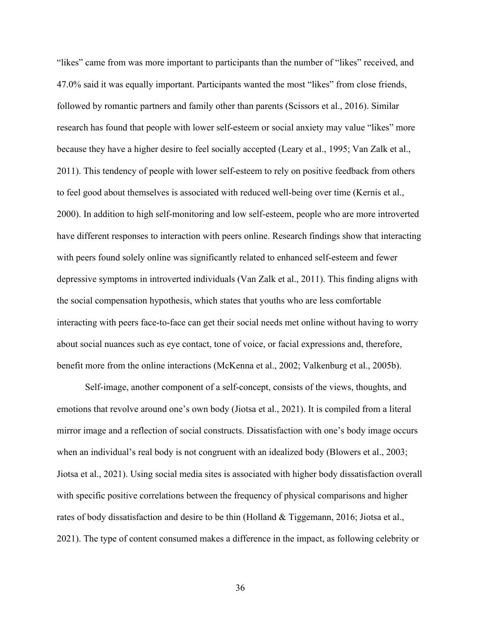"likes" came from was more important to participants than the number of "likes" received, and 47.0% said it was equally important. Participants wanted the most "likes" from close friends, followed by romantic partners and family other than parents (Scissors et al., 2016). Similar research has found that people with lower self-esteem or social anxiety may value "likes" more because they have a higher desire to feel socially accepted (Leary et al., 1995; Van Zalk et al., 2011). This tendency of people with lower self-esteem to rely on positive feedback from others to feel good about themselves is associated with reduced well-being over time (Kernis et al., 2000). In addition to high self-monitoring and low self-esteem, people who are more introverted have different responses to interaction with peers online. Research findings show that interacting with peers found solely online was significantly related to enhanced self-esteem and fewer depressive symptoms in introverted individuals (Van Zalk et al., 2011). This finding aligns with the social compensation hypothesis, which states that youths who are less comfortable interacting with peers face-to-face can get their social needs met online without having to worry about social nuances such as eye contact, tone of voice, or facial expressions and, therefore, benefit more from the online interactions (McKenna et al., 2002; Valkenburg et al., 2005b).

Self-image, another component of a self-concept, consists of the views, thoughts, and emotions that revolve around one's own body (Jiotsa et al., 2021). It is compiled from a literal mirror image and a reflection of social constructs. Dissatisfaction with one's body image occurs when an individual's real body is not congruent with an idealized body (Blowers et al., 2003; Jiotsa et al., 2021). Using social media sites is associated with higher body dissatisfaction overall with specific positive correlations between the frequency of physical comparisons and higher rates of body dissatisfaction and desire to be thin (Holland & Tiggemann, 2016; Jiotsa et al., 2021). The type of content consumed makes a difference in the impact, as following celebrity or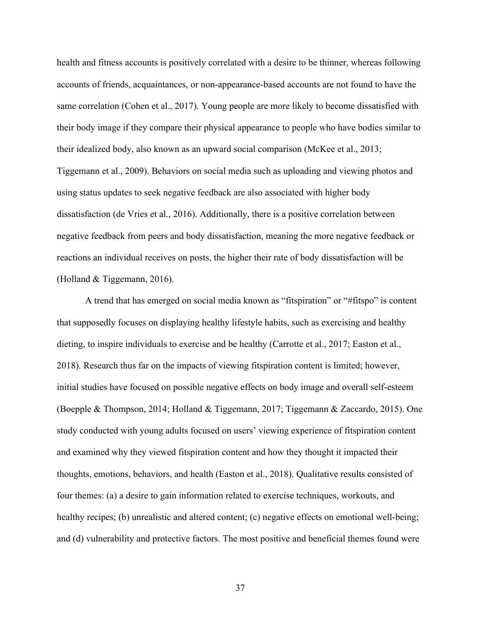health and fitness accounts is positively correlated with a desire to be thinner, whereas following accounts of friends, acquaintances, or non-appearance-based accounts are not found to have the same correlation (Cohen et al., 2017). Young people are more likely to become dissatisfied with their body image if they compare their physical appearance to people who have bodies similar to their idealized body, also known as an upward social comparison (McKee et al., 2013; Tiggemann et al., 2009). Behaviors on social media such as uploading and viewing photos and using status updates to seek negative feedback are also associated with higher body dissatisfaction (de Vries et al., 2016). Additionally, there is a positive correlation between negative feedback from peers and body dissatisfaction, meaning the more negative feedback or reactions an individual receives on posts, the higher their rate of body dissatisfaction will be (Holland & Tiggemann, 2016).

A trend that has emerged on social media known as "fitspiration" or "#fitspo" is content that supposedly focuses on displaying healthy lifestyle habits, such as exercising and healthy dieting, to inspire individuals to exercise and be healthy (Carrotte et al., 2017; Easton et al., 2018). Research thus far on the impacts of viewing fitspiration content is limited; however, initial studies have focused on possible negative effects on body image and overall self-esteem (Boepple & Thompson, 2014; Holland & Tiggemann, 2017; Tiggemann & Zaccardo, 2015). One study conducted with young adults focused on users' viewing experience of fitspiration content and examined why they viewed fitspiration content and how they thought it impacted their thoughts, emotions, behaviors, and health (Easton et al., 2018). Qualitative results consisted of four themes: (a) a desire to gain information related to exercise techniques, workouts, and healthy recipes; (b) unrealistic and altered content; (c) negative effects on emotional well-being; and (d) vulnerability and protective factors. The most positive and beneficial themes found were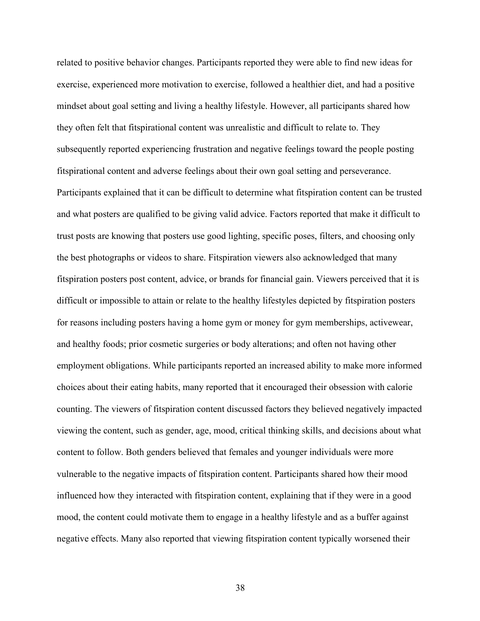related to positive behavior changes. Participants reported they were able to find new ideas for exercise, experienced more motivation to exercise, followed a healthier diet, and had a positive mindset about goal setting and living a healthy lifestyle. However, all participants shared how they often felt that fitspirational content was unrealistic and difficult to relate to. They subsequently reported experiencing frustration and negative feelings toward the people posting fitspirational content and adverse feelings about their own goal setting and perseverance. Participants explained that it can be difficult to determine what fitspiration content can be trusted and what posters are qualified to be giving valid advice. Factors reported that make it difficult to trust posts are knowing that posters use good lighting, specific poses, filters, and choosing only the best photographs or videos to share. Fitspiration viewers also acknowledged that many fitspiration posters post content, advice, or brands for financial gain. Viewers perceived that it is difficult or impossible to attain or relate to the healthy lifestyles depicted by fitspiration posters for reasons including posters having a home gym or money for gym memberships, activewear, and healthy foods; prior cosmetic surgeries or body alterations; and often not having other employment obligations. While participants reported an increased ability to make more informed choices about their eating habits, many reported that it encouraged their obsession with calorie counting. The viewers of fitspiration content discussed factors they believed negatively impacted viewing the content, such as gender, age, mood, critical thinking skills, and decisions about what content to follow. Both genders believed that females and younger individuals were more vulnerable to the negative impacts of fitspiration content. Participants shared how their mood influenced how they interacted with fitspiration content, explaining that if they were in a good mood, the content could motivate them to engage in a healthy lifestyle and as a buffer against negative effects. Many also reported that viewing fitspiration content typically worsened their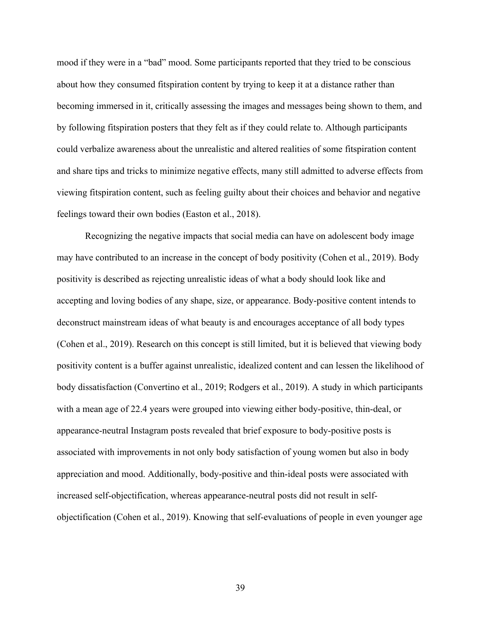mood if they were in a "bad" mood. Some participants reported that they tried to be conscious about how they consumed fitspiration content by trying to keep it at a distance rather than becoming immersed in it, critically assessing the images and messages being shown to them, and by following fitspiration posters that they felt as if they could relate to. Although participants could verbalize awareness about the unrealistic and altered realities of some fitspiration content and share tips and tricks to minimize negative effects, many still admitted to adverse effects from viewing fitspiration content, such as feeling guilty about their choices and behavior and negative feelings toward their own bodies (Easton et al., 2018).

Recognizing the negative impacts that social media can have on adolescent body image may have contributed to an increase in the concept of body positivity (Cohen et al., 2019). Body positivity is described as rejecting unrealistic ideas of what a body should look like and accepting and loving bodies of any shape, size, or appearance. Body-positive content intends to deconstruct mainstream ideas of what beauty is and encourages acceptance of all body types (Cohen et al., 2019). Research on this concept is still limited, but it is believed that viewing body positivity content is a buffer against unrealistic, idealized content and can lessen the likelihood of body dissatisfaction (Convertino et al., 2019; Rodgers et al., 2019). A study in which participants with a mean age of 22.4 years were grouped into viewing either body-positive, thin-deal, or appearance-neutral Instagram posts revealed that brief exposure to body-positive posts is associated with improvements in not only body satisfaction of young women but also in body appreciation and mood. Additionally, body-positive and thin-ideal posts were associated with increased self-objectification, whereas appearance-neutral posts did not result in selfobjectification (Cohen et al., 2019). Knowing that self-evaluations of people in even younger age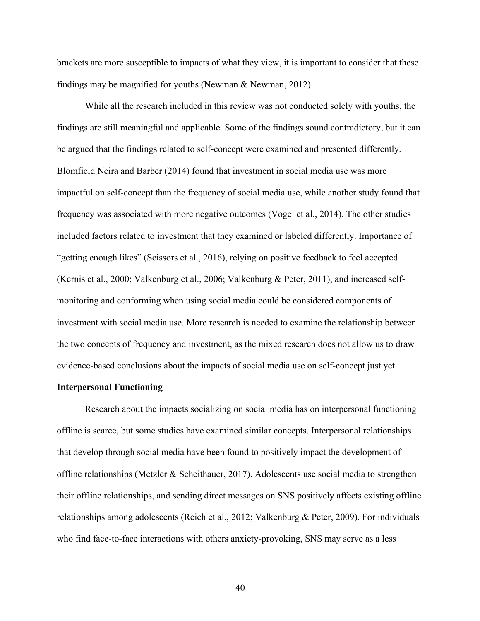brackets are more susceptible to impacts of what they view, it is important to consider that these findings may be magnified for youths (Newman & Newman, 2012).

While all the research included in this review was not conducted solely with youths, the findings are still meaningful and applicable. Some of the findings sound contradictory, but it can be argued that the findings related to self-concept were examined and presented differently. Blomfield Neira and Barber (2014) found that investment in social media use was more impactful on self-concept than the frequency of social media use, while another study found that frequency was associated with more negative outcomes (Vogel et al., 2014). The other studies included factors related to investment that they examined or labeled differently. Importance of "getting enough likes" (Scissors et al., 2016), relying on positive feedback to feel accepted (Kernis et al., 2000; Valkenburg et al., 2006; Valkenburg & Peter, 2011), and increased selfmonitoring and conforming when using social media could be considered components of investment with social media use. More research is needed to examine the relationship between the two concepts of frequency and investment, as the mixed research does not allow us to draw evidence-based conclusions about the impacts of social media use on self-concept just yet.

# **Interpersonal Functioning**

Research about the impacts socializing on social media has on interpersonal functioning offline is scarce, but some studies have examined similar concepts. Interpersonal relationships that develop through social media have been found to positively impact the development of offline relationships (Metzler & Scheithauer, 2017). Adolescents use social media to strengthen their offline relationships, and sending direct messages on SNS positively affects existing offline relationships among adolescents (Reich et al., 2012; Valkenburg & Peter, 2009). For individuals who find face-to-face interactions with others anxiety-provoking, SNS may serve as a less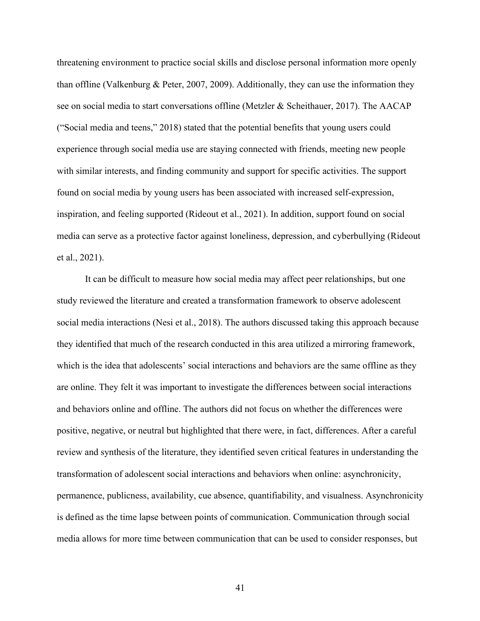threatening environment to practice social skills and disclose personal information more openly than offline (Valkenburg & Peter, 2007, 2009). Additionally, they can use the information they see on social media to start conversations offline (Metzler & Scheithauer, 2017). The AACAP ("Social media and teens," 2018) stated that the potential benefits that young users could experience through social media use are staying connected with friends, meeting new people with similar interests, and finding community and support for specific activities. The support found on social media by young users has been associated with increased self-expression, inspiration, and feeling supported (Rideout et al., 2021). In addition, support found on social media can serve as a protective factor against loneliness, depression, and cyberbullying (Rideout et al., 2021).

It can be difficult to measure how social media may affect peer relationships, but one study reviewed the literature and created a transformation framework to observe adolescent social media interactions (Nesi et al., 2018). The authors discussed taking this approach because they identified that much of the research conducted in this area utilized a mirroring framework, which is the idea that adolescents' social interactions and behaviors are the same offline as they are online. They felt it was important to investigate the differences between social interactions and behaviors online and offline. The authors did not focus on whether the differences were positive, negative, or neutral but highlighted that there were, in fact, differences. After a careful review and synthesis of the literature, they identified seven critical features in understanding the transformation of adolescent social interactions and behaviors when online: asynchronicity, permanence, publicness, availability, cue absence, quantifiability, and visualness. Asynchronicity is defined as the time lapse between points of communication. Communication through social media allows for more time between communication that can be used to consider responses, but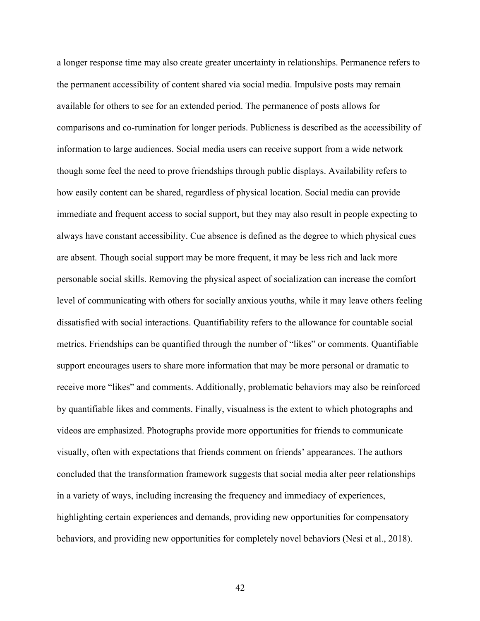a longer response time may also create greater uncertainty in relationships. Permanence refers to the permanent accessibility of content shared via social media. Impulsive posts may remain available for others to see for an extended period. The permanence of posts allows for comparisons and co-rumination for longer periods. Publicness is described as the accessibility of information to large audiences. Social media users can receive support from a wide network though some feel the need to prove friendships through public displays. Availability refers to how easily content can be shared, regardless of physical location. Social media can provide immediate and frequent access to social support, but they may also result in people expecting to always have constant accessibility. Cue absence is defined as the degree to which physical cues are absent. Though social support may be more frequent, it may be less rich and lack more personable social skills. Removing the physical aspect of socialization can increase the comfort level of communicating with others for socially anxious youths, while it may leave others feeling dissatisfied with social interactions. Quantifiability refers to the allowance for countable social metrics. Friendships can be quantified through the number of "likes" or comments. Quantifiable support encourages users to share more information that may be more personal or dramatic to receive more "likes" and comments. Additionally, problematic behaviors may also be reinforced by quantifiable likes and comments. Finally, visualness is the extent to which photographs and videos are emphasized. Photographs provide more opportunities for friends to communicate visually, often with expectations that friends comment on friends' appearances. The authors concluded that the transformation framework suggests that social media alter peer relationships in a variety of ways, including increasing the frequency and immediacy of experiences, highlighting certain experiences and demands, providing new opportunities for compensatory behaviors, and providing new opportunities for completely novel behaviors (Nesi et al., 2018).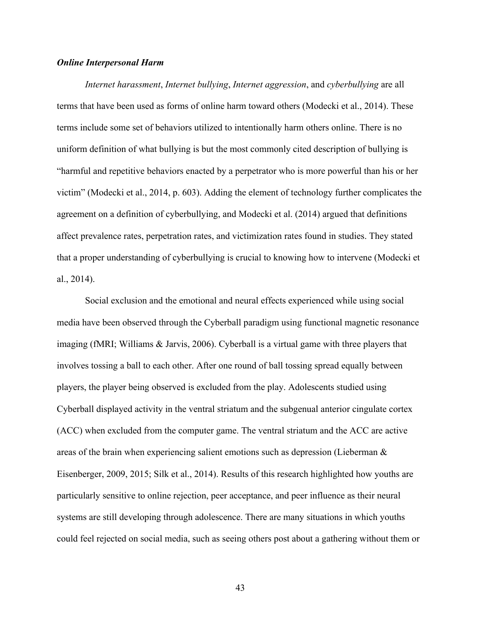# *Online Interpersonal Harm*

*Internet harassment*, *Internet bullying*, *Internet aggression*, and *cyberbullying* are all terms that have been used as forms of online harm toward others (Modecki et al., 2014). These terms include some set of behaviors utilized to intentionally harm others online. There is no uniform definition of what bullying is but the most commonly cited description of bullying is "harmful and repetitive behaviors enacted by a perpetrator who is more powerful than his or her victim" (Modecki et al., 2014, p. 603). Adding the element of technology further complicates the agreement on a definition of cyberbullying, and Modecki et al. (2014) argued that definitions affect prevalence rates, perpetration rates, and victimization rates found in studies. They stated that a proper understanding of cyberbullying is crucial to knowing how to intervene (Modecki et al., 2014).

Social exclusion and the emotional and neural effects experienced while using social media have been observed through the Cyberball paradigm using functional magnetic resonance imaging (fMRI; Williams & Jarvis, 2006). Cyberball is a virtual game with three players that involves tossing a ball to each other. After one round of ball tossing spread equally between players, the player being observed is excluded from the play. Adolescents studied using Cyberball displayed activity in the ventral striatum and the subgenual anterior cingulate cortex (ACC) when excluded from the computer game. The ventral striatum and the ACC are active areas of the brain when experiencing salient emotions such as depression (Lieberman & Eisenberger, 2009, 2015; Silk et al., 2014). Results of this research highlighted how youths are particularly sensitive to online rejection, peer acceptance, and peer influence as their neural systems are still developing through adolescence. There are many situations in which youths could feel rejected on social media, such as seeing others post about a gathering without them or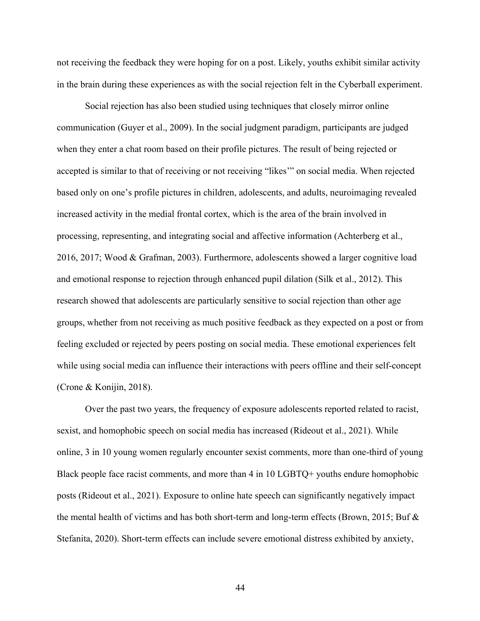not receiving the feedback they were hoping for on a post. Likely, youths exhibit similar activity in the brain during these experiences as with the social rejection felt in the Cyberball experiment.

Social rejection has also been studied using techniques that closely mirror online communication (Guyer et al., 2009). In the social judgment paradigm, participants are judged when they enter a chat room based on their profile pictures. The result of being rejected or accepted is similar to that of receiving or not receiving "likes'" on social media. When rejected based only on one's profile pictures in children, adolescents, and adults, neuroimaging revealed increased activity in the medial frontal cortex, which is the area of the brain involved in processing, representing, and integrating social and affective information (Achterberg et al., 2016, 2017; Wood & Grafman, 2003). Furthermore, adolescents showed a larger cognitive load and emotional response to rejection through enhanced pupil dilation (Silk et al., 2012). This research showed that adolescents are particularly sensitive to social rejection than other age groups, whether from not receiving as much positive feedback as they expected on a post or from feeling excluded or rejected by peers posting on social media. These emotional experiences felt while using social media can influence their interactions with peers offline and their self-concept (Crone & Konijin, 2018).

Over the past two years, the frequency of exposure adolescents reported related to racist, sexist, and homophobic speech on social media has increased (Rideout et al., 2021). While online, 3 in 10 young women regularly encounter sexist comments, more than one-third of young Black people face racist comments, and more than 4 in 10 LGBTQ+ youths endure homophobic posts (Rideout et al., 2021). Exposure to online hate speech can significantly negatively impact the mental health of victims and has both short-term and long-term effects (Brown, 2015; Buf & Stefanita, 2020). Short-term effects can include severe emotional distress exhibited by anxiety,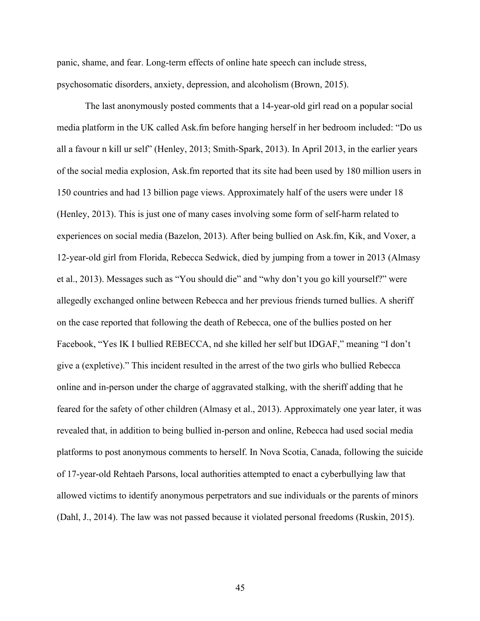panic, shame, and fear. Long-term effects of online hate speech can include stress, psychosomatic disorders, anxiety, depression, and alcoholism (Brown, 2015).

The last anonymously posted comments that a 14-year-old girl read on a popular social media platform in the UK called Ask.fm before hanging herself in her bedroom included: "Do us all a favour n kill ur self" (Henley, 2013; Smith-Spark, 2013). In April 2013, in the earlier years of the social media explosion, Ask.fm reported that its site had been used by 180 million users in 150 countries and had 13 billion page views. Approximately half of the users were under 18 (Henley, 2013). This is just one of many cases involving some form of self-harm related to experiences on social media (Bazelon, 2013). After being bullied on Ask.fm, Kik, and Voxer, a 12-year-old girl from Florida, Rebecca Sedwick, died by jumping from a tower in 2013 (Almasy et al., 2013). Messages such as "You should die" and "why don't you go kill yourself?" were allegedly exchanged online between Rebecca and her previous friends turned bullies. A sheriff on the case reported that following the death of Rebecca, one of the bullies posted on her Facebook, "Yes IK I bullied REBECCA, nd she killed her self but IDGAF," meaning "I don't give a (expletive)." This incident resulted in the arrest of the two girls who bullied Rebecca online and in-person under the charge of aggravated stalking, with the sheriff adding that he feared for the safety of other children (Almasy et al., 2013). Approximately one year later, it was revealed that, in addition to being bullied in-person and online, Rebecca had used social media platforms to post anonymous comments to herself. In Nova Scotia, Canada, following the suicide of 17-year-old Rehtaeh Parsons, local authorities attempted to enact a cyberbullying law that allowed victims to identify anonymous perpetrators and sue individuals or the parents of minors (Dahl, J., 2014). The law was not passed because it violated personal freedoms (Ruskin, 2015).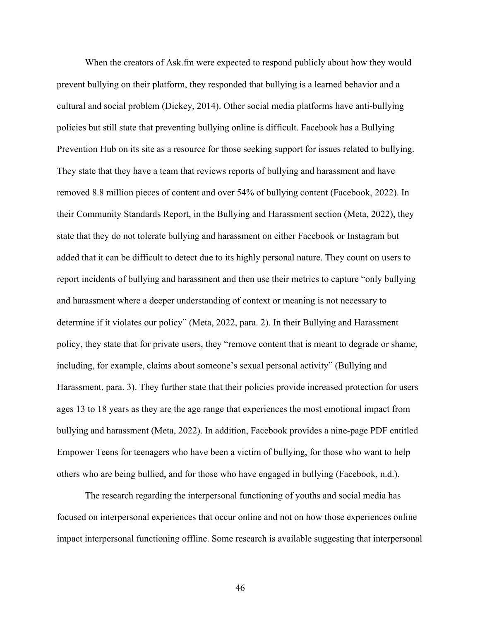When the creators of Ask.fm were expected to respond publicly about how they would prevent bullying on their platform, they responded that bullying is a learned behavior and a cultural and social problem (Dickey, 2014). Other social media platforms have anti-bullying policies but still state that preventing bullying online is difficult. Facebook has a Bullying Prevention Hub on its site as a resource for those seeking support for issues related to bullying. They state that they have a team that reviews reports of bullying and harassment and have removed 8.8 million pieces of content and over 54% of bullying content (Facebook, 2022). In their Community Standards Report, in the Bullying and Harassment section (Meta, 2022), they state that they do not tolerate bullying and harassment on either Facebook or Instagram but added that it can be difficult to detect due to its highly personal nature. They count on users to report incidents of bullying and harassment and then use their metrics to capture "only bullying and harassment where a deeper understanding of context or meaning is not necessary to determine if it violates our policy" (Meta, 2022, para. 2). In their Bullying and Harassment policy, they state that for private users, they "remove content that is meant to degrade or shame, including, for example, claims about someone's sexual personal activity" (Bullying and Harassment, para. 3). They further state that their policies provide increased protection for users ages 13 to 18 years as they are the age range that experiences the most emotional impact from bullying and harassment (Meta, 2022). In addition, Facebook provides a nine-page PDF entitled Empower Teens for teenagers who have been a victim of bullying, for those who want to help others who are being bullied, and for those who have engaged in bullying (Facebook, n.d.).

The research regarding the interpersonal functioning of youths and social media has focused on interpersonal experiences that occur online and not on how those experiences online impact interpersonal functioning offline. Some research is available suggesting that interpersonal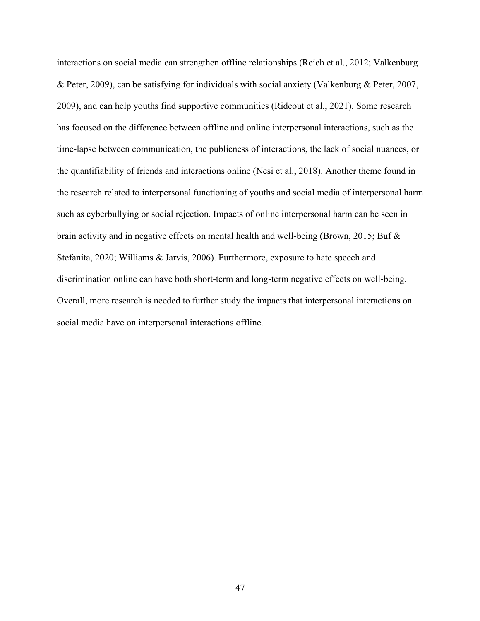interactions on social media can strengthen offline relationships (Reich et al., 2012; Valkenburg & Peter, 2009), can be satisfying for individuals with social anxiety (Valkenburg & Peter, 2007, 2009), and can help youths find supportive communities (Rideout et al., 2021). Some research has focused on the difference between offline and online interpersonal interactions, such as the time-lapse between communication, the publicness of interactions, the lack of social nuances, or the quantifiability of friends and interactions online (Nesi et al., 2018). Another theme found in the research related to interpersonal functioning of youths and social media of interpersonal harm such as cyberbullying or social rejection. Impacts of online interpersonal harm can be seen in brain activity and in negative effects on mental health and well-being (Brown, 2015; Buf & Stefanita, 2020; Williams & Jarvis, 2006). Furthermore, exposure to hate speech and discrimination online can have both short-term and long-term negative effects on well-being. Overall, more research is needed to further study the impacts that interpersonal interactions on social media have on interpersonal interactions offline.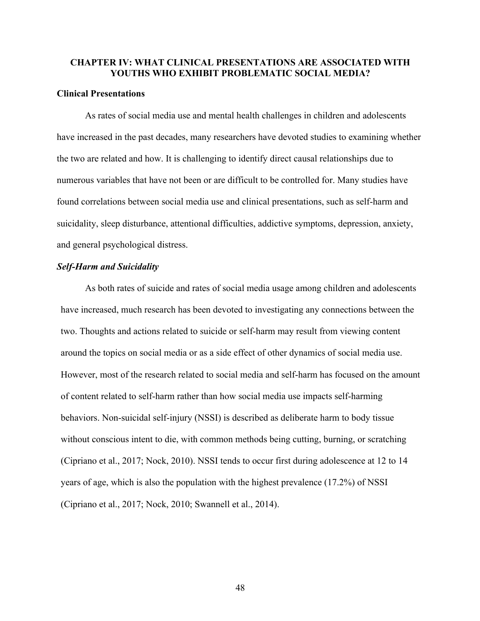# **CHAPTER IV: WHAT CLINICAL PRESENTATIONS ARE ASSOCIATED WITH YOUTHS WHO EXHIBIT PROBLEMATIC SOCIAL MEDIA?**

### **Clinical Presentations**

As rates of social media use and mental health challenges in children and adolescents have increased in the past decades, many researchers have devoted studies to examining whether the two are related and how. It is challenging to identify direct causal relationships due to numerous variables that have not been or are difficult to be controlled for. Many studies have found correlations between social media use and clinical presentations, such as self-harm and suicidality, sleep disturbance, attentional difficulties, addictive symptoms, depression, anxiety, and general psychological distress.

### *Self-Harm and Suicidality*

As both rates of suicide and rates of social media usage among children and adolescents have increased, much research has been devoted to investigating any connections between the two. Thoughts and actions related to suicide or self-harm may result from viewing content around the topics on social media or as a side effect of other dynamics of social media use. However, most of the research related to social media and self-harm has focused on the amount of content related to self-harm rather than how social media use impacts self-harming behaviors. Non-suicidal self-injury (NSSI) is described as deliberate harm to body tissue without conscious intent to die, with common methods being cutting, burning, or scratching (Cipriano et al., 2017; Nock, 2010). NSSI tends to occur first during adolescence at 12 to 14 years of age, which is also the population with the highest prevalence (17.2%) of NSSI (Cipriano et al., 2017; Nock, 2010; Swannell et al., 2014).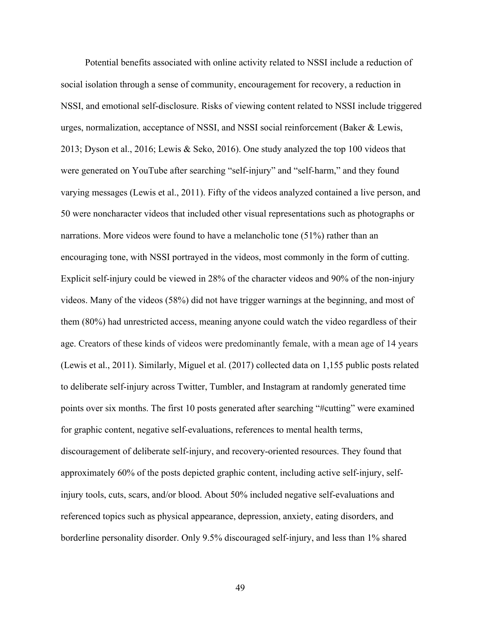Potential benefits associated with online activity related to NSSI include a reduction of social isolation through a sense of community, encouragement for recovery, a reduction in NSSI, and emotional self-disclosure. Risks of viewing content related to NSSI include triggered urges, normalization, acceptance of NSSI, and NSSI social reinforcement (Baker & Lewis, 2013; Dyson et al., 2016; Lewis & Seko, 2016). One study analyzed the top 100 videos that were generated on YouTube after searching "self-injury" and "self-harm," and they found varying messages (Lewis et al., 2011). Fifty of the videos analyzed contained a live person, and 50 were noncharacter videos that included other visual representations such as photographs or narrations. More videos were found to have a melancholic tone (51%) rather than an encouraging tone, with NSSI portrayed in the videos, most commonly in the form of cutting. Explicit self-injury could be viewed in 28% of the character videos and 90% of the non-injury videos. Many of the videos (58%) did not have trigger warnings at the beginning, and most of them (80%) had unrestricted access, meaning anyone could watch the video regardless of their age. Creators of these kinds of videos were predominantly female, with a mean age of 14 years (Lewis et al., 2011). Similarly, Miguel et al. (2017) collected data on 1,155 public posts related to deliberate self-injury across Twitter, Tumbler, and Instagram at randomly generated time points over six months. The first 10 posts generated after searching "#cutting" were examined for graphic content, negative self-evaluations, references to mental health terms, discouragement of deliberate self-injury, and recovery-oriented resources. They found that approximately 60% of the posts depicted graphic content, including active self-injury, selfinjury tools, cuts, scars, and/or blood. About 50% included negative self-evaluations and referenced topics such as physical appearance, depression, anxiety, eating disorders, and borderline personality disorder. Only 9.5% discouraged self-injury, and less than 1% shared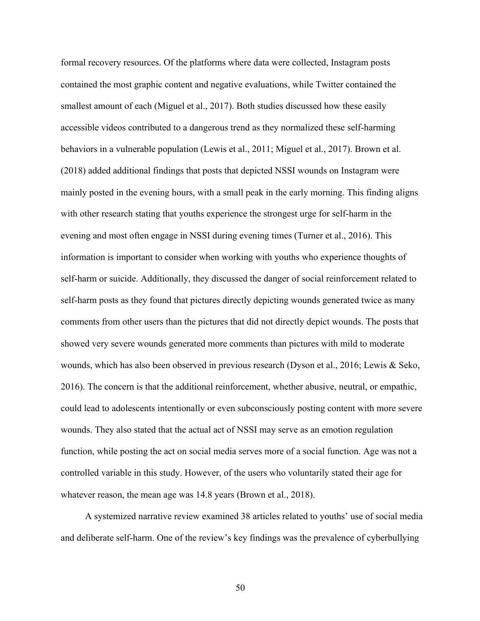formal recovery resources. Of the platforms where data were collected, Instagram posts contained the most graphic content and negative evaluations, while Twitter contained the smallest amount of each (Miguel et al., 2017). Both studies discussed how these easily accessible videos contributed to a dangerous trend as they normalized these self-harming behaviors in a vulnerable population (Lewis et al., 2011; Miguel et al., 2017). Brown et al. (2018) added additional findings that posts that depicted NSSI wounds on Instagram were mainly posted in the evening hours, with a small peak in the early morning. This finding aligns with other research stating that youths experience the strongest urge for self-harm in the evening and most often engage in NSSI during evening times (Turner et al., 2016). This information is important to consider when working with youths who experience thoughts of self-harm or suicide. Additionally, they discussed the danger of social reinforcement related to self-harm posts as they found that pictures directly depicting wounds generated twice as many comments from other users than the pictures that did not directly depict wounds. The posts that showed very severe wounds generated more comments than pictures with mild to moderate wounds, which has also been observed in previous research (Dyson et al., 2016; Lewis & Seko, 2016). The concern is that the additional reinforcement, whether abusive, neutral, or empathic, could lead to adolescents intentionally or even subconsciously posting content with more severe wounds. They also stated that the actual act of NSSI may serve as an emotion regulation function, while posting the act on social media serves more of a social function. Age was not a controlled variable in this study. However, of the users who voluntarily stated their age for whatever reason, the mean age was 14.8 years (Brown et al., 2018).

A systemized narrative review examined 38 articles related to youths' use of social media and deliberate self-harm. One of the review's key findings was the prevalence of cyberbullying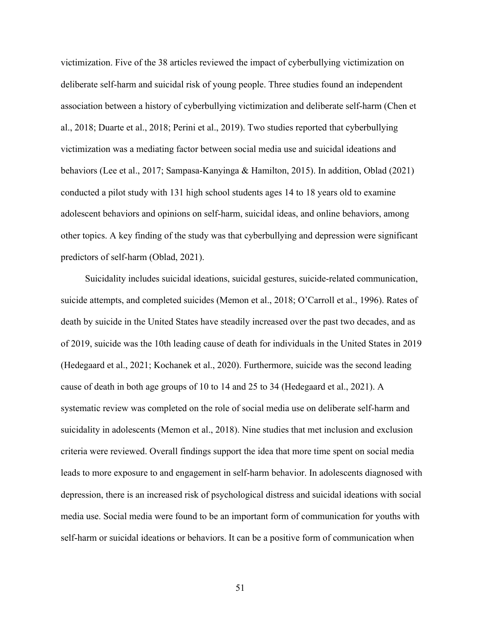victimization. Five of the 38 articles reviewed the impact of cyberbullying victimization on deliberate self-harm and suicidal risk of young people. Three studies found an independent association between a history of cyberbullying victimization and deliberate self-harm (Chen et al., 2018; Duarte et al., 2018; Perini et al., 2019). Two studies reported that cyberbullying victimization was a mediating factor between social media use and suicidal ideations and behaviors (Lee et al., 2017; Sampasa-Kanyinga & Hamilton, 2015). In addition, Oblad (2021) conducted a pilot study with 131 high school students ages 14 to 18 years old to examine adolescent behaviors and opinions on self-harm, suicidal ideas, and online behaviors, among other topics. A key finding of the study was that cyberbullying and depression were significant predictors of self-harm (Oblad, 2021).

Suicidality includes suicidal ideations, suicidal gestures, suicide-related communication, suicide attempts, and completed suicides (Memon et al., 2018; O'Carroll et al., 1996). Rates of death by suicide in the United States have steadily increased over the past two decades, and as of 2019, suicide was the 10th leading cause of death for individuals in the United States in 2019 (Hedegaard et al., 2021; Kochanek et al., 2020). Furthermore, suicide was the second leading cause of death in both age groups of 10 to 14 and 25 to 34 (Hedegaard et al., 2021). A systematic review was completed on the role of social media use on deliberate self-harm and suicidality in adolescents (Memon et al., 2018). Nine studies that met inclusion and exclusion criteria were reviewed. Overall findings support the idea that more time spent on social media leads to more exposure to and engagement in self-harm behavior. In adolescents diagnosed with depression, there is an increased risk of psychological distress and suicidal ideations with social media use. Social media were found to be an important form of communication for youths with self-harm or suicidal ideations or behaviors. It can be a positive form of communication when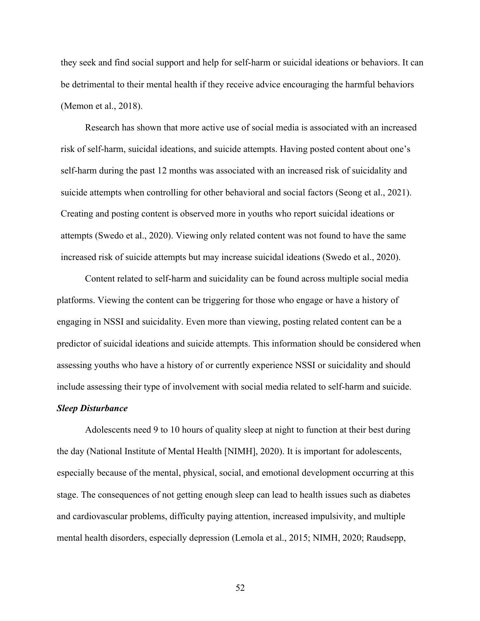they seek and find social support and help for self-harm or suicidal ideations or behaviors. It can be detrimental to their mental health if they receive advice encouraging the harmful behaviors (Memon et al., 2018).

Research has shown that more active use of social media is associated with an increased risk of self-harm, suicidal ideations, and suicide attempts. Having posted content about one's self-harm during the past 12 months was associated with an increased risk of suicidality and suicide attempts when controlling for other behavioral and social factors (Seong et al., 2021). Creating and posting content is observed more in youths who report suicidal ideations or attempts (Swedo et al., 2020). Viewing only related content was not found to have the same increased risk of suicide attempts but may increase suicidal ideations (Swedo et al., 2020).

Content related to self-harm and suicidality can be found across multiple social media platforms. Viewing the content can be triggering for those who engage or have a history of engaging in NSSI and suicidality. Even more than viewing, posting related content can be a predictor of suicidal ideations and suicide attempts. This information should be considered when assessing youths who have a history of or currently experience NSSI or suicidality and should include assessing their type of involvement with social media related to self-harm and suicide. *Sleep Disturbance*

Adolescents need 9 to 10 hours of quality sleep at night to function at their best during the day (National Institute of Mental Health [NIMH], 2020). It is important for adolescents, especially because of the mental, physical, social, and emotional development occurring at this stage. The consequences of not getting enough sleep can lead to health issues such as diabetes and cardiovascular problems, difficulty paying attention, increased impulsivity, and multiple mental health disorders, especially depression (Lemola et al., 2015; NIMH, 2020; Raudsepp,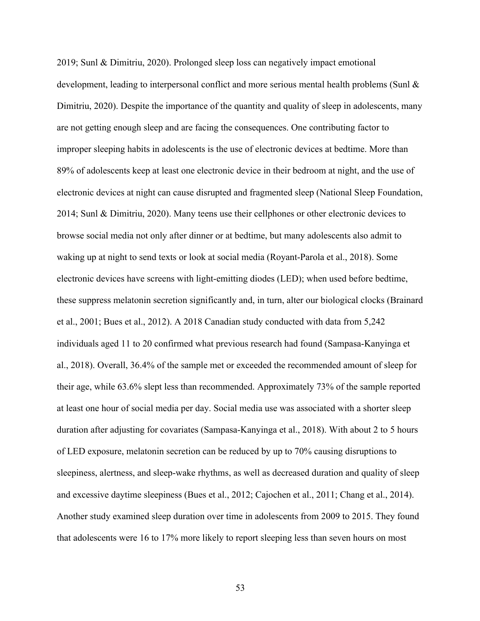2019; Sunl & Dimitriu, 2020). Prolonged sleep loss can negatively impact emotional development, leading to interpersonal conflict and more serious mental health problems (Sunl & Dimitriu, 2020). Despite the importance of the quantity and quality of sleep in adolescents, many are not getting enough sleep and are facing the consequences. One contributing factor to improper sleeping habits in adolescents is the use of electronic devices at bedtime. More than 89% of adolescents keep at least one electronic device in their bedroom at night, and the use of electronic devices at night can cause disrupted and fragmented sleep (National Sleep Foundation, 2014; Sunl & Dimitriu, 2020). Many teens use their cellphones or other electronic devices to browse social media not only after dinner or at bedtime, but many adolescents also admit to waking up at night to send texts or look at social media (Royant-Parola et al., 2018). Some electronic devices have screens with light-emitting diodes (LED); when used before bedtime, these suppress melatonin secretion significantly and, in turn, alter our biological clocks (Brainard et al., 2001; Bues et al., 2012). A 2018 Canadian study conducted with data from 5,242 individuals aged 11 to 20 confirmed what previous research had found (Sampasa-Kanyinga et al., 2018). Overall, 36.4% of the sample met or exceeded the recommended amount of sleep for their age, while 63.6% slept less than recommended. Approximately 73% of the sample reported at least one hour of social media per day. Social media use was associated with a shorter sleep duration after adjusting for covariates (Sampasa-Kanyinga et al., 2018). With about 2 to 5 hours of LED exposure, melatonin secretion can be reduced by up to 70% causing disruptions to sleepiness, alertness, and sleep-wake rhythms, as well as decreased duration and quality of sleep and excessive daytime sleepiness (Bues et al., 2012; Cajochen et al., 2011; Chang et al., 2014). Another study examined sleep duration over time in adolescents from 2009 to 2015. They found that adolescents were 16 to 17% more likely to report sleeping less than seven hours on most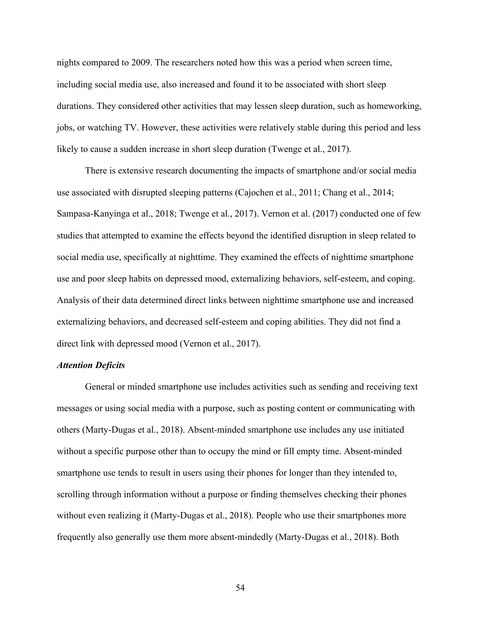nights compared to 2009. The researchers noted how this was a period when screen time, including social media use, also increased and found it to be associated with short sleep durations. They considered other activities that may lessen sleep duration, such as homeworking, jobs, or watching TV. However, these activities were relatively stable during this period and less likely to cause a sudden increase in short sleep duration (Twenge et al., 2017).

There is extensive research documenting the impacts of smartphone and/or social media use associated with disrupted sleeping patterns (Cajochen et al., 2011; Chang et al., 2014; Sampasa-Kanyinga et al., 2018; Twenge et al., 2017). Vernon et al. (2017) conducted one of few studies that attempted to examine the effects beyond the identified disruption in sleep related to social media use, specifically at nighttime. They examined the effects of nighttime smartphone use and poor sleep habits on depressed mood, externalizing behaviors, self-esteem, and coping. Analysis of their data determined direct links between nighttime smartphone use and increased externalizing behaviors, and decreased self-esteem and coping abilities. They did not find a direct link with depressed mood (Vernon et al., 2017).

#### *Attention Deficits*

General or minded smartphone use includes activities such as sending and receiving text messages or using social media with a purpose, such as posting content or communicating with others (Marty-Dugas et al., 2018). Absent-minded smartphone use includes any use initiated without a specific purpose other than to occupy the mind or fill empty time. Absent-minded smartphone use tends to result in users using their phones for longer than they intended to, scrolling through information without a purpose or finding themselves checking their phones without even realizing it (Marty-Dugas et al., 2018). People who use their smartphones more frequently also generally use them more absent-mindedly (Marty-Dugas et al., 2018). Both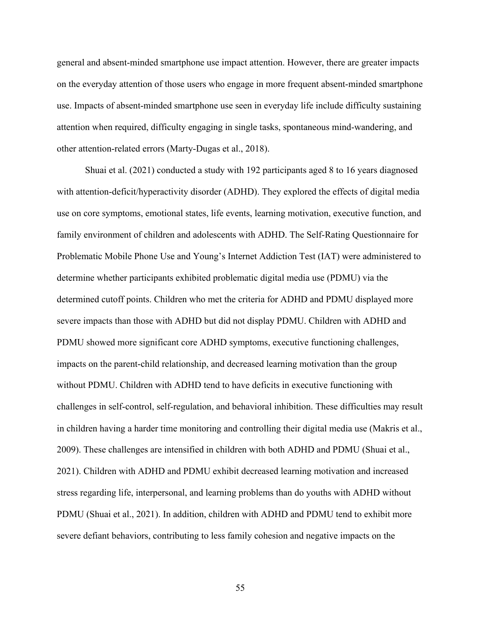general and absent-minded smartphone use impact attention. However, there are greater impacts on the everyday attention of those users who engage in more frequent absent-minded smartphone use. Impacts of absent-minded smartphone use seen in everyday life include difficulty sustaining attention when required, difficulty engaging in single tasks, spontaneous mind-wandering, and other attention-related errors (Marty-Dugas et al., 2018).

Shuai et al. (2021) conducted a study with 192 participants aged 8 to 16 years diagnosed with attention-deficit/hyperactivity disorder (ADHD). They explored the effects of digital media use on core symptoms, emotional states, life events, learning motivation, executive function, and family environment of children and adolescents with ADHD. The Self-Rating Questionnaire for Problematic Mobile Phone Use and Young's Internet Addiction Test (IAT) were administered to determine whether participants exhibited problematic digital media use (PDMU) via the determined cutoff points. Children who met the criteria for ADHD and PDMU displayed more severe impacts than those with ADHD but did not display PDMU. Children with ADHD and PDMU showed more significant core ADHD symptoms, executive functioning challenges, impacts on the parent-child relationship, and decreased learning motivation than the group without PDMU. Children with ADHD tend to have deficits in executive functioning with challenges in self-control, self-regulation, and behavioral inhibition. These difficulties may result in children having a harder time monitoring and controlling their digital media use (Makris et al., 2009). These challenges are intensified in children with both ADHD and PDMU (Shuai et al., 2021). Children with ADHD and PDMU exhibit decreased learning motivation and increased stress regarding life, interpersonal, and learning problems than do youths with ADHD without PDMU (Shuai et al., 2021). In addition, children with ADHD and PDMU tend to exhibit more severe defiant behaviors, contributing to less family cohesion and negative impacts on the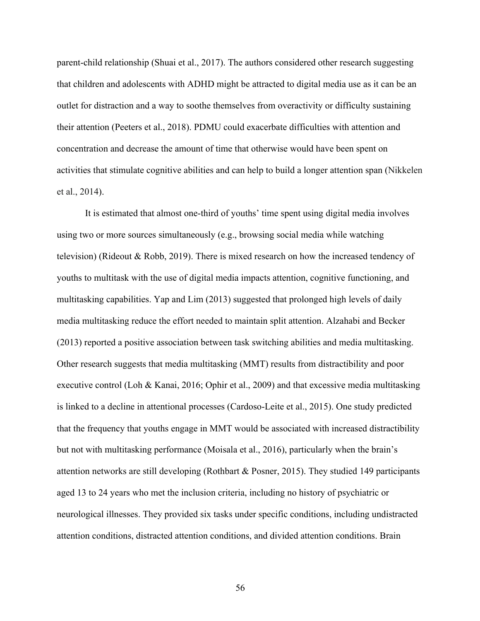parent-child relationship (Shuai et al., 2017). The authors considered other research suggesting that children and adolescents with ADHD might be attracted to digital media use as it can be an outlet for distraction and a way to soothe themselves from overactivity or difficulty sustaining their attention (Peeters et al., 2018). PDMU could exacerbate difficulties with attention and concentration and decrease the amount of time that otherwise would have been spent on activities that stimulate cognitive abilities and can help to build a longer attention span (Nikkelen et al., 2014).

It is estimated that almost one-third of youths' time spent using digital media involves using two or more sources simultaneously (e.g., browsing social media while watching television) (Rideout & Robb, 2019). There is mixed research on how the increased tendency of youths to multitask with the use of digital media impacts attention, cognitive functioning, and multitasking capabilities. Yap and Lim (2013) suggested that prolonged high levels of daily media multitasking reduce the effort needed to maintain split attention. Alzahabi and Becker (2013) reported a positive association between task switching abilities and media multitasking. Other research suggests that media multitasking (MMT) results from distractibility and poor executive control (Loh & Kanai, 2016; Ophir et al., 2009) and that excessive media multitasking is linked to a decline in attentional processes (Cardoso-Leite et al., 2015). One study predicted that the frequency that youths engage in MMT would be associated with increased distractibility but not with multitasking performance (Moisala et al., 2016), particularly when the brain's attention networks are still developing (Rothbart & Posner, 2015). They studied 149 participants aged 13 to 24 years who met the inclusion criteria, including no history of psychiatric or neurological illnesses. They provided six tasks under specific conditions, including undistracted attention conditions, distracted attention conditions, and divided attention conditions. Brain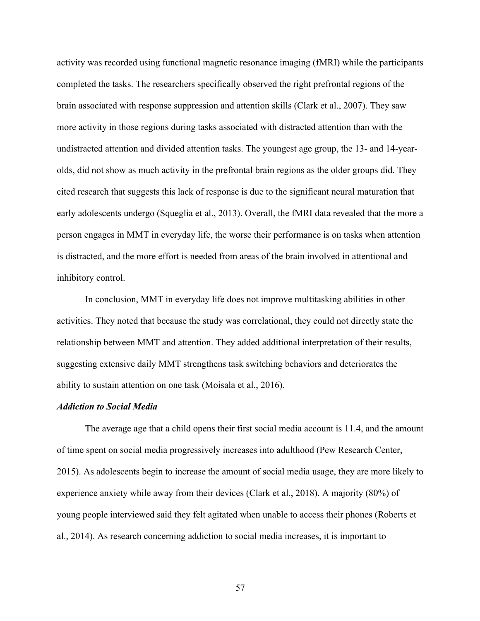activity was recorded using functional magnetic resonance imaging (fMRI) while the participants completed the tasks. The researchers specifically observed the right prefrontal regions of the brain associated with response suppression and attention skills (Clark et al., 2007). They saw more activity in those regions during tasks associated with distracted attention than with the undistracted attention and divided attention tasks. The youngest age group, the 13- and 14-yearolds, did not show as much activity in the prefrontal brain regions as the older groups did. They cited research that suggests this lack of response is due to the significant neural maturation that early adolescents undergo (Squeglia et al., 2013). Overall, the fMRI data revealed that the more a person engages in MMT in everyday life, the worse their performance is on tasks when attention is distracted, and the more effort is needed from areas of the brain involved in attentional and inhibitory control.

In conclusion, MMT in everyday life does not improve multitasking abilities in other activities. They noted that because the study was correlational, they could not directly state the relationship between MMT and attention. They added additional interpretation of their results, suggesting extensive daily MMT strengthens task switching behaviors and deteriorates the ability to sustain attention on one task (Moisala et al., 2016).

# *Addiction to Social Media*

The average age that a child opens their first social media account is 11.4, and the amount of time spent on social media progressively increases into adulthood (Pew Research Center, 2015). As adolescents begin to increase the amount of social media usage, they are more likely to experience anxiety while away from their devices (Clark et al., 2018). A majority (80%) of young people interviewed said they felt agitated when unable to access their phones (Roberts et al., 2014). As research concerning addiction to social media increases, it is important to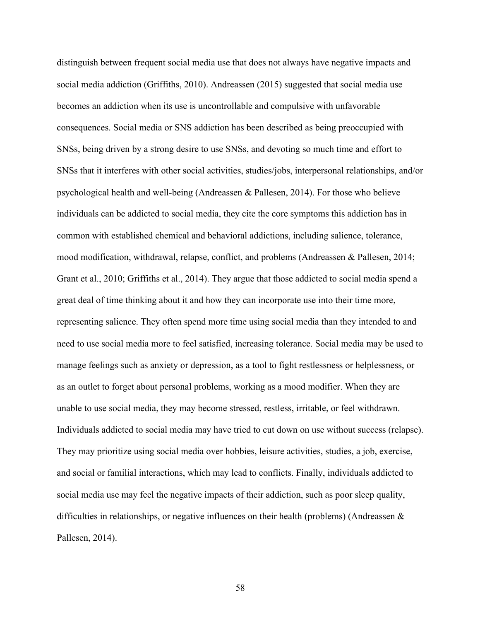distinguish between frequent social media use that does not always have negative impacts and social media addiction (Griffiths, 2010). Andreassen (2015) suggested that social media use becomes an addiction when its use is uncontrollable and compulsive with unfavorable consequences. Social media or SNS addiction has been described as being preoccupied with SNSs, being driven by a strong desire to use SNSs, and devoting so much time and effort to SNSs that it interferes with other social activities, studies/jobs, interpersonal relationships, and/or psychological health and well-being (Andreassen & Pallesen, 2014). For those who believe individuals can be addicted to social media, they cite the core symptoms this addiction has in common with established chemical and behavioral addictions, including salience, tolerance, mood modification, withdrawal, relapse, conflict, and problems (Andreassen & Pallesen, 2014; Grant et al., 2010; Griffiths et al., 2014). They argue that those addicted to social media spend a great deal of time thinking about it and how they can incorporate use into their time more, representing salience. They often spend more time using social media than they intended to and need to use social media more to feel satisfied, increasing tolerance. Social media may be used to manage feelings such as anxiety or depression, as a tool to fight restlessness or helplessness, or as an outlet to forget about personal problems, working as a mood modifier. When they are unable to use social media, they may become stressed, restless, irritable, or feel withdrawn. Individuals addicted to social media may have tried to cut down on use without success (relapse). They may prioritize using social media over hobbies, leisure activities, studies, a job, exercise, and social or familial interactions, which may lead to conflicts. Finally, individuals addicted to social media use may feel the negative impacts of their addiction, such as poor sleep quality, difficulties in relationships, or negative influences on their health (problems) (Andreassen & Pallesen, 2014).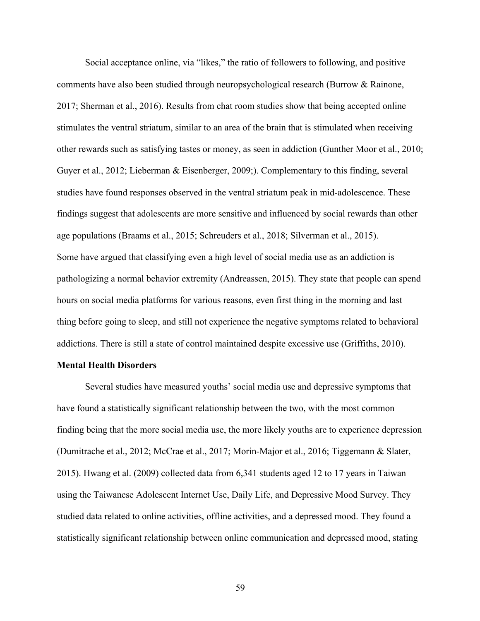Social acceptance online, via "likes," the ratio of followers to following, and positive comments have also been studied through neuropsychological research (Burrow & Rainone, 2017; Sherman et al., 2016). Results from chat room studies show that being accepted online stimulates the ventral striatum, similar to an area of the brain that is stimulated when receiving other rewards such as satisfying tastes or money, as seen in addiction (Gunther Moor et al., 2010; Guyer et al., 2012; Lieberman & Eisenberger, 2009;). Complementary to this finding, several studies have found responses observed in the ventral striatum peak in mid-adolescence. These findings suggest that adolescents are more sensitive and influenced by social rewards than other age populations (Braams et al., 2015; Schreuders et al., 2018; Silverman et al., 2015). Some have argued that classifying even a high level of social media use as an addiction is pathologizing a normal behavior extremity (Andreassen, 2015). They state that people can spend hours on social media platforms for various reasons, even first thing in the morning and last thing before going to sleep, and still not experience the negative symptoms related to behavioral addictions. There is still a state of control maintained despite excessive use (Griffiths, 2010).

# **Mental Health Disorders**

Several studies have measured youths' social media use and depressive symptoms that have found a statistically significant relationship between the two, with the most common finding being that the more social media use, the more likely youths are to experience depression (Dumitrache et al., 2012; McCrae et al., 2017; Morin-Major et al., 2016; Tiggemann & Slater, 2015). Hwang et al. (2009) collected data from 6,341 students aged 12 to 17 years in Taiwan using the Taiwanese Adolescent Internet Use, Daily Life, and Depressive Mood Survey. They studied data related to online activities, offline activities, and a depressed mood. They found a statistically significant relationship between online communication and depressed mood, stating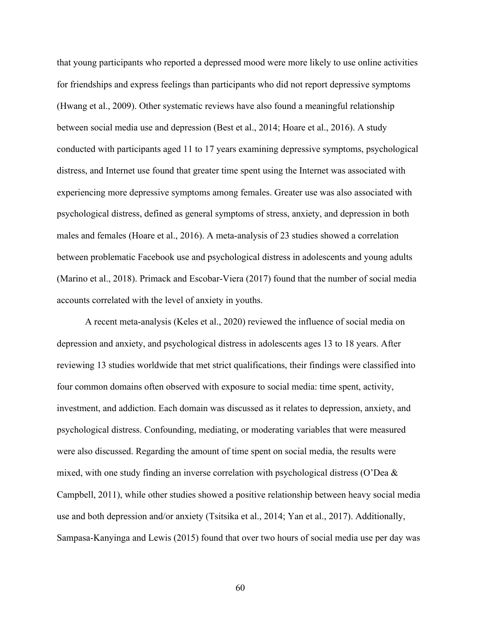that young participants who reported a depressed mood were more likely to use online activities for friendships and express feelings than participants who did not report depressive symptoms (Hwang et al., 2009). Other systematic reviews have also found a meaningful relationship between social media use and depression (Best et al., 2014; Hoare et al., 2016). A study conducted with participants aged 11 to 17 years examining depressive symptoms, psychological distress, and Internet use found that greater time spent using the Internet was associated with experiencing more depressive symptoms among females. Greater use was also associated with psychological distress, defined as general symptoms of stress, anxiety, and depression in both males and females (Hoare et al., 2016). A meta-analysis of 23 studies showed a correlation between problematic Facebook use and psychological distress in adolescents and young adults (Marino et al., 2018). Primack and Escobar-Viera (2017) found that the number of social media accounts correlated with the level of anxiety in youths.

A recent meta-analysis (Keles et al., 2020) reviewed the influence of social media on depression and anxiety, and psychological distress in adolescents ages 13 to 18 years. After reviewing 13 studies worldwide that met strict qualifications, their findings were classified into four common domains often observed with exposure to social media: time spent, activity, investment, and addiction. Each domain was discussed as it relates to depression, anxiety, and psychological distress. Confounding, mediating, or moderating variables that were measured were also discussed. Regarding the amount of time spent on social media, the results were mixed, with one study finding an inverse correlation with psychological distress (O'Dea & Campbell, 2011), while other studies showed a positive relationship between heavy social media use and both depression and/or anxiety (Tsitsika et al., 2014; Yan et al., 2017). Additionally, Sampasa-Kanyinga and Lewis (2015) found that over two hours of social media use per day was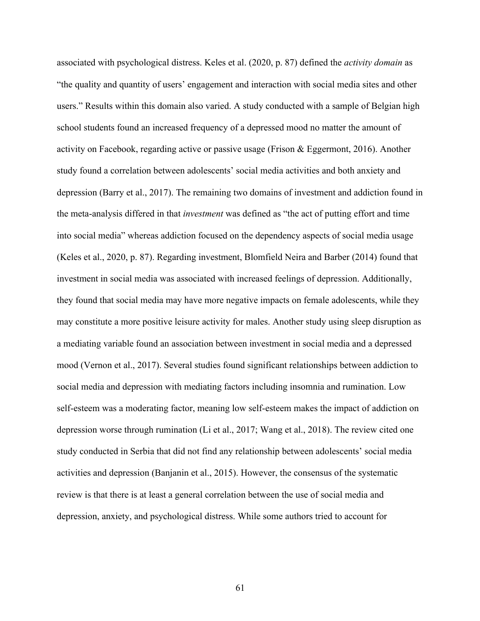associated with psychological distress. Keles et al. (2020, p. 87) defined the *activity domain* as "the quality and quantity of users' engagement and interaction with social media sites and other users." Results within this domain also varied. A study conducted with a sample of Belgian high school students found an increased frequency of a depressed mood no matter the amount of activity on Facebook, regarding active or passive usage (Frison & Eggermont, 2016). Another study found a correlation between adolescents' social media activities and both anxiety and depression (Barry et al., 2017). The remaining two domains of investment and addiction found in the meta-analysis differed in that *investment* was defined as "the act of putting effort and time into social media" whereas addiction focused on the dependency aspects of social media usage (Keles et al., 2020, p. 87). Regarding investment, Blomfield Neira and Barber (2014) found that investment in social media was associated with increased feelings of depression. Additionally, they found that social media may have more negative impacts on female adolescents, while they may constitute a more positive leisure activity for males. Another study using sleep disruption as a mediating variable found an association between investment in social media and a depressed mood (Vernon et al., 2017). Several studies found significant relationships between addiction to social media and depression with mediating factors including insomnia and rumination. Low self-esteem was a moderating factor, meaning low self-esteem makes the impact of addiction on depression worse through rumination (Li et al., 2017; Wang et al., 2018). The review cited one study conducted in Serbia that did not find any relationship between adolescents' social media activities and depression (Banjanin et al., 2015). However, the consensus of the systematic review is that there is at least a general correlation between the use of social media and depression, anxiety, and psychological distress. While some authors tried to account for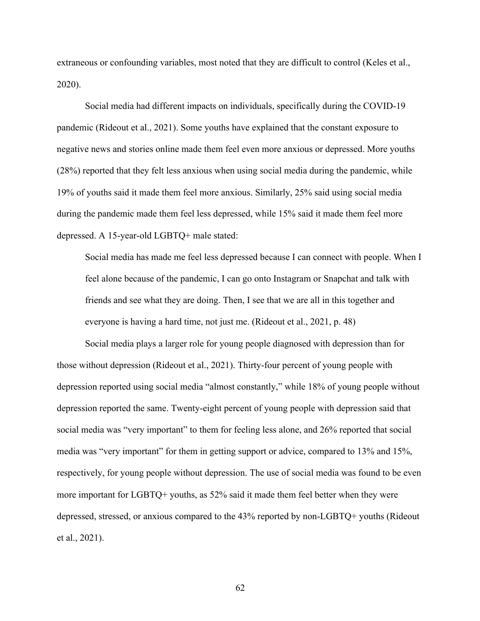extraneous or confounding variables, most noted that they are difficult to control (Keles et al., 2020).

Social media had different impacts on individuals, specifically during the COVID-19 pandemic (Rideout et al., 2021). Some youths have explained that the constant exposure to negative news and stories online made them feel even more anxious or depressed. More youths (28%) reported that they felt less anxious when using social media during the pandemic, while 19% of youths said it made them feel more anxious. Similarly, 25% said using social media during the pandemic made them feel less depressed, while 15% said it made them feel more depressed. A 15-year-old LGBTQ+ male stated:

Social media has made me feel less depressed because I can connect with people. When I feel alone because of the pandemic, I can go onto Instagram or Snapchat and talk with friends and see what they are doing. Then, I see that we are all in this together and everyone is having a hard time, not just me. (Rideout et al., 2021, p. 48)

Social media plays a larger role for young people diagnosed with depression than for those without depression (Rideout et al., 2021). Thirty-four percent of young people with depression reported using social media "almost constantly," while 18% of young people without depression reported the same. Twenty-eight percent of young people with depression said that social media was "very important" to them for feeling less alone, and 26% reported that social media was "very important" for them in getting support or advice, compared to 13% and 15%, respectively, for young people without depression. The use of social media was found to be even more important for LGBTQ+ youths, as 52% said it made them feel better when they were depressed, stressed, or anxious compared to the 43% reported by non-LGBTQ+ youths (Rideout et al., 2021).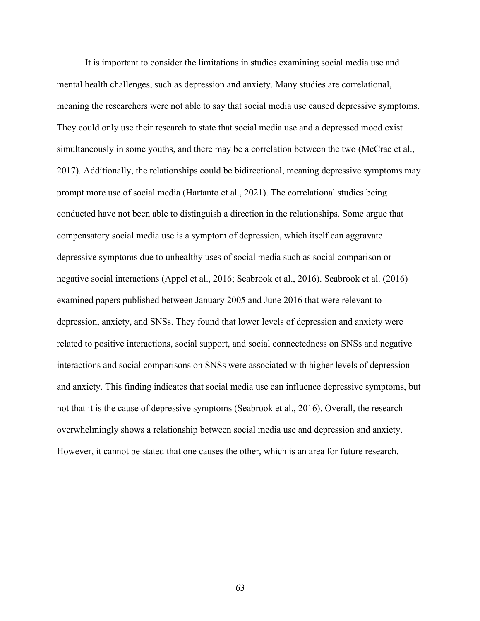It is important to consider the limitations in studies examining social media use and mental health challenges, such as depression and anxiety. Many studies are correlational, meaning the researchers were not able to say that social media use caused depressive symptoms. They could only use their research to state that social media use and a depressed mood exist simultaneously in some youths, and there may be a correlation between the two (McCrae et al., 2017). Additionally, the relationships could be bidirectional, meaning depressive symptoms may prompt more use of social media (Hartanto et al., 2021). The correlational studies being conducted have not been able to distinguish a direction in the relationships. Some argue that compensatory social media use is a symptom of depression, which itself can aggravate depressive symptoms due to unhealthy uses of social media such as social comparison or negative social interactions (Appel et al., 2016; Seabrook et al., 2016). Seabrook et al. (2016) examined papers published between January 2005 and June 2016 that were relevant to depression, anxiety, and SNSs. They found that lower levels of depression and anxiety were related to positive interactions, social support, and social connectedness on SNSs and negative interactions and social comparisons on SNSs were associated with higher levels of depression and anxiety. This finding indicates that social media use can influence depressive symptoms, but not that it is the cause of depressive symptoms (Seabrook et al., 2016). Overall, the research overwhelmingly shows a relationship between social media use and depression and anxiety. However, it cannot be stated that one causes the other, which is an area for future research.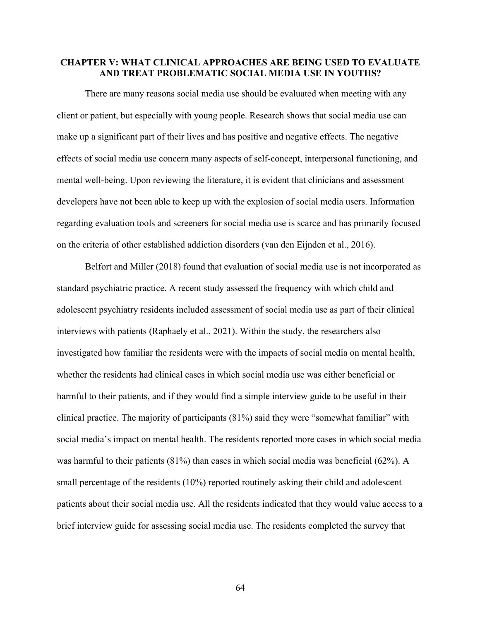# **CHAPTER V: WHAT CLINICAL APPROACHES ARE BEING USED TO EVALUATE AND TREAT PROBLEMATIC SOCIAL MEDIA USE IN YOUTHS?**

There are many reasons social media use should be evaluated when meeting with any client or patient, but especially with young people. Research shows that social media use can make up a significant part of their lives and has positive and negative effects. The negative effects of social media use concern many aspects of self-concept, interpersonal functioning, and mental well-being. Upon reviewing the literature, it is evident that clinicians and assessment developers have not been able to keep up with the explosion of social media users. Information regarding evaluation tools and screeners for social media use is scarce and has primarily focused on the criteria of other established addiction disorders (van den Eijnden et al., 2016).

Belfort and Miller (2018) found that evaluation of social media use is not incorporated as standard psychiatric practice. A recent study assessed the frequency with which child and adolescent psychiatry residents included assessment of social media use as part of their clinical interviews with patients (Raphaely et al., 2021). Within the study, the researchers also investigated how familiar the residents were with the impacts of social media on mental health, whether the residents had clinical cases in which social media use was either beneficial or harmful to their patients, and if they would find a simple interview guide to be useful in their clinical practice. The majority of participants (81%) said they were "somewhat familiar" with social media's impact on mental health. The residents reported more cases in which social media was harmful to their patients (81%) than cases in which social media was beneficial (62%). A small percentage of the residents (10%) reported routinely asking their child and adolescent patients about their social media use. All the residents indicated that they would value access to a brief interview guide for assessing social media use. The residents completed the survey that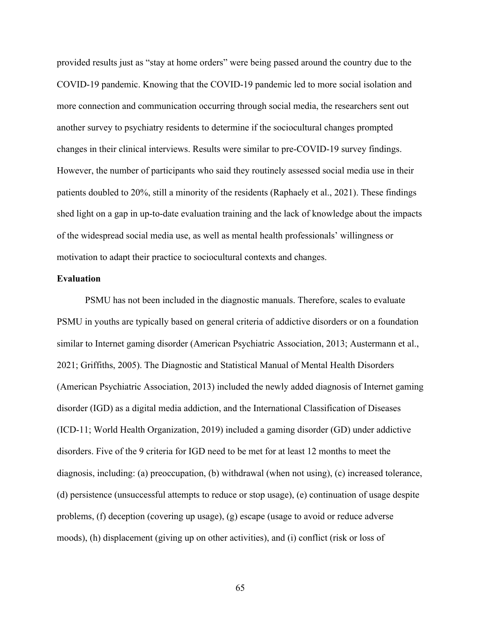provided results just as "stay at home orders" were being passed around the country due to the COVID-19 pandemic. Knowing that the COVID-19 pandemic led to more social isolation and more connection and communication occurring through social media, the researchers sent out another survey to psychiatry residents to determine if the sociocultural changes prompted changes in their clinical interviews. Results were similar to pre-COVID-19 survey findings. However, the number of participants who said they routinely assessed social media use in their patients doubled to 20%, still a minority of the residents (Raphaely et al., 2021). These findings shed light on a gap in up-to-date evaluation training and the lack of knowledge about the impacts of the widespread social media use, as well as mental health professionals' willingness or motivation to adapt their practice to sociocultural contexts and changes.

# **Evaluation**

PSMU has not been included in the diagnostic manuals. Therefore, scales to evaluate PSMU in youths are typically based on general criteria of addictive disorders or on a foundation similar to Internet gaming disorder (American Psychiatric Association, 2013; Austermann et al., 2021; Griffiths, 2005). The Diagnostic and Statistical Manual of Mental Health Disorders (American Psychiatric Association, 2013) included the newly added diagnosis of Internet gaming disorder (IGD) as a digital media addiction, and the International Classification of Diseases (ICD-11; World Health Organization, 2019) included a gaming disorder (GD) under addictive disorders. Five of the 9 criteria for IGD need to be met for at least 12 months to meet the diagnosis, including: (a) preoccupation, (b) withdrawal (when not using), (c) increased tolerance, (d) persistence (unsuccessful attempts to reduce or stop usage), (e) continuation of usage despite problems, (f) deception (covering up usage), (g) escape (usage to avoid or reduce adverse moods), (h) displacement (giving up on other activities), and (i) conflict (risk or loss of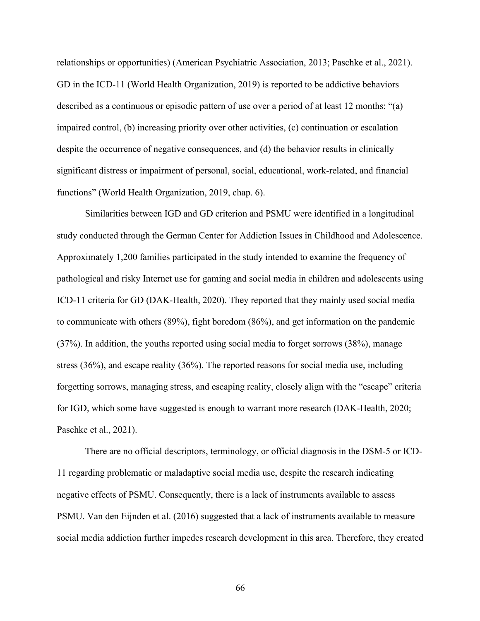relationships or opportunities) (American Psychiatric Association, 2013; Paschke et al., 2021). GD in the ICD-11 (World Health Organization, 2019) is reported to be addictive behaviors described as a continuous or episodic pattern of use over a period of at least 12 months: "(a) impaired control, (b) increasing priority over other activities, (c) continuation or escalation despite the occurrence of negative consequences, and (d) the behavior results in clinically significant distress or impairment of personal, social, educational, work-related, and financial functions" (World Health Organization, 2019, chap. 6).

Similarities between IGD and GD criterion and PSMU were identified in a longitudinal study conducted through the German Center for Addiction Issues in Childhood and Adolescence. Approximately 1,200 families participated in the study intended to examine the frequency of pathological and risky Internet use for gaming and social media in children and adolescents using ICD-11 criteria for GD (DAK-Health, 2020). They reported that they mainly used social media to communicate with others (89%), fight boredom (86%), and get information on the pandemic (37%). In addition, the youths reported using social media to forget sorrows (38%), manage stress (36%), and escape reality (36%). The reported reasons for social media use, including forgetting sorrows, managing stress, and escaping reality, closely align with the "escape" criteria for IGD, which some have suggested is enough to warrant more research (DAK-Health, 2020; Paschke et al., 2021).

There are no official descriptors, terminology, or official diagnosis in the DSM-5 or ICD-11 regarding problematic or maladaptive social media use, despite the research indicating negative effects of PSMU. Consequently, there is a lack of instruments available to assess PSMU. Van den Eijnden et al. (2016) suggested that a lack of instruments available to measure social media addiction further impedes research development in this area. Therefore, they created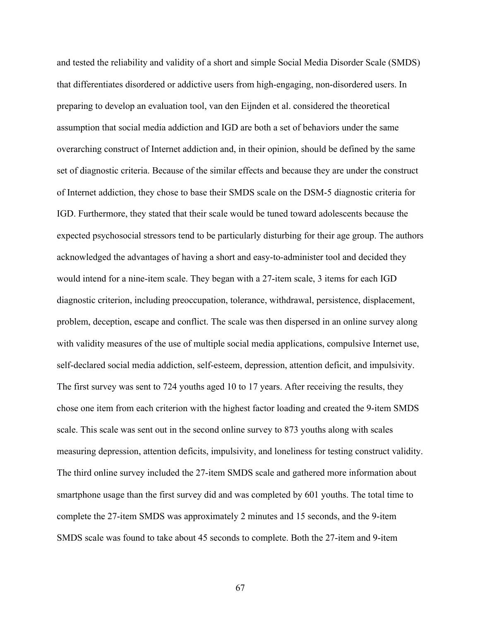and tested the reliability and validity of a short and simple Social Media Disorder Scale (SMDS) that differentiates disordered or addictive users from high-engaging, non-disordered users. In preparing to develop an evaluation tool, van den Eijnden et al. considered the theoretical assumption that social media addiction and IGD are both a set of behaviors under the same overarching construct of Internet addiction and, in their opinion, should be defined by the same set of diagnostic criteria. Because of the similar effects and because they are under the construct of Internet addiction, they chose to base their SMDS scale on the DSM-5 diagnostic criteria for IGD. Furthermore, they stated that their scale would be tuned toward adolescents because the expected psychosocial stressors tend to be particularly disturbing for their age group. The authors acknowledged the advantages of having a short and easy-to-administer tool and decided they would intend for a nine-item scale. They began with a 27-item scale, 3 items for each IGD diagnostic criterion, including preoccupation, tolerance, withdrawal, persistence, displacement, problem, deception, escape and conflict. The scale was then dispersed in an online survey along with validity measures of the use of multiple social media applications, compulsive Internet use, self-declared social media addiction, self-esteem, depression, attention deficit, and impulsivity. The first survey was sent to 724 youths aged 10 to 17 years. After receiving the results, they chose one item from each criterion with the highest factor loading and created the 9-item SMDS scale. This scale was sent out in the second online survey to 873 youths along with scales measuring depression, attention deficits, impulsivity, and loneliness for testing construct validity. The third online survey included the 27-item SMDS scale and gathered more information about smartphone usage than the first survey did and was completed by 601 youths. The total time to complete the 27-item SMDS was approximately 2 minutes and 15 seconds, and the 9-item SMDS scale was found to take about 45 seconds to complete. Both the 27-item and 9-item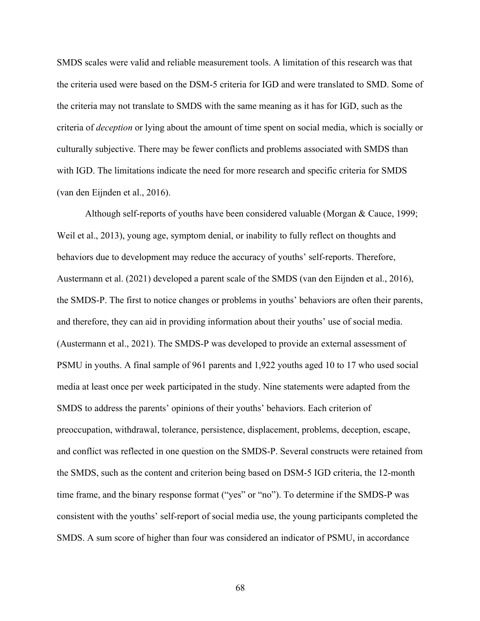SMDS scales were valid and reliable measurement tools. A limitation of this research was that the criteria used were based on the DSM-5 criteria for IGD and were translated to SMD. Some of the criteria may not translate to SMDS with the same meaning as it has for IGD, such as the criteria of *deception* or lying about the amount of time spent on social media, which is socially or culturally subjective. There may be fewer conflicts and problems associated with SMDS than with IGD. The limitations indicate the need for more research and specific criteria for SMDS (van den Eijnden et al., 2016).

Although self-reports of youths have been considered valuable (Morgan & Cauce, 1999; Weil et al., 2013), young age, symptom denial, or inability to fully reflect on thoughts and behaviors due to development may reduce the accuracy of youths' self-reports. Therefore, Austermann et al. (2021) developed a parent scale of the SMDS (van den Eijnden et al., 2016), the SMDS-P. The first to notice changes or problems in youths' behaviors are often their parents, and therefore, they can aid in providing information about their youths' use of social media. (Austermann et al., 2021). The SMDS-P was developed to provide an external assessment of PSMU in youths. A final sample of 961 parents and 1,922 youths aged 10 to 17 who used social media at least once per week participated in the study. Nine statements were adapted from the SMDS to address the parents' opinions of their youths' behaviors. Each criterion of preoccupation, withdrawal, tolerance, persistence, displacement, problems, deception, escape, and conflict was reflected in one question on the SMDS-P. Several constructs were retained from the SMDS, such as the content and criterion being based on DSM-5 IGD criteria, the 12-month time frame, and the binary response format ("yes" or "no"). To determine if the SMDS-P was consistent with the youths' self-report of social media use, the young participants completed the SMDS. A sum score of higher than four was considered an indicator of PSMU, in accordance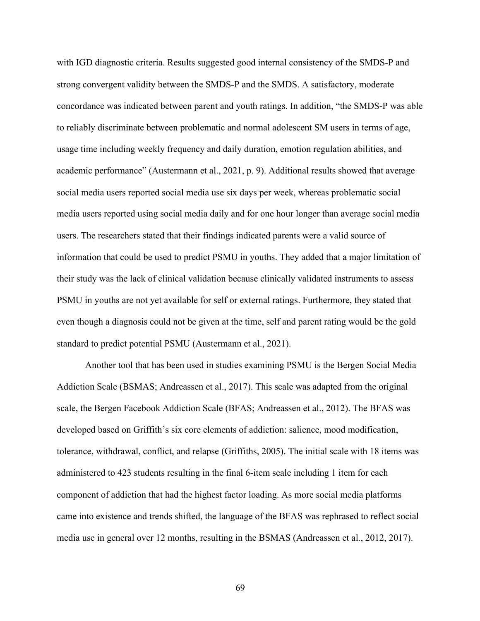with IGD diagnostic criteria. Results suggested good internal consistency of the SMDS-P and strong convergent validity between the SMDS-P and the SMDS. A satisfactory, moderate concordance was indicated between parent and youth ratings. In addition, "the SMDS-P was able to reliably discriminate between problematic and normal adolescent SM users in terms of age, usage time including weekly frequency and daily duration, emotion regulation abilities, and academic performance" (Austermann et al., 2021, p. 9). Additional results showed that average social media users reported social media use six days per week, whereas problematic social media users reported using social media daily and for one hour longer than average social media users. The researchers stated that their findings indicated parents were a valid source of information that could be used to predict PSMU in youths. They added that a major limitation of their study was the lack of clinical validation because clinically validated instruments to assess PSMU in youths are not yet available for self or external ratings. Furthermore, they stated that even though a diagnosis could not be given at the time, self and parent rating would be the gold standard to predict potential PSMU (Austermann et al., 2021).

Another tool that has been used in studies examining PSMU is the Bergen Social Media Addiction Scale (BSMAS; Andreassen et al., 2017). This scale was adapted from the original scale, the Bergen Facebook Addiction Scale (BFAS; Andreassen et al., 2012). The BFAS was developed based on Griffith's six core elements of addiction: salience, mood modification, tolerance, withdrawal, conflict, and relapse (Griffiths, 2005). The initial scale with 18 items was administered to 423 students resulting in the final 6-item scale including 1 item for each component of addiction that had the highest factor loading. As more social media platforms came into existence and trends shifted, the language of the BFAS was rephrased to reflect social media use in general over 12 months, resulting in the BSMAS (Andreassen et al., 2012, 2017).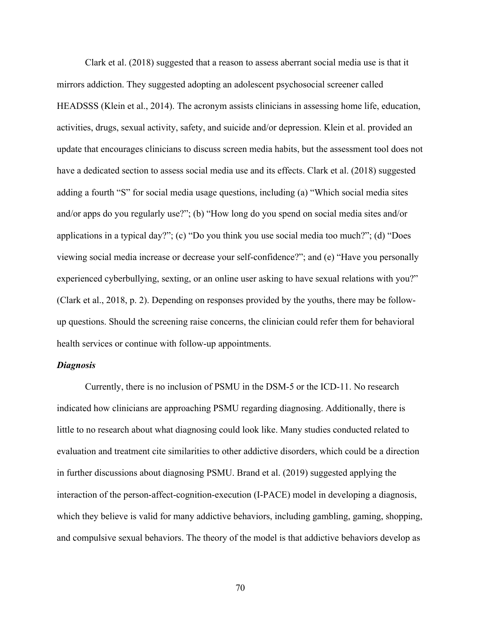Clark et al. (2018) suggested that a reason to assess aberrant social media use is that it mirrors addiction. They suggested adopting an adolescent psychosocial screener called HEADSSS (Klein et al., 2014). The acronym assists clinicians in assessing home life, education, activities, drugs, sexual activity, safety, and suicide and/or depression. Klein et al. provided an update that encourages clinicians to discuss screen media habits, but the assessment tool does not have a dedicated section to assess social media use and its effects. Clark et al. (2018) suggested adding a fourth "S" for social media usage questions, including (a) "Which social media sites and/or apps do you regularly use?"; (b) "How long do you spend on social media sites and/or applications in a typical day?"; (c) "Do you think you use social media too much?"; (d) "Does viewing social media increase or decrease your self-confidence?"; and (e) "Have you personally experienced cyberbullying, sexting, or an online user asking to have sexual relations with you?" (Clark et al., 2018, p. 2). Depending on responses provided by the youths, there may be followup questions. Should the screening raise concerns, the clinician could refer them for behavioral health services or continue with follow-up appointments.

# *Diagnosis*

Currently, there is no inclusion of PSMU in the DSM-5 or the ICD-11. No research indicated how clinicians are approaching PSMU regarding diagnosing. Additionally, there is little to no research about what diagnosing could look like. Many studies conducted related to evaluation and treatment cite similarities to other addictive disorders, which could be a direction in further discussions about diagnosing PSMU. Brand et al. (2019) suggested applying the interaction of the person-affect-cognition-execution (I-PACE) model in developing a diagnosis, which they believe is valid for many addictive behaviors, including gambling, gaming, shopping, and compulsive sexual behaviors. The theory of the model is that addictive behaviors develop as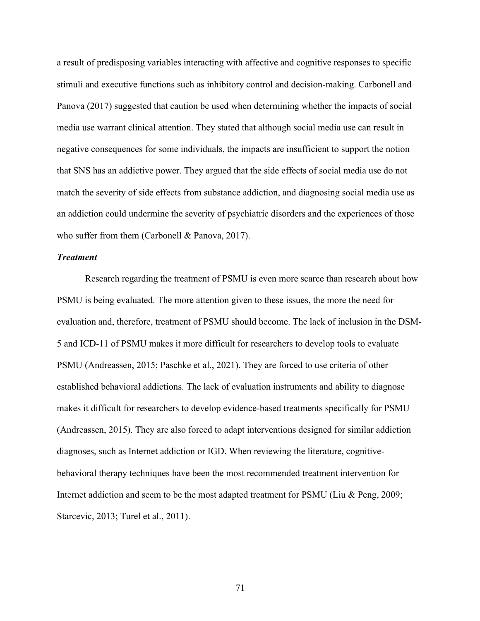a result of predisposing variables interacting with affective and cognitive responses to specific stimuli and executive functions such as inhibitory control and decision-making. Carbonell and Panova (2017) suggested that caution be used when determining whether the impacts of social media use warrant clinical attention. They stated that although social media use can result in negative consequences for some individuals, the impacts are insufficient to support the notion that SNS has an addictive power. They argued that the side effects of social media use do not match the severity of side effects from substance addiction, and diagnosing social media use as an addiction could undermine the severity of psychiatric disorders and the experiences of those who suffer from them (Carbonell & Panova, 2017).

### *Treatment*

Research regarding the treatment of PSMU is even more scarce than research about how PSMU is being evaluated. The more attention given to these issues, the more the need for evaluation and, therefore, treatment of PSMU should become. The lack of inclusion in the DSM-5 and ICD-11 of PSMU makes it more difficult for researchers to develop tools to evaluate PSMU (Andreassen, 2015; Paschke et al., 2021). They are forced to use criteria of other established behavioral addictions. The lack of evaluation instruments and ability to diagnose makes it difficult for researchers to develop evidence-based treatments specifically for PSMU (Andreassen, 2015). They are also forced to adapt interventions designed for similar addiction diagnoses, such as Internet addiction or IGD. When reviewing the literature, cognitivebehavioral therapy techniques have been the most recommended treatment intervention for Internet addiction and seem to be the most adapted treatment for PSMU (Liu & Peng, 2009; Starcevic, 2013; Turel et al., 2011).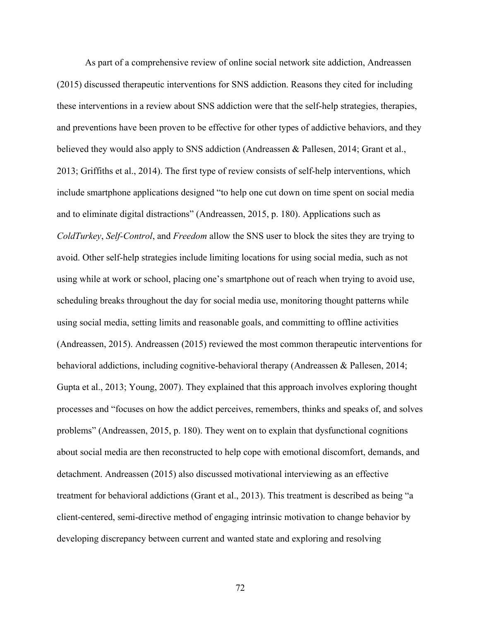As part of a comprehensive review of online social network site addiction, Andreassen (2015) discussed therapeutic interventions for SNS addiction. Reasons they cited for including these interventions in a review about SNS addiction were that the self-help strategies, therapies, and preventions have been proven to be effective for other types of addictive behaviors, and they believed they would also apply to SNS addiction (Andreassen & Pallesen, 2014; Grant et al., 2013; Griffiths et al., 2014). The first type of review consists of self-help interventions, which include smartphone applications designed "to help one cut down on time spent on social media and to eliminate digital distractions" (Andreassen, 2015, p. 180). Applications such as *ColdTurkey*, *Self-Control*, and *Freedom* allow the SNS user to block the sites they are trying to avoid. Other self-help strategies include limiting locations for using social media, such as not using while at work or school, placing one's smartphone out of reach when trying to avoid use, scheduling breaks throughout the day for social media use, monitoring thought patterns while using social media, setting limits and reasonable goals, and committing to offline activities (Andreassen, 2015). Andreassen (2015) reviewed the most common therapeutic interventions for behavioral addictions, including cognitive-behavioral therapy (Andreassen & Pallesen, 2014; Gupta et al., 2013; Young, 2007). They explained that this approach involves exploring thought processes and "focuses on how the addict perceives, remembers, thinks and speaks of, and solves problems" (Andreassen, 2015, p. 180). They went on to explain that dysfunctional cognitions about social media are then reconstructed to help cope with emotional discomfort, demands, and detachment. Andreassen (2015) also discussed motivational interviewing as an effective treatment for behavioral addictions (Grant et al., 2013). This treatment is described as being "a client-centered, semi-directive method of engaging intrinsic motivation to change behavior by developing discrepancy between current and wanted state and exploring and resolving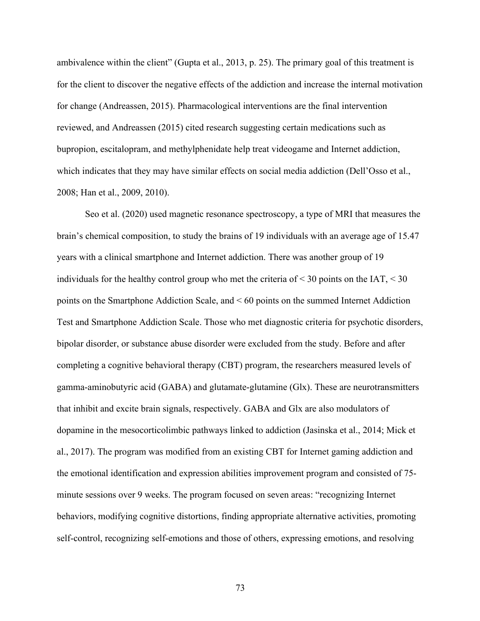ambivalence within the client" (Gupta et al., 2013, p. 25). The primary goal of this treatment is for the client to discover the negative effects of the addiction and increase the internal motivation for change (Andreassen, 2015). Pharmacological interventions are the final intervention reviewed, and Andreassen (2015) cited research suggesting certain medications such as bupropion, escitalopram, and methylphenidate help treat videogame and Internet addiction, which indicates that they may have similar effects on social media addiction (Dell'Osso et al., 2008; Han et al., 2009, 2010).

Seo et al. (2020) used magnetic resonance spectroscopy, a type of MRI that measures the brain's chemical composition, to study the brains of 19 individuals with an average age of 15.47 years with a clinical smartphone and Internet addiction. There was another group of 19 individuals for the healthy control group who met the criteria of  $\leq$  30 points on the IAT,  $\leq$  30 points on the Smartphone Addiction Scale, and < 60 points on the summed Internet Addiction Test and Smartphone Addiction Scale. Those who met diagnostic criteria for psychotic disorders, bipolar disorder, or substance abuse disorder were excluded from the study. Before and after completing a cognitive behavioral therapy (CBT) program, the researchers measured levels of gamma-aminobutyric acid (GABA) and glutamate-glutamine (Glx). These are neurotransmitters that inhibit and excite brain signals, respectively. GABA and Glx are also modulators of dopamine in the mesocorticolimbic pathways linked to addiction (Jasinska et al., 2014; Mick et al., 2017). The program was modified from an existing CBT for Internet gaming addiction and the emotional identification and expression abilities improvement program and consisted of 75 minute sessions over 9 weeks. The program focused on seven areas: "recognizing Internet behaviors, modifying cognitive distortions, finding appropriate alternative activities, promoting self-control, recognizing self-emotions and those of others, expressing emotions, and resolving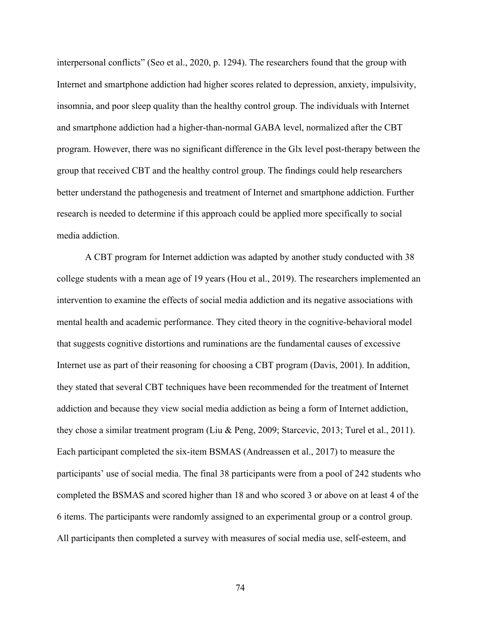interpersonal conflicts" (Seo et al., 2020, p. 1294). The researchers found that the group with Internet and smartphone addiction had higher scores related to depression, anxiety, impulsivity, insomnia, and poor sleep quality than the healthy control group. The individuals with Internet and smartphone addiction had a higher-than-normal GABA level, normalized after the CBT program. However, there was no significant difference in the Glx level post-therapy between the group that received CBT and the healthy control group. The findings could help researchers better understand the pathogenesis and treatment of Internet and smartphone addiction. Further research is needed to determine if this approach could be applied more specifically to social media addiction.

A CBT program for Internet addiction was adapted by another study conducted with 38 college students with a mean age of 19 years (Hou et al., 2019). The researchers implemented an intervention to examine the effects of social media addiction and its negative associations with mental health and academic performance. They cited theory in the cognitive-behavioral model that suggests cognitive distortions and ruminations are the fundamental causes of excessive Internet use as part of their reasoning for choosing a CBT program (Davis, 2001). In addition, they stated that several CBT techniques have been recommended for the treatment of Internet addiction and because they view social media addiction as being a form of Internet addiction, they chose a similar treatment program (Liu & Peng, 2009; Starcevic, 2013; Turel et al., 2011). Each participant completed the six-item BSMAS (Andreassen et al., 2017) to measure the participants' use of social media. The final 38 participants were from a pool of 242 students who completed the BSMAS and scored higher than 18 and who scored 3 or above on at least 4 of the 6 items. The participants were randomly assigned to an experimental group or a control group. All participants then completed a survey with measures of social media use, self-esteem, and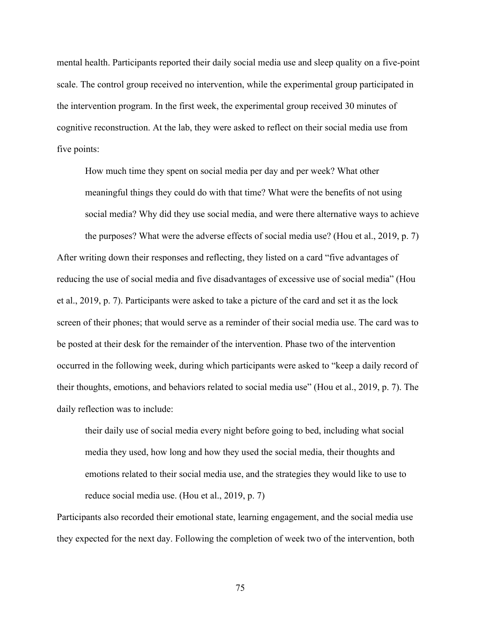mental health. Participants reported their daily social media use and sleep quality on a five-point scale. The control group received no intervention, while the experimental group participated in the intervention program. In the first week, the experimental group received 30 minutes of cognitive reconstruction. At the lab, they were asked to reflect on their social media use from five points:

How much time they spent on social media per day and per week? What other meaningful things they could do with that time? What were the benefits of not using social media? Why did they use social media, and were there alternative ways to achieve

the purposes? What were the adverse effects of social media use? (Hou et al., 2019, p. 7) After writing down their responses and reflecting, they listed on a card "five advantages of reducing the use of social media and five disadvantages of excessive use of social media" (Hou et al., 2019, p. 7). Participants were asked to take a picture of the card and set it as the lock screen of their phones; that would serve as a reminder of their social media use. The card was to be posted at their desk for the remainder of the intervention. Phase two of the intervention occurred in the following week, during which participants were asked to "keep a daily record of their thoughts, emotions, and behaviors related to social media use" (Hou et al., 2019, p. 7). The daily reflection was to include:

their daily use of social media every night before going to bed, including what social media they used, how long and how they used the social media, their thoughts and emotions related to their social media use, and the strategies they would like to use to reduce social media use. (Hou et al., 2019, p. 7)

Participants also recorded their emotional state, learning engagement, and the social media use they expected for the next day. Following the completion of week two of the intervention, both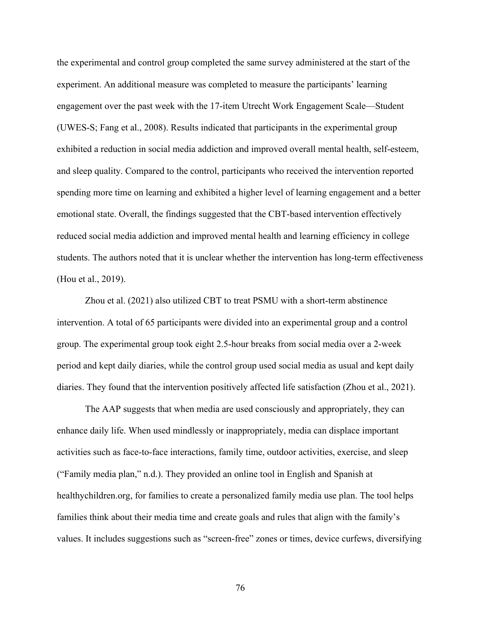the experimental and control group completed the same survey administered at the start of the experiment. An additional measure was completed to measure the participants' learning engagement over the past week with the 17-item Utrecht Work Engagement Scale—Student (UWES-S; Fang et al., 2008). Results indicated that participants in the experimental group exhibited a reduction in social media addiction and improved overall mental health, self-esteem, and sleep quality. Compared to the control, participants who received the intervention reported spending more time on learning and exhibited a higher level of learning engagement and a better emotional state. Overall, the findings suggested that the CBT-based intervention effectively reduced social media addiction and improved mental health and learning efficiency in college students. The authors noted that it is unclear whether the intervention has long-term effectiveness (Hou et al., 2019).

Zhou et al. (2021) also utilized CBT to treat PSMU with a short-term abstinence intervention. A total of 65 participants were divided into an experimental group and a control group. The experimental group took eight 2.5-hour breaks from social media over a 2-week period and kept daily diaries, while the control group used social media as usual and kept daily diaries. They found that the intervention positively affected life satisfaction (Zhou et al., 2021).

The AAP suggests that when media are used consciously and appropriately, they can enhance daily life. When used mindlessly or inappropriately, media can displace important activities such as face-to-face interactions, family time, outdoor activities, exercise, and sleep ("Family media plan," n.d.). They provided an online tool in English and Spanish at healthychildren.org, for families to create a personalized family media use plan. The tool helps families think about their media time and create goals and rules that align with the family's values. It includes suggestions such as "screen-free" zones or times, device curfews, diversifying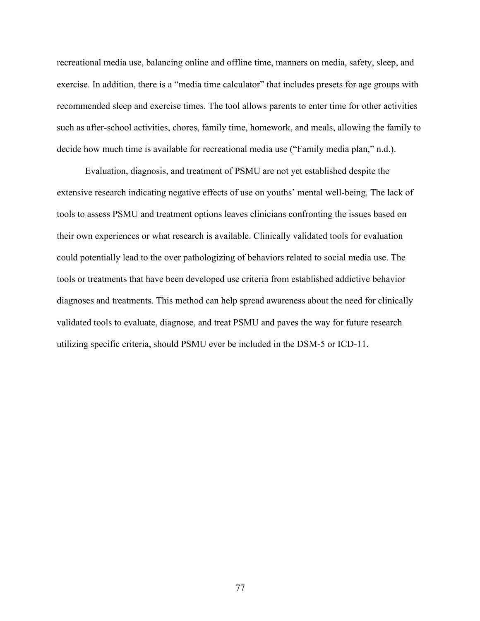recreational media use, balancing online and offline time, manners on media, safety, sleep, and exercise. In addition, there is a "media time calculator" that includes presets for age groups with recommended sleep and exercise times. The tool allows parents to enter time for other activities such as after-school activities, chores, family time, homework, and meals, allowing the family to decide how much time is available for recreational media use ("Family media plan," n.d.).

Evaluation, diagnosis, and treatment of PSMU are not yet established despite the extensive research indicating negative effects of use on youths' mental well-being. The lack of tools to assess PSMU and treatment options leaves clinicians confronting the issues based on their own experiences or what research is available. Clinically validated tools for evaluation could potentially lead to the over pathologizing of behaviors related to social media use. The tools or treatments that have been developed use criteria from established addictive behavior diagnoses and treatments. This method can help spread awareness about the need for clinically validated tools to evaluate, diagnose, and treat PSMU and paves the way for future research utilizing specific criteria, should PSMU ever be included in the DSM-5 or ICD-11.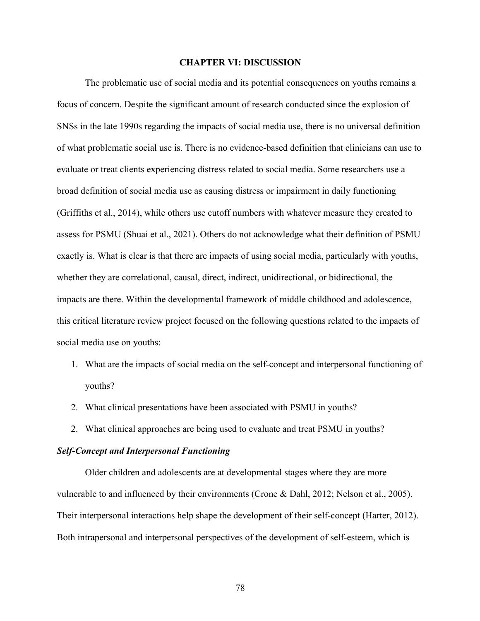#### **CHAPTER VI: DISCUSSION**

The problematic use of social media and its potential consequences on youths remains a focus of concern. Despite the significant amount of research conducted since the explosion of SNSs in the late 1990s regarding the impacts of social media use, there is no universal definition of what problematic social use is. There is no evidence-based definition that clinicians can use to evaluate or treat clients experiencing distress related to social media. Some researchers use a broad definition of social media use as causing distress or impairment in daily functioning (Griffiths et al., 2014), while others use cutoff numbers with whatever measure they created to assess for PSMU (Shuai et al., 2021). Others do not acknowledge what their definition of PSMU exactly is. What is clear is that there are impacts of using social media, particularly with youths, whether they are correlational, causal, direct, indirect, unidirectional, or bidirectional, the impacts are there. Within the developmental framework of middle childhood and adolescence, this critical literature review project focused on the following questions related to the impacts of social media use on youths:

- 1. What are the impacts of social media on the self-concept and interpersonal functioning of youths?
- 2. What clinical presentations have been associated with PSMU in youths?
- 2. What clinical approaches are being used to evaluate and treat PSMU in youths?

# *Self-Concept and Interpersonal Functioning*

Older children and adolescents are at developmental stages where they are more vulnerable to and influenced by their environments (Crone & Dahl, 2012; Nelson et al., 2005). Their interpersonal interactions help shape the development of their self-concept (Harter, 2012). Both intrapersonal and interpersonal perspectives of the development of self-esteem, which is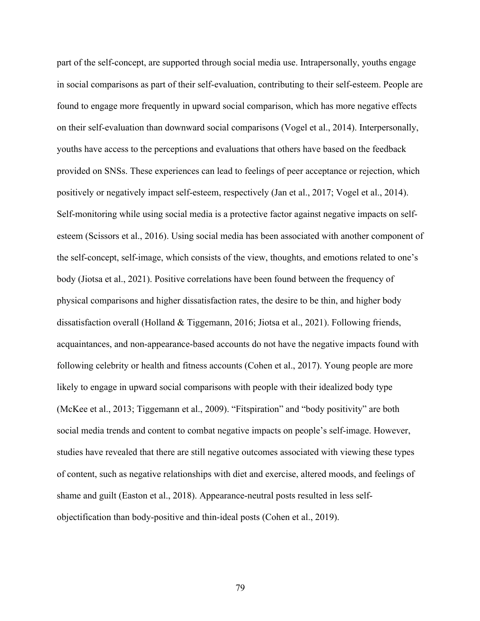part of the self-concept, are supported through social media use. Intrapersonally, youths engage in social comparisons as part of their self-evaluation, contributing to their self-esteem. People are found to engage more frequently in upward social comparison, which has more negative effects on their self-evaluation than downward social comparisons (Vogel et al., 2014). Interpersonally, youths have access to the perceptions and evaluations that others have based on the feedback provided on SNSs. These experiences can lead to feelings of peer acceptance or rejection, which positively or negatively impact self-esteem, respectively (Jan et al., 2017; Vogel et al., 2014). Self-monitoring while using social media is a protective factor against negative impacts on selfesteem (Scissors et al., 2016). Using social media has been associated with another component of the self-concept, self-image, which consists of the view, thoughts, and emotions related to one's body (Jiotsa et al., 2021). Positive correlations have been found between the frequency of physical comparisons and higher dissatisfaction rates, the desire to be thin, and higher body dissatisfaction overall (Holland & Tiggemann, 2016; Jiotsa et al., 2021). Following friends, acquaintances, and non-appearance-based accounts do not have the negative impacts found with following celebrity or health and fitness accounts (Cohen et al., 2017). Young people are more likely to engage in upward social comparisons with people with their idealized body type (McKee et al., 2013; Tiggemann et al., 2009). "Fitspiration" and "body positivity" are both social media trends and content to combat negative impacts on people's self-image. However, studies have revealed that there are still negative outcomes associated with viewing these types of content, such as negative relationships with diet and exercise, altered moods, and feelings of shame and guilt (Easton et al., 2018). Appearance-neutral posts resulted in less selfobjectification than body-positive and thin-ideal posts (Cohen et al., 2019).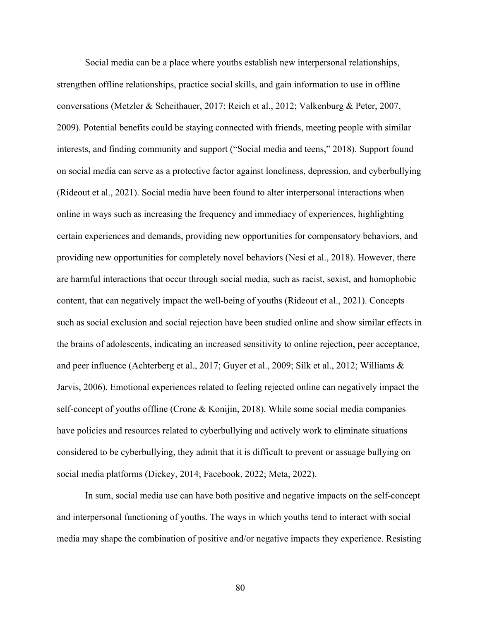Social media can be a place where youths establish new interpersonal relationships, strengthen offline relationships, practice social skills, and gain information to use in offline conversations (Metzler & Scheithauer, 2017; Reich et al., 2012; Valkenburg & Peter, 2007, 2009). Potential benefits could be staying connected with friends, meeting people with similar interests, and finding community and support ("Social media and teens," 2018). Support found on social media can serve as a protective factor against loneliness, depression, and cyberbullying (Rideout et al., 2021). Social media have been found to alter interpersonal interactions when online in ways such as increasing the frequency and immediacy of experiences, highlighting certain experiences and demands, providing new opportunities for compensatory behaviors, and providing new opportunities for completely novel behaviors (Nesi et al., 2018). However, there are harmful interactions that occur through social media, such as racist, sexist, and homophobic content, that can negatively impact the well-being of youths (Rideout et al., 2021). Concepts such as social exclusion and social rejection have been studied online and show similar effects in the brains of adolescents, indicating an increased sensitivity to online rejection, peer acceptance, and peer influence (Achterberg et al., 2017; Guyer et al., 2009; Silk et al., 2012; Williams & Jarvis, 2006). Emotional experiences related to feeling rejected online can negatively impact the self-concept of youths offline (Crone & Konijin, 2018). While some social media companies have policies and resources related to cyberbullying and actively work to eliminate situations considered to be cyberbullying, they admit that it is difficult to prevent or assuage bullying on social media platforms (Dickey, 2014; Facebook, 2022; Meta, 2022).

In sum, social media use can have both positive and negative impacts on the self-concept and interpersonal functioning of youths. The ways in which youths tend to interact with social media may shape the combination of positive and/or negative impacts they experience. Resisting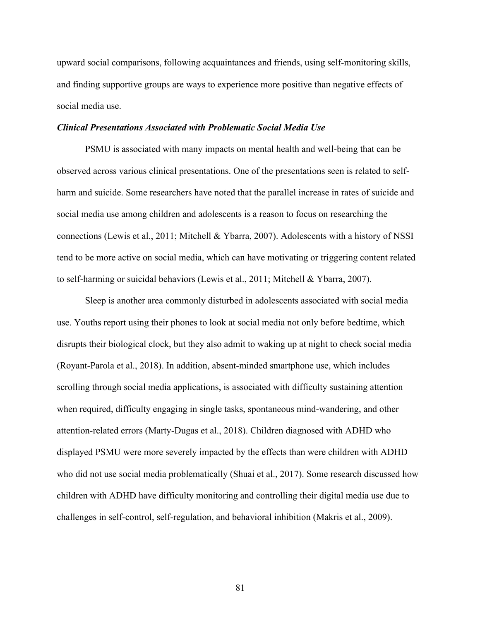upward social comparisons, following acquaintances and friends, using self-monitoring skills, and finding supportive groups are ways to experience more positive than negative effects of social media use.

### *Clinical Presentations Associated with Problematic Social Media Use*

PSMU is associated with many impacts on mental health and well-being that can be observed across various clinical presentations. One of the presentations seen is related to selfharm and suicide. Some researchers have noted that the parallel increase in rates of suicide and social media use among children and adolescents is a reason to focus on researching the connections (Lewis et al., 2011; Mitchell & Ybarra, 2007). Adolescents with a history of NSSI tend to be more active on social media, which can have motivating or triggering content related to self-harming or suicidal behaviors (Lewis et al., 2011; Mitchell & Ybarra, 2007).

Sleep is another area commonly disturbed in adolescents associated with social media use. Youths report using their phones to look at social media not only before bedtime, which disrupts their biological clock, but they also admit to waking up at night to check social media (Royant-Parola et al., 2018). In addition, absent-minded smartphone use, which includes scrolling through social media applications, is associated with difficulty sustaining attention when required, difficulty engaging in single tasks, spontaneous mind-wandering, and other attention-related errors (Marty-Dugas et al., 2018). Children diagnosed with ADHD who displayed PSMU were more severely impacted by the effects than were children with ADHD who did not use social media problematically (Shuai et al., 2017). Some research discussed how children with ADHD have difficulty monitoring and controlling their digital media use due to challenges in self-control, self-regulation, and behavioral inhibition (Makris et al., 2009).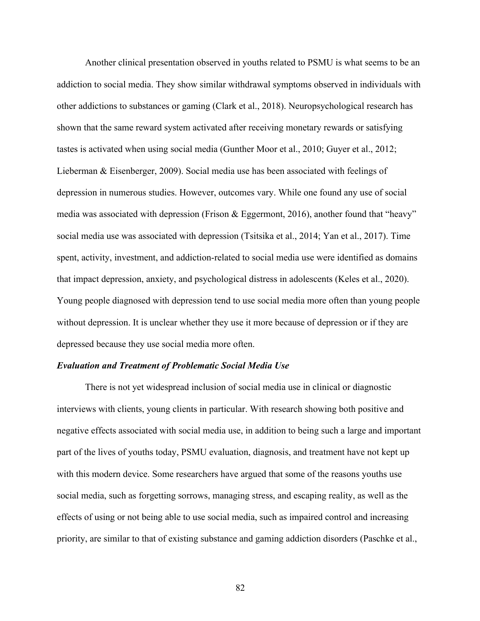Another clinical presentation observed in youths related to PSMU is what seems to be an addiction to social media. They show similar withdrawal symptoms observed in individuals with other addictions to substances or gaming (Clark et al., 2018). Neuropsychological research has shown that the same reward system activated after receiving monetary rewards or satisfying tastes is activated when using social media (Gunther Moor et al., 2010; Guyer et al., 2012; Lieberman & Eisenberger, 2009). Social media use has been associated with feelings of depression in numerous studies. However, outcomes vary. While one found any use of social media was associated with depression (Frison & Eggermont, 2016), another found that "heavy" social media use was associated with depression (Tsitsika et al., 2014; Yan et al., 2017). Time spent, activity, investment, and addiction-related to social media use were identified as domains that impact depression, anxiety, and psychological distress in adolescents (Keles et al., 2020). Young people diagnosed with depression tend to use social media more often than young people without depression. It is unclear whether they use it more because of depression or if they are depressed because they use social media more often.

#### *Evaluation and Treatment of Problematic Social Media Use*

There is not yet widespread inclusion of social media use in clinical or diagnostic interviews with clients, young clients in particular. With research showing both positive and negative effects associated with social media use, in addition to being such a large and important part of the lives of youths today, PSMU evaluation, diagnosis, and treatment have not kept up with this modern device. Some researchers have argued that some of the reasons youths use social media, such as forgetting sorrows, managing stress, and escaping reality, as well as the effects of using or not being able to use social media, such as impaired control and increasing priority, are similar to that of existing substance and gaming addiction disorders (Paschke et al.,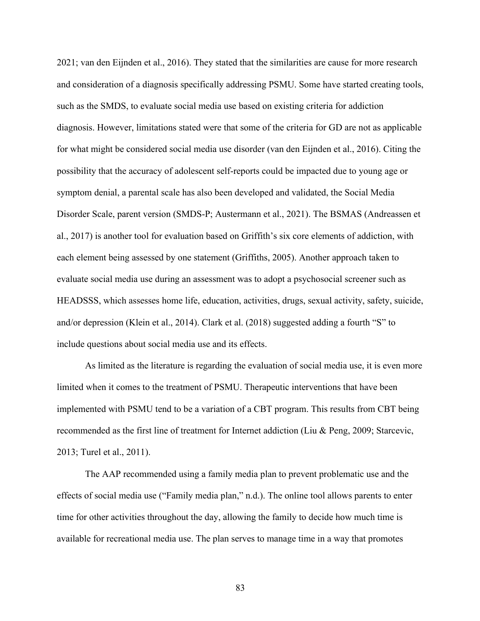2021; van den Eijnden et al., 2016). They stated that the similarities are cause for more research and consideration of a diagnosis specifically addressing PSMU. Some have started creating tools, such as the SMDS, to evaluate social media use based on existing criteria for addiction diagnosis. However, limitations stated were that some of the criteria for GD are not as applicable for what might be considered social media use disorder (van den Eijnden et al., 2016). Citing the possibility that the accuracy of adolescent self-reports could be impacted due to young age or symptom denial, a parental scale has also been developed and validated, the Social Media Disorder Scale, parent version (SMDS-P; Austermann et al., 2021). The BSMAS (Andreassen et al., 2017) is another tool for evaluation based on Griffith's six core elements of addiction, with each element being assessed by one statement (Griffiths, 2005). Another approach taken to evaluate social media use during an assessment was to adopt a psychosocial screener such as HEADSSS, which assesses home life, education, activities, drugs, sexual activity, safety, suicide, and/or depression (Klein et al., 2014). Clark et al. (2018) suggested adding a fourth "S" to include questions about social media use and its effects.

As limited as the literature is regarding the evaluation of social media use, it is even more limited when it comes to the treatment of PSMU. Therapeutic interventions that have been implemented with PSMU tend to be a variation of a CBT program. This results from CBT being recommended as the first line of treatment for Internet addiction (Liu & Peng, 2009; Starcevic, 2013; Turel et al., 2011).

The AAP recommended using a family media plan to prevent problematic use and the effects of social media use ("Family media plan," n.d.). The online tool allows parents to enter time for other activities throughout the day, allowing the family to decide how much time is available for recreational media use. The plan serves to manage time in a way that promotes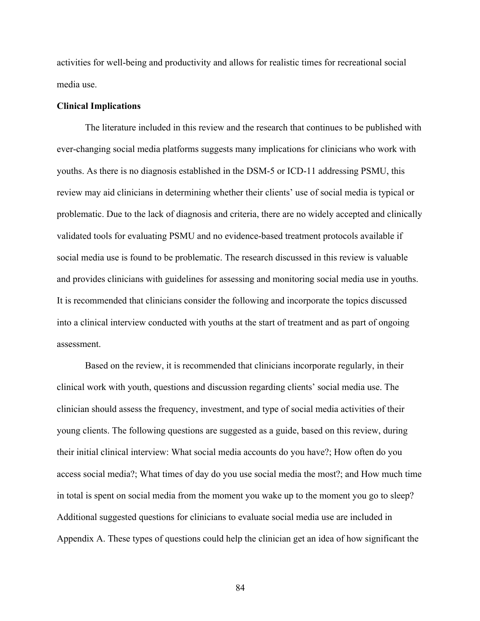activities for well-being and productivity and allows for realistic times for recreational social media use.

#### **Clinical Implications**

The literature included in this review and the research that continues to be published with ever-changing social media platforms suggests many implications for clinicians who work with youths. As there is no diagnosis established in the DSM-5 or ICD-11 addressing PSMU, this review may aid clinicians in determining whether their clients' use of social media is typical or problematic. Due to the lack of diagnosis and criteria, there are no widely accepted and clinically validated tools for evaluating PSMU and no evidence-based treatment protocols available if social media use is found to be problematic. The research discussed in this review is valuable and provides clinicians with guidelines for assessing and monitoring social media use in youths. It is recommended that clinicians consider the following and incorporate the topics discussed into a clinical interview conducted with youths at the start of treatment and as part of ongoing assessment.

Based on the review, it is recommended that clinicians incorporate regularly, in their clinical work with youth, questions and discussion regarding clients' social media use. The clinician should assess the frequency, investment, and type of social media activities of their young clients. The following questions are suggested as a guide, based on this review, during their initial clinical interview: What social media accounts do you have?; How often do you access social media?; What times of day do you use social media the most?; and How much time in total is spent on social media from the moment you wake up to the moment you go to sleep? Additional suggested questions for clinicians to evaluate social media use are included in Appendix A. These types of questions could help the clinician get an idea of how significant the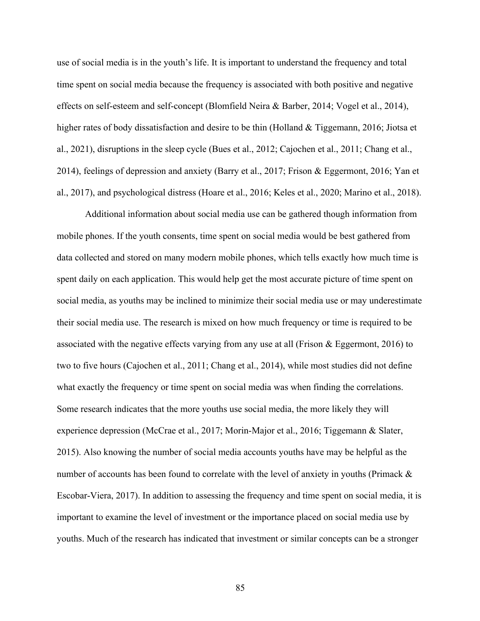use of social media is in the youth's life. It is important to understand the frequency and total time spent on social media because the frequency is associated with both positive and negative effects on self-esteem and self-concept (Blomfield Neira & Barber, 2014; Vogel et al., 2014), higher rates of body dissatisfaction and desire to be thin (Holland & Tiggemann, 2016; Jiotsa et al., 2021), disruptions in the sleep cycle (Bues et al., 2012; Cajochen et al., 2011; Chang et al., 2014), feelings of depression and anxiety (Barry et al., 2017; Frison & Eggermont, 2016; Yan et al., 2017), and psychological distress (Hoare et al., 2016; Keles et al., 2020; Marino et al., 2018).

Additional information about social media use can be gathered though information from mobile phones. If the youth consents, time spent on social media would be best gathered from data collected and stored on many modern mobile phones, which tells exactly how much time is spent daily on each application. This would help get the most accurate picture of time spent on social media, as youths may be inclined to minimize their social media use or may underestimate their social media use. The research is mixed on how much frequency or time is required to be associated with the negative effects varying from any use at all (Frison & Eggermont, 2016) to two to five hours (Cajochen et al., 2011; Chang et al., 2014), while most studies did not define what exactly the frequency or time spent on social media was when finding the correlations. Some research indicates that the more youths use social media, the more likely they will experience depression (McCrae et al., 2017; Morin-Major et al., 2016; Tiggemann & Slater, 2015). Also knowing the number of social media accounts youths have may be helpful as the number of accounts has been found to correlate with the level of anxiety in youths (Primack & Escobar-Viera, 2017). In addition to assessing the frequency and time spent on social media, it is important to examine the level of investment or the importance placed on social media use by youths. Much of the research has indicated that investment or similar concepts can be a stronger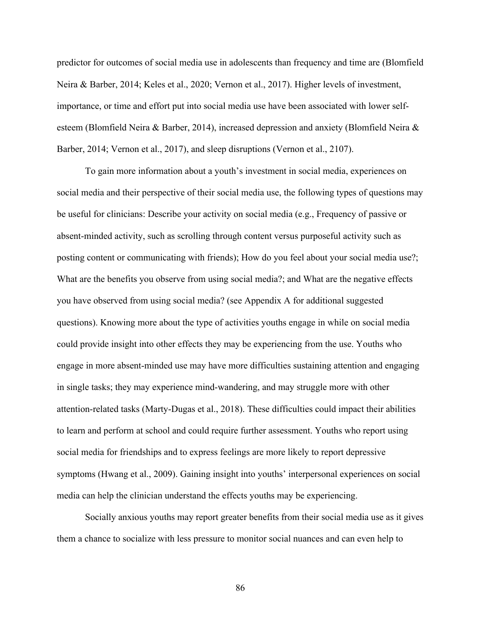predictor for outcomes of social media use in adolescents than frequency and time are (Blomfield Neira & Barber, 2014; Keles et al., 2020; Vernon et al., 2017). Higher levels of investment, importance, or time and effort put into social media use have been associated with lower selfesteem (Blomfield Neira & Barber, 2014), increased depression and anxiety (Blomfield Neira & Barber, 2014; Vernon et al., 2017), and sleep disruptions (Vernon et al., 2107).

To gain more information about a youth's investment in social media, experiences on social media and their perspective of their social media use, the following types of questions may be useful for clinicians: Describe your activity on social media (e.g., Frequency of passive or absent-minded activity, such as scrolling through content versus purposeful activity such as posting content or communicating with friends); How do you feel about your social media use?; What are the benefits you observe from using social media?; and What are the negative effects you have observed from using social media? (see Appendix A for additional suggested questions). Knowing more about the type of activities youths engage in while on social media could provide insight into other effects they may be experiencing from the use. Youths who engage in more absent-minded use may have more difficulties sustaining attention and engaging in single tasks; they may experience mind-wandering, and may struggle more with other attention-related tasks (Marty-Dugas et al., 2018). These difficulties could impact their abilities to learn and perform at school and could require further assessment. Youths who report using social media for friendships and to express feelings are more likely to report depressive symptoms (Hwang et al., 2009). Gaining insight into youths' interpersonal experiences on social media can help the clinician understand the effects youths may be experiencing.

Socially anxious youths may report greater benefits from their social media use as it gives them a chance to socialize with less pressure to monitor social nuances and can even help to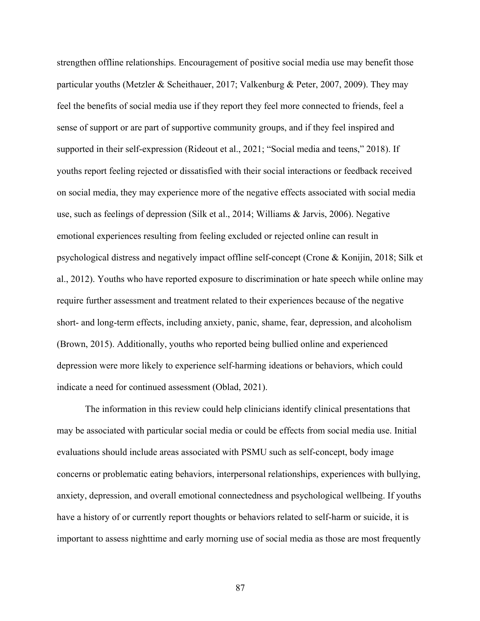strengthen offline relationships. Encouragement of positive social media use may benefit those particular youths (Metzler & Scheithauer, 2017; Valkenburg & Peter, 2007, 2009). They may feel the benefits of social media use if they report they feel more connected to friends, feel a sense of support or are part of supportive community groups, and if they feel inspired and supported in their self-expression (Rideout et al., 2021; "Social media and teens," 2018). If youths report feeling rejected or dissatisfied with their social interactions or feedback received on social media, they may experience more of the negative effects associated with social media use, such as feelings of depression (Silk et al., 2014; Williams & Jarvis, 2006). Negative emotional experiences resulting from feeling excluded or rejected online can result in psychological distress and negatively impact offline self-concept (Crone & Konijin, 2018; Silk et al., 2012). Youths who have reported exposure to discrimination or hate speech while online may require further assessment and treatment related to their experiences because of the negative short- and long-term effects, including anxiety, panic, shame, fear, depression, and alcoholism (Brown, 2015). Additionally, youths who reported being bullied online and experienced depression were more likely to experience self-harming ideations or behaviors, which could indicate a need for continued assessment (Oblad, 2021).

The information in this review could help clinicians identify clinical presentations that may be associated with particular social media or could be effects from social media use. Initial evaluations should include areas associated with PSMU such as self-concept, body image concerns or problematic eating behaviors, interpersonal relationships, experiences with bullying, anxiety, depression, and overall emotional connectedness and psychological wellbeing. If youths have a history of or currently report thoughts or behaviors related to self-harm or suicide, it is important to assess nighttime and early morning use of social media as those are most frequently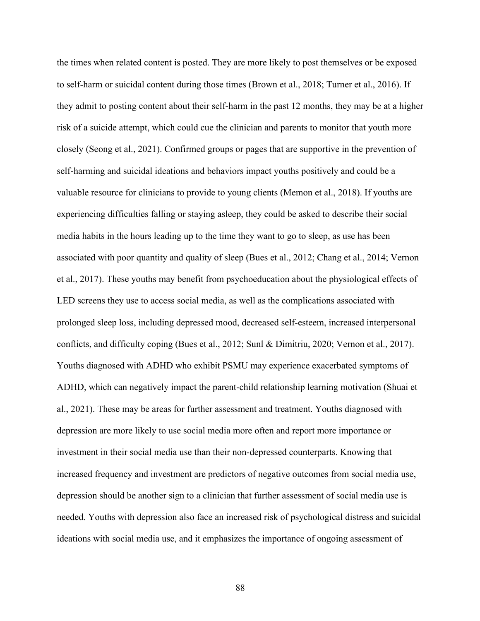the times when related content is posted. They are more likely to post themselves or be exposed to self-harm or suicidal content during those times (Brown et al., 2018; Turner et al., 2016). If they admit to posting content about their self-harm in the past 12 months, they may be at a higher risk of a suicide attempt, which could cue the clinician and parents to monitor that youth more closely (Seong et al., 2021). Confirmed groups or pages that are supportive in the prevention of self-harming and suicidal ideations and behaviors impact youths positively and could be a valuable resource for clinicians to provide to young clients (Memon et al., 2018). If youths are experiencing difficulties falling or staying asleep, they could be asked to describe their social media habits in the hours leading up to the time they want to go to sleep, as use has been associated with poor quantity and quality of sleep (Bues et al., 2012; Chang et al., 2014; Vernon et al., 2017). These youths may benefit from psychoeducation about the physiological effects of LED screens they use to access social media, as well as the complications associated with prolonged sleep loss, including depressed mood, decreased self-esteem, increased interpersonal conflicts, and difficulty coping (Bues et al., 2012; Sunl & Dimitriu, 2020; Vernon et al., 2017). Youths diagnosed with ADHD who exhibit PSMU may experience exacerbated symptoms of ADHD, which can negatively impact the parent-child relationship learning motivation (Shuai et al., 2021). These may be areas for further assessment and treatment. Youths diagnosed with depression are more likely to use social media more often and report more importance or investment in their social media use than their non-depressed counterparts. Knowing that increased frequency and investment are predictors of negative outcomes from social media use, depression should be another sign to a clinician that further assessment of social media use is needed. Youths with depression also face an increased risk of psychological distress and suicidal ideations with social media use, and it emphasizes the importance of ongoing assessment of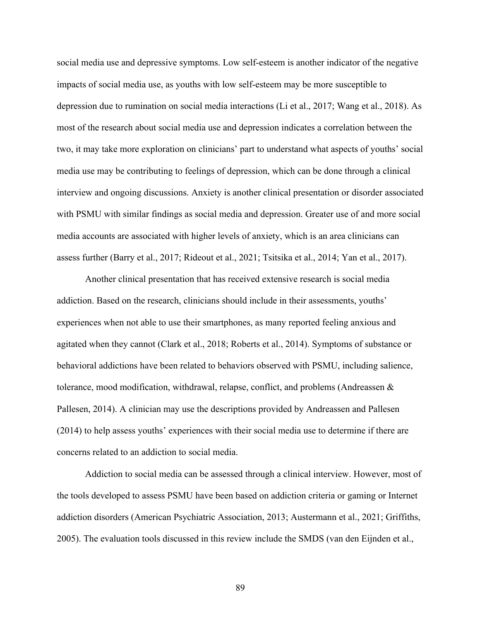social media use and depressive symptoms. Low self-esteem is another indicator of the negative impacts of social media use, as youths with low self-esteem may be more susceptible to depression due to rumination on social media interactions (Li et al., 2017; Wang et al., 2018). As most of the research about social media use and depression indicates a correlation between the two, it may take more exploration on clinicians' part to understand what aspects of youths' social media use may be contributing to feelings of depression, which can be done through a clinical interview and ongoing discussions. Anxiety is another clinical presentation or disorder associated with PSMU with similar findings as social media and depression. Greater use of and more social media accounts are associated with higher levels of anxiety, which is an area clinicians can assess further (Barry et al., 2017; Rideout et al., 2021; Tsitsika et al., 2014; Yan et al., 2017).

Another clinical presentation that has received extensive research is social media addiction. Based on the research, clinicians should include in their assessments, youths' experiences when not able to use their smartphones, as many reported feeling anxious and agitated when they cannot (Clark et al., 2018; Roberts et al., 2014). Symptoms of substance or behavioral addictions have been related to behaviors observed with PSMU, including salience, tolerance, mood modification, withdrawal, relapse, conflict, and problems (Andreassen & Pallesen, 2014). A clinician may use the descriptions provided by Andreassen and Pallesen (2014) to help assess youths' experiences with their social media use to determine if there are concerns related to an addiction to social media.

Addiction to social media can be assessed through a clinical interview. However, most of the tools developed to assess PSMU have been based on addiction criteria or gaming or Internet addiction disorders (American Psychiatric Association, 2013; Austermann et al., 2021; Griffiths, 2005). The evaluation tools discussed in this review include the SMDS (van den Eijnden et al.,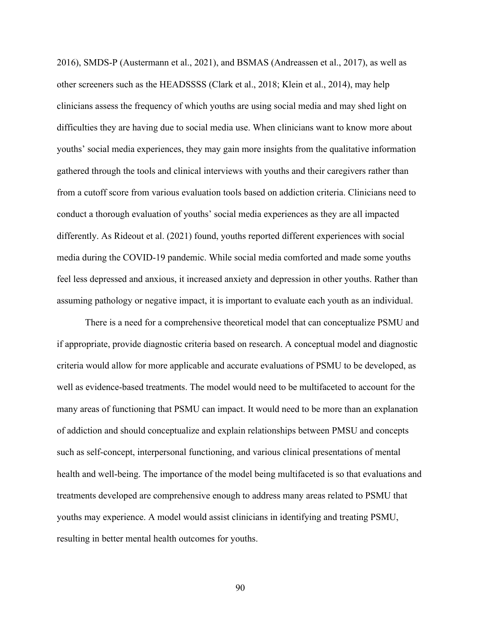2016), SMDS-P (Austermann et al., 2021), and BSMAS (Andreassen et al., 2017), as well as other screeners such as the HEADSSSS (Clark et al., 2018; Klein et al., 2014), may help clinicians assess the frequency of which youths are using social media and may shed light on difficulties they are having due to social media use. When clinicians want to know more about youths' social media experiences, they may gain more insights from the qualitative information gathered through the tools and clinical interviews with youths and their caregivers rather than from a cutoff score from various evaluation tools based on addiction criteria. Clinicians need to conduct a thorough evaluation of youths' social media experiences as they are all impacted differently. As Rideout et al. (2021) found, youths reported different experiences with social media during the COVID-19 pandemic. While social media comforted and made some youths feel less depressed and anxious, it increased anxiety and depression in other youths. Rather than assuming pathology or negative impact, it is important to evaluate each youth as an individual.

There is a need for a comprehensive theoretical model that can conceptualize PSMU and if appropriate, provide diagnostic criteria based on research. A conceptual model and diagnostic criteria would allow for more applicable and accurate evaluations of PSMU to be developed, as well as evidence-based treatments. The model would need to be multifaceted to account for the many areas of functioning that PSMU can impact. It would need to be more than an explanation of addiction and should conceptualize and explain relationships between PMSU and concepts such as self-concept, interpersonal functioning, and various clinical presentations of mental health and well-being. The importance of the model being multifaceted is so that evaluations and treatments developed are comprehensive enough to address many areas related to PSMU that youths may experience. A model would assist clinicians in identifying and treating PSMU, resulting in better mental health outcomes for youths.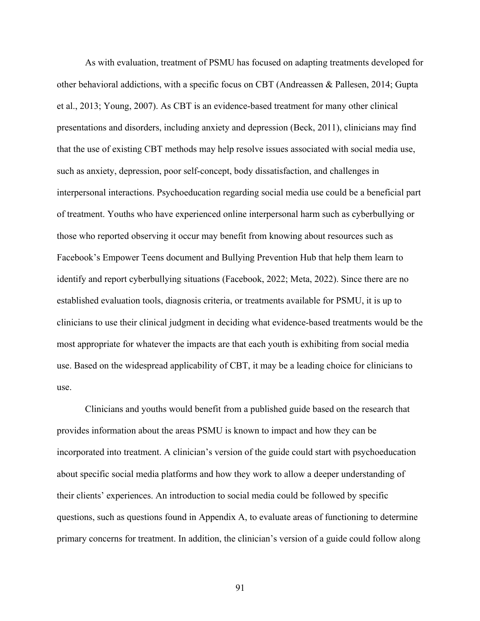As with evaluation, treatment of PSMU has focused on adapting treatments developed for other behavioral addictions, with a specific focus on CBT (Andreassen & Pallesen, 2014; Gupta et al., 2013; Young, 2007). As CBT is an evidence-based treatment for many other clinical presentations and disorders, including anxiety and depression (Beck, 2011), clinicians may find that the use of existing CBT methods may help resolve issues associated with social media use, such as anxiety, depression, poor self-concept, body dissatisfaction, and challenges in interpersonal interactions. Psychoeducation regarding social media use could be a beneficial part of treatment. Youths who have experienced online interpersonal harm such as cyberbullying or those who reported observing it occur may benefit from knowing about resources such as Facebook's Empower Teens document and Bullying Prevention Hub that help them learn to identify and report cyberbullying situations (Facebook, 2022; Meta, 2022). Since there are no established evaluation tools, diagnosis criteria, or treatments available for PSMU, it is up to clinicians to use their clinical judgment in deciding what evidence-based treatments would be the most appropriate for whatever the impacts are that each youth is exhibiting from social media use. Based on the widespread applicability of CBT, it may be a leading choice for clinicians to use.

Clinicians and youths would benefit from a published guide based on the research that provides information about the areas PSMU is known to impact and how they can be incorporated into treatment. A clinician's version of the guide could start with psychoeducation about specific social media platforms and how they work to allow a deeper understanding of their clients' experiences. An introduction to social media could be followed by specific questions, such as questions found in Appendix A, to evaluate areas of functioning to determine primary concerns for treatment. In addition, the clinician's version of a guide could follow along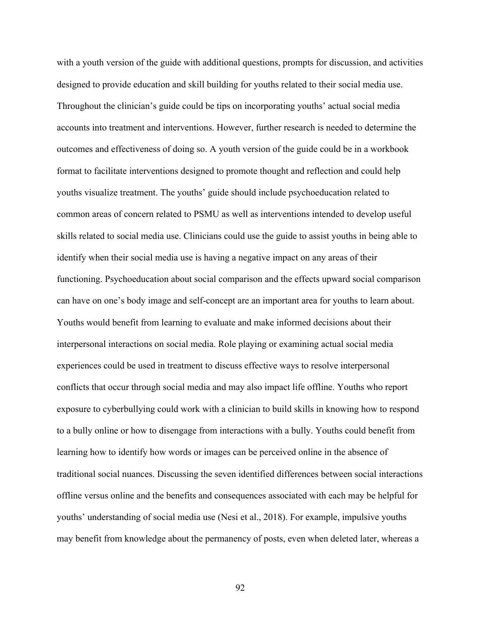with a youth version of the guide with additional questions, prompts for discussion, and activities designed to provide education and skill building for youths related to their social media use. Throughout the clinician's guide could be tips on incorporating youths' actual social media accounts into treatment and interventions. However, further research is needed to determine the outcomes and effectiveness of doing so. A youth version of the guide could be in a workbook format to facilitate interventions designed to promote thought and reflection and could help youths visualize treatment. The youths' guide should include psychoeducation related to common areas of concern related to PSMU as well as interventions intended to develop useful skills related to social media use. Clinicians could use the guide to assist youths in being able to identify when their social media use is having a negative impact on any areas of their functioning. Psychoeducation about social comparison and the effects upward social comparison can have on one's body image and self-concept are an important area for youths to learn about. Youths would benefit from learning to evaluate and make informed decisions about their interpersonal interactions on social media. Role playing or examining actual social media experiences could be used in treatment to discuss effective ways to resolve interpersonal conflicts that occur through social media and may also impact life offline. Youths who report exposure to cyberbullying could work with a clinician to build skills in knowing how to respond to a bully online or how to disengage from interactions with a bully. Youths could benefit from learning how to identify how words or images can be perceived online in the absence of traditional social nuances. Discussing the seven identified differences between social interactions offline versus online and the benefits and consequences associated with each may be helpful for youths' understanding of social media use (Nesi et al., 2018). For example, impulsive youths may benefit from knowledge about the permanency of posts, even when deleted later, whereas a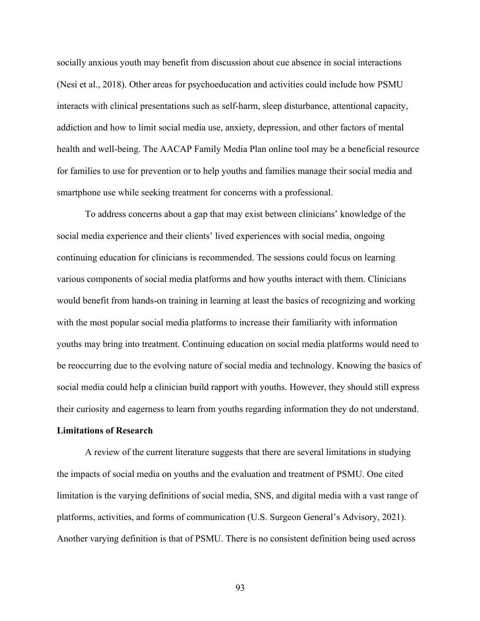socially anxious youth may benefit from discussion about cue absence in social interactions (Nesi et al., 2018). Other areas for psychoeducation and activities could include how PSMU interacts with clinical presentations such as self-harm, sleep disturbance, attentional capacity, addiction and how to limit social media use, anxiety, depression, and other factors of mental health and well-being. The AACAP Family Media Plan online tool may be a beneficial resource for families to use for prevention or to help youths and families manage their social media and smartphone use while seeking treatment for concerns with a professional.

To address concerns about a gap that may exist between clinicians' knowledge of the social media experience and their clients' lived experiences with social media, ongoing continuing education for clinicians is recommended. The sessions could focus on learning various components of social media platforms and how youths interact with them. Clinicians would benefit from hands-on training in learning at least the basics of recognizing and working with the most popular social media platforms to increase their familiarity with information youths may bring into treatment. Continuing education on social media platforms would need to be reoccurring due to the evolving nature of social media and technology. Knowing the basics of social media could help a clinician build rapport with youths. However, they should still express their curiosity and eagerness to learn from youths regarding information they do not understand.

# **Limitations of Research**

A review of the current literature suggests that there are several limitations in studying the impacts of social media on youths and the evaluation and treatment of PSMU. One cited limitation is the varying definitions of social media, SNS, and digital media with a vast range of platforms, activities, and forms of communication (U.S. Surgeon General's Advisory, 2021). Another varying definition is that of PSMU. There is no consistent definition being used across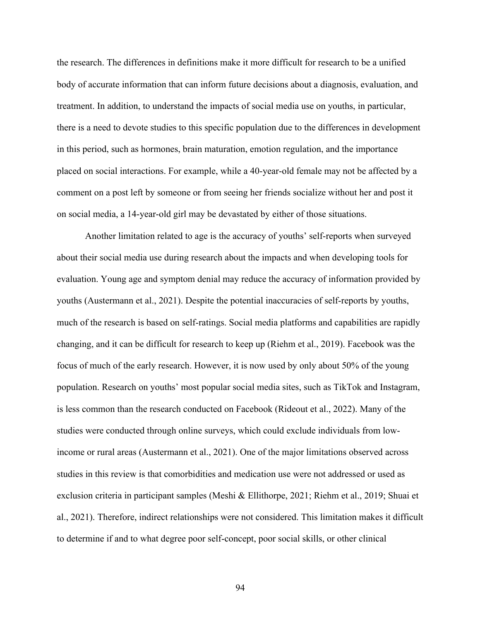the research. The differences in definitions make it more difficult for research to be a unified body of accurate information that can inform future decisions about a diagnosis, evaluation, and treatment. In addition, to understand the impacts of social media use on youths, in particular, there is a need to devote studies to this specific population due to the differences in development in this period, such as hormones, brain maturation, emotion regulation, and the importance placed on social interactions. For example, while a 40-year-old female may not be affected by a comment on a post left by someone or from seeing her friends socialize without her and post it on social media, a 14-year-old girl may be devastated by either of those situations.

Another limitation related to age is the accuracy of youths' self-reports when surveyed about their social media use during research about the impacts and when developing tools for evaluation. Young age and symptom denial may reduce the accuracy of information provided by youths (Austermann et al., 2021). Despite the potential inaccuracies of self-reports by youths, much of the research is based on self-ratings. Social media platforms and capabilities are rapidly changing, and it can be difficult for research to keep up (Riehm et al., 2019). Facebook was the focus of much of the early research. However, it is now used by only about 50% of the young population. Research on youths' most popular social media sites, such as TikTok and Instagram, is less common than the research conducted on Facebook (Rideout et al., 2022). Many of the studies were conducted through online surveys, which could exclude individuals from lowincome or rural areas (Austermann et al., 2021). One of the major limitations observed across studies in this review is that comorbidities and medication use were not addressed or used as exclusion criteria in participant samples (Meshi & Ellithorpe, 2021; Riehm et al., 2019; Shuai et al., 2021). Therefore, indirect relationships were not considered. This limitation makes it difficult to determine if and to what degree poor self-concept, poor social skills, or other clinical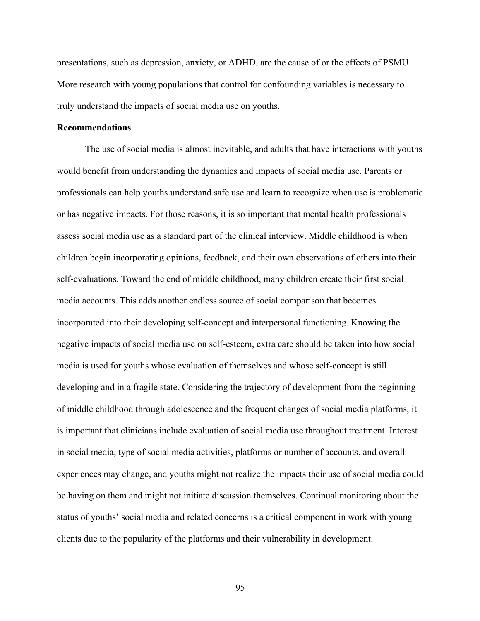presentations, such as depression, anxiety, or ADHD, are the cause of or the effects of PSMU. More research with young populations that control for confounding variables is necessary to truly understand the impacts of social media use on youths.

### **Recommendations**

The use of social media is almost inevitable, and adults that have interactions with youths would benefit from understanding the dynamics and impacts of social media use. Parents or professionals can help youths understand safe use and learn to recognize when use is problematic or has negative impacts. For those reasons, it is so important that mental health professionals assess social media use as a standard part of the clinical interview. Middle childhood is when children begin incorporating opinions, feedback, and their own observations of others into their self-evaluations. Toward the end of middle childhood, many children create their first social media accounts. This adds another endless source of social comparison that becomes incorporated into their developing self-concept and interpersonal functioning. Knowing the negative impacts of social media use on self-esteem, extra care should be taken into how social media is used for youths whose evaluation of themselves and whose self-concept is still developing and in a fragile state. Considering the trajectory of development from the beginning of middle childhood through adolescence and the frequent changes of social media platforms, it is important that clinicians include evaluation of social media use throughout treatment. Interest in social media, type of social media activities, platforms or number of accounts, and overall experiences may change, and youths might not realize the impacts their use of social media could be having on them and might not initiate discussion themselves. Continual monitoring about the status of youths' social media and related concerns is a critical component in work with young clients due to the popularity of the platforms and their vulnerability in development.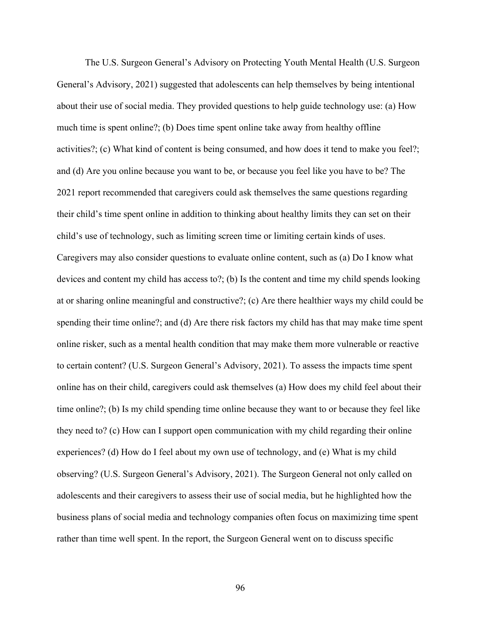The U.S. Surgeon General's Advisory on Protecting Youth Mental Health (U.S. Surgeon General's Advisory, 2021) suggested that adolescents can help themselves by being intentional about their use of social media. They provided questions to help guide technology use: (a) How much time is spent online?; (b) Does time spent online take away from healthy offline activities?; (c) What kind of content is being consumed, and how does it tend to make you feel?; and (d) Are you online because you want to be, or because you feel like you have to be? The 2021 report recommended that caregivers could ask themselves the same questions regarding their child's time spent online in addition to thinking about healthy limits they can set on their child's use of technology, such as limiting screen time or limiting certain kinds of uses. Caregivers may also consider questions to evaluate online content, such as (a) Do I know what devices and content my child has access to?; (b) Is the content and time my child spends looking at or sharing online meaningful and constructive?; (c) Are there healthier ways my child could be spending their time online?; and (d) Are there risk factors my child has that may make time spent online risker, such as a mental health condition that may make them more vulnerable or reactive to certain content? (U.S. Surgeon General's Advisory, 2021). To assess the impacts time spent online has on their child, caregivers could ask themselves (a) How does my child feel about their time online?; (b) Is my child spending time online because they want to or because they feel like they need to? (c) How can I support open communication with my child regarding their online experiences? (d) How do I feel about my own use of technology, and (e) What is my child observing? (U.S. Surgeon General's Advisory, 2021). The Surgeon General not only called on adolescents and their caregivers to assess their use of social media, but he highlighted how the business plans of social media and technology companies often focus on maximizing time spent rather than time well spent. In the report, the Surgeon General went on to discuss specific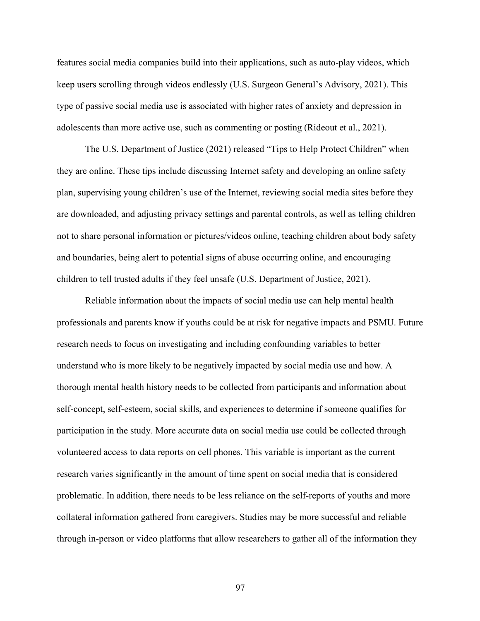features social media companies build into their applications, such as auto-play videos, which keep users scrolling through videos endlessly (U.S. Surgeon General's Advisory, 2021). This type of passive social media use is associated with higher rates of anxiety and depression in adolescents than more active use, such as commenting or posting (Rideout et al., 2021).

The U.S. Department of Justice (2021) released "Tips to Help Protect Children" when they are online. These tips include discussing Internet safety and developing an online safety plan, supervising young children's use of the Internet, reviewing social media sites before they are downloaded, and adjusting privacy settings and parental controls, as well as telling children not to share personal information or pictures/videos online, teaching children about body safety and boundaries, being alert to potential signs of abuse occurring online, and encouraging children to tell trusted adults if they feel unsafe (U.S. Department of Justice, 2021).

Reliable information about the impacts of social media use can help mental health professionals and parents know if youths could be at risk for negative impacts and PSMU. Future research needs to focus on investigating and including confounding variables to better understand who is more likely to be negatively impacted by social media use and how. A thorough mental health history needs to be collected from participants and information about self-concept, self-esteem, social skills, and experiences to determine if someone qualifies for participation in the study. More accurate data on social media use could be collected through volunteered access to data reports on cell phones. This variable is important as the current research varies significantly in the amount of time spent on social media that is considered problematic. In addition, there needs to be less reliance on the self-reports of youths and more collateral information gathered from caregivers. Studies may be more successful and reliable through in-person or video platforms that allow researchers to gather all of the information they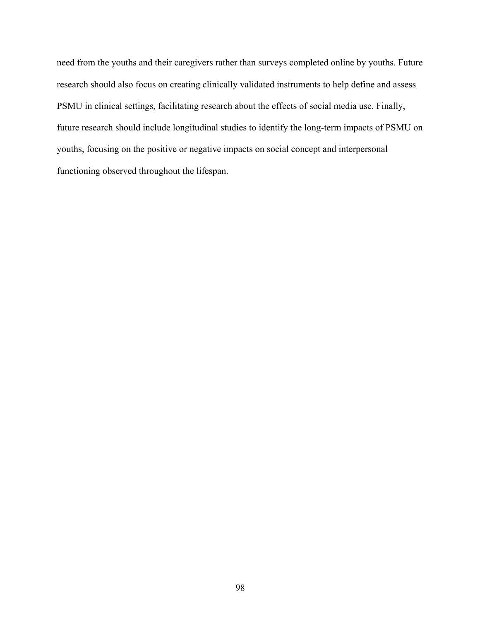need from the youths and their caregivers rather than surveys completed online by youths. Future research should also focus on creating clinically validated instruments to help define and assess PSMU in clinical settings, facilitating research about the effects of social media use. Finally, future research should include longitudinal studies to identify the long-term impacts of PSMU on youths, focusing on the positive or negative impacts on social concept and interpersonal functioning observed throughout the lifespan.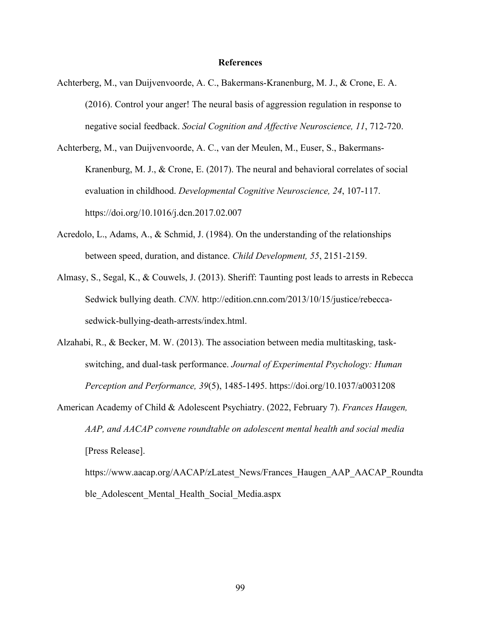#### **References**

- Achterberg, M., van Duijvenvoorde, A. C., Bakermans-Kranenburg, M. J., & Crone, E. A. (2016). Control your anger! The neural basis of aggression regulation in response to negative social feedback. *Social Cognition and Affective Neuroscience, 11*, 712-720.
- Achterberg, M., van Duijvenvoorde, A. C., van der Meulen, M., Euser, S., Bakermans-Kranenburg, M. J., & Crone, E. (2017). The neural and behavioral correlates of social evaluation in childhood. *Developmental Cognitive Neuroscience, 24*, 107-117. https://doi.org/10.1016/j.dcn.2017.02.007
- Acredolo, L., Adams, A., & Schmid, J. (1984). On the understanding of the relationships between speed, duration, and distance. *Child Development, 55*, 2151-2159.
- Almasy, S., Segal, K., & Couwels, J. (2013). Sheriff: Taunting post leads to arrests in Rebecca Sedwick bullying death. *CNN.* http://edition.cnn.com/2013/10/15/justice/rebeccasedwick-bullying-death-arrests/index.html.
- Alzahabi, R., & Becker, M. W. (2013). The association between media multitasking, taskswitching, and dual-task performance. *Journal of Experimental Psychology: Human Perception and Performance, 39*(5), 1485-1495. https://doi.org/10.1037/a0031208
- American Academy of Child & Adolescent Psychiatry. (2022, February 7). *Frances Haugen, AAP, and AACAP convene roundtable on adolescent mental health and social media* [Press Release].

https://www.aacap.org/AACAP/zLatest\_News/Frances\_Haugen\_AAP\_AACAP\_Roundta ble Adolescent Mental Health Social Media.aspx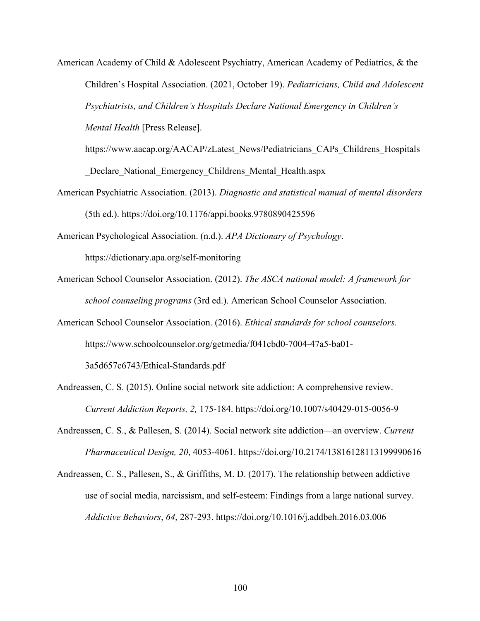American Academy of Child & Adolescent Psychiatry, American Academy of Pediatrics, & the Children's Hospital Association. (2021, October 19). *Pediatricians, Child and Adolescent Psychiatrists, and Children's Hospitals Declare National Emergency in Children's Mental Health* [Press Release].

https://www.aacap.org/AACAP/zLatest\_News/Pediatricians\_CAPs\_Childrens\_Hospitals \_Declare\_National\_Emergency\_Childrens\_Mental\_Health.aspx

American Psychiatric Association. (2013). *Diagnostic and statistical manual of mental disorders* (5th ed.). https://doi.org/10.1176/appi.books.9780890425596

American Psychological Association. (n.d.). *APA Dictionary of Psychology*. https://dictionary.apa.org/self-monitoring

- American School Counselor Association. (2012). *The ASCA national model: A framework for school counseling programs* (3rd ed.). American School Counselor Association.
- American School Counselor Association. (2016). *Ethical standards for school counselors*. https://www.schoolcounselor.org/getmedia/f041cbd0-7004-47a5-ba01-

3a5d657c6743/Ethical-Standards.pdf

Andreassen, C. S. (2015). Online social network site addiction: A comprehensive review. *Current Addiction Reports, 2,* 175-184. https://doi.org/10.1007/s40429-015-0056-9

Andreassen, C. S., & Pallesen, S. (2014). Social network site addiction—an overview. *Current Pharmaceutical Design, 20*, 4053-4061. https://doi.org/10.2174/13816128113199990616

Andreassen, C. S., Pallesen, S., & Griffiths, M. D. (2017). The relationship between addictive use of social media, narcissism, and self-esteem: Findings from a large national survey. *Addictive Behaviors*, *64*, 287-293. https://doi.org/10.1016/j.addbeh.2016.03.006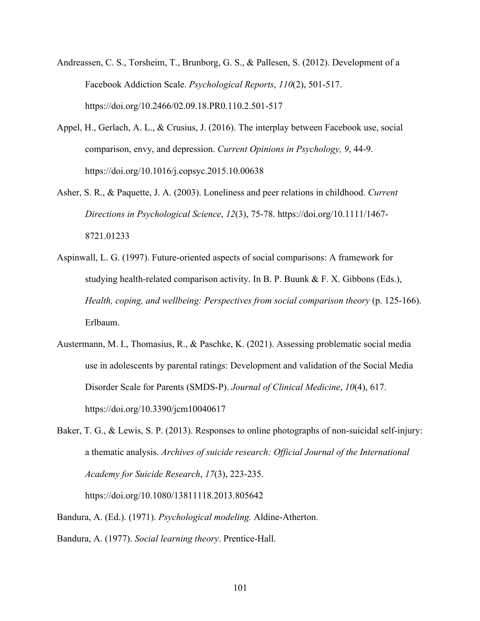- Andreassen, C. S., Torsheim, T., Brunborg, G. S., & Pallesen, S. (2012). Development of a Facebook Addiction Scale. *Psychological Reports*, *110*(2), 501-517. https://doi.org/10.2466/02.09.18.PR0.110.2.501-517
- Appel, H., Gerlach, A. L., & Crusius, J. (2016). The interplay between Facebook use, social comparison, envy, and depression. *Current Opinions in Psychology, 9*, 44-9. https://doi.org/10.1016/j.copsyc.2015.10.00638
- Asher, S. R., & Paquette, J. A. (2003). Loneliness and peer relations in childhood. *Current Directions in Psychological Science*, *12*(3), 75-78. https://doi.org/10.1111/1467- 8721.01233
- Aspinwall, L. G. (1997). Future-oriented aspects of social comparisons: A framework for studying health-related comparison activity. In B. P. Buunk & F. X. Gibbons (Eds.), *Health, coping, and wellbeing: Perspectives from social comparison theory* (p. 125-166). Erlbaum.
- Austermann, M. I., Thomasius, R., & Paschke, K. (2021). Assessing problematic social media use in adolescents by parental ratings: Development and validation of the Social Media Disorder Scale for Parents (SMDS-P). *Journal of Clinical Medicine*, *10*(4), 617. https://doi.org/10.3390/jcm10040617
- Baker, T. G., & Lewis, S. P. (2013). Responses to online photographs of non-suicidal self-injury: a thematic analysis. *Archives of suicide research: Official Journal of the International Academy for Suicide Research*, *17*(3), 223-235.

https://doi.org/10.1080/13811118.2013.805642

Bandura, A. (Ed.). (1971). *Psychological modeling.* Aldine-Atherton.

Bandura, A. (1977). *Social learning theory*. Prentice-Hall.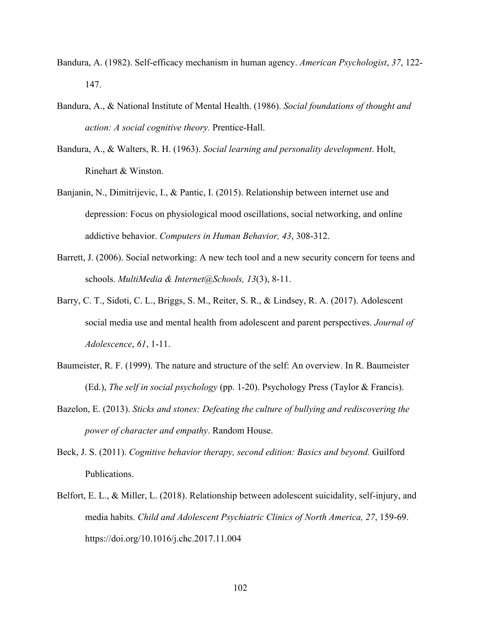- Bandura, A. (1982). Self-efficacy mechanism in human agency. *American Psychologist*, *37*, 122- 147.
- Bandura, A., & National Institute of Mental Health. (1986). *Social foundations of thought and action: A social cognitive theory.* Prentice-Hall.
- Bandura, A., & Walters, R. H. (1963). *Social learning and personality development*. Holt, Rinehart & Winston.
- Banjanin, N., Dimitrijevic, I., & Pantic, I. (2015). Relationship between internet use and depression: Focus on physiological mood oscillations, social networking, and online addictive behavior. *Computers in Human Behavior, 43*, 308-312.
- Barrett, J. (2006). Social networking: A new tech tool and a new security concern for teens and schools. *MultiMedia & Internet@Schools, 13*(3), 8-11.
- Barry, C. T., Sidoti, C. L., Briggs, S. M., Reiter, S. R., & Lindsey, R. A. (2017). Adolescent social media use and mental health from adolescent and parent perspectives. *Journal of Adolescence*, *61*, 1-11.
- Baumeister, R. F. (1999). The nature and structure of the self: An overview. In R. Baumeister (Ed.), *The self in social psychology* (pp. 1-20). Psychology Press (Taylor & Francis).
- Bazelon, E. (2013). *Sticks and stones: Defeating the culture of bullying and rediscovering the power of character and empathy*. Random House.
- Beck, J. S. (2011). *Cognitive behavior therapy, second edition: Basics and beyond.* Guilford Publications.
- Belfort, E. L., & Miller, L. (2018). Relationship between adolescent suicidality, self-injury, and media habits. *Child and Adolescent Psychiatric Clinics of North America, 27*, 159-69. https://doi.org/10.1016/j.chc.2017.11.004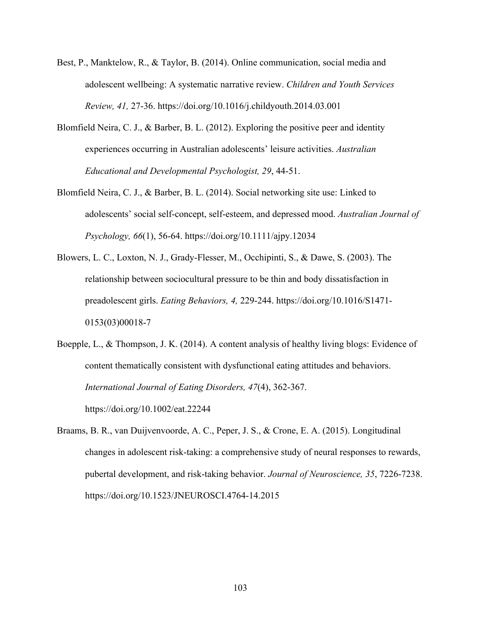- Best, P., Manktelow, R., & Taylor, B. (2014). Online communication, social media and adolescent wellbeing: A systematic narrative review. *Children and Youth Services Review, 41,* 27-36. https://doi.org/10.1016/j.childyouth.2014.03.001
- Blomfield Neira, C. J., & Barber, B. L. (2012). Exploring the positive peer and identity experiences occurring in Australian adolescents' leisure activities. *Australian Educational and Developmental Psychologist, 29*, 44-51.
- Blomfield Neira, C. J., & Barber, B. L. (2014). Social networking site use: Linked to adolescents' social self‐concept, self‐esteem, and depressed mood. *Australian Journal of Psychology, 66*(1), 56-64. https://doi.org/10.1111/ajpy.12034
- Blowers, L. C., Loxton, N. J., Grady-Flesser, M., Occhipinti, S., & Dawe, S. (2003). The relationship between sociocultural pressure to be thin and body dissatisfaction in preadolescent girls. *Eating Behaviors, 4,* 229-244. https://doi.org/10.1016/S1471- 0153(03)00018-7
- Boepple, L., & Thompson, J. K. (2014). A content analysis of healthy living blogs: Evidence of content thematically consistent with dysfunctional eating attitudes and behaviors. *International Journal of Eating Disorders, 47*(4), 362-367. https://doi.org/10.1002/eat.22244
- Braams, B. R., van Duijvenvoorde, A. C., Peper, J. S., & Crone, E. A. (2015). Longitudinal changes in adolescent risk-taking: a comprehensive study of neural responses to rewards, pubertal development, and risk-taking behavior. *Journal of Neuroscience, 35*, 7226-7238. https://doi.org/10.1523/JNEUROSCI.4764-14.2015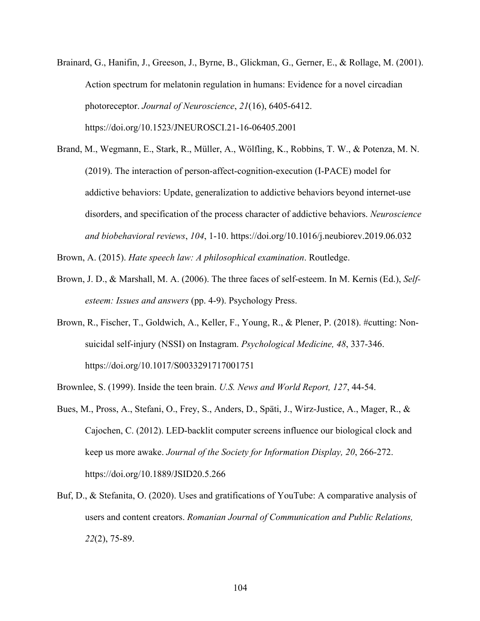- Brainard, G., Hanifin, J., Greeson, J., Byrne, B., Glickman, G., Gerner, E., & Rollage, M. (2001). Action spectrum for melatonin regulation in humans: Evidence for a novel circadian photoreceptor. *Journal of Neuroscience*, *21*(16), 6405-6412. https://doi.org/10.1523/JNEUROSCI.21-16-06405.2001
- Brand, M., Wegmann, E., Stark, R., Müller, A., Wölfling, K., Robbins, T. W., & Potenza, M. N. (2019). The interaction of person-affect-cognition-execution (I-PACE) model for addictive behaviors: Update, generalization to addictive behaviors beyond internet-use disorders, and specification of the process character of addictive behaviors. *Neuroscience and biobehavioral reviews*, *104*, 1-10. https://doi.org/10.1016/j.neubiorev.2019.06.032
- Brown, A. (2015). *Hate speech law: A philosophical examination*. Routledge.
- Brown, J. D., & Marshall, M. A. (2006). The three faces of self-esteem. In M. Kernis (Ed.), *Selfesteem: Issues and answers* (pp. 4-9). Psychology Press.
- Brown, R., Fischer, T., Goldwich, A., Keller, F., Young, R., & Plener, P. (2018). #cutting: Nonsuicidal self-injury (NSSI) on Instagram. *Psychological Medicine, 48*, 337-346. https://doi.org/10.1017/S0033291717001751
- Brownlee, S. (1999). Inside the teen brain. *U.S. News and World Report, 127*, 44-54.
- Bues, M., Pross, A., Stefani, O., Frey, S., Anders, D., Späti, J., Wirz-Justice, A., Mager, R., & Cajochen, C. (2012). LED-backlit computer screens influence our biological clock and keep us more awake. *Journal of the Society for Information Display, 20*, 266-272. https://doi.org/10.1889/JSID20.5.266
- Buf, D., & Stefanita, O. (2020). Uses and gratifications of YouTube: A comparative analysis of users and content creators. *Romanian Journal of Communication and Public Relations, 22*(2), 75-89.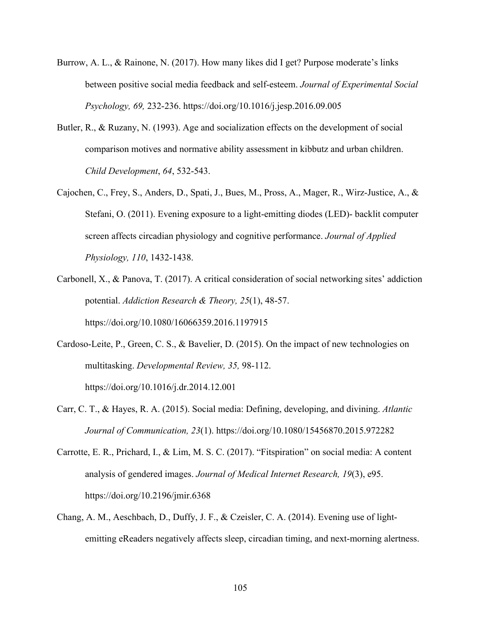- Burrow, A. L., & Rainone, N. (2017). How many likes did I get? Purpose moderate's links between positive social media feedback and self-esteem. *Journal of Experimental Social Psychology, 69,* 232-236. https://doi.org/10.1016/j.jesp.2016.09.005
- Butler, R., & Ruzany, N. (1993). Age and socialization effects on the development of social comparison motives and normative ability assessment in kibbutz and urban children. *Child Development*, *64*, 532-543.
- Cajochen, C., Frey, S., Anders, D., Spati, J., Bues, M., Pross, A., Mager, R., Wirz-Justice, A., & Stefani, O. (2011). Evening exposure to a light-emitting diodes (LED)- backlit computer screen affects circadian physiology and cognitive performance. *Journal of Applied Physiology, 110*, 1432-1438.
- Carbonell, X., & Panova, T. (2017). A critical consideration of social networking sites' addiction potential. *Addiction Research & Theory, 25*(1), 48-57. https://doi.org/10.1080/16066359.2016.1197915
- Cardoso-Leite, P., Green, C. S., & Bavelier, D. (2015). On the impact of new technologies on multitasking. *Developmental Review, 35,* 98-112.

https://doi.org/10.1016/j.dr.2014.12.001

- Carr, C. T., & Hayes, R. A. (2015). Social media: Defining, developing, and divining. *Atlantic Journal of Communication, 23*(1). https://doi.org/10.1080/15456870.2015.972282
- Carrotte, E. R., Prichard, I., & Lim, M. S. C. (2017). "Fitspiration" on social media: A content analysis of gendered images. *Journal of Medical Internet Research, 19*(3), e95. https://doi.org/10.2196/jmir.6368
- Chang, A. M., Aeschbach, D., Duffy, J. F., & Czeisler, C. A. (2014). Evening use of lightemitting eReaders negatively affects sleep, circadian timing, and next-morning alertness.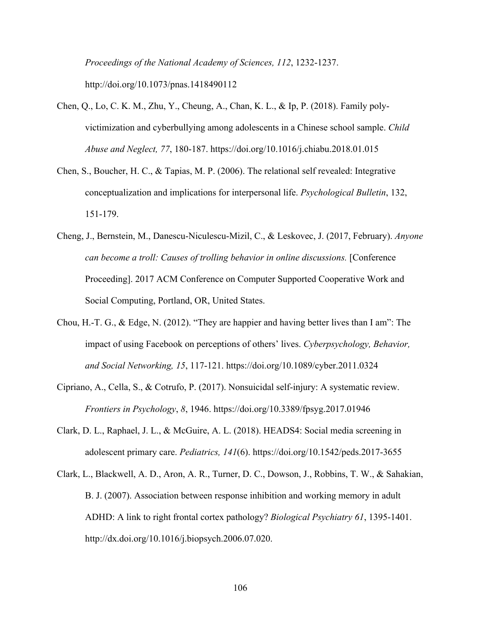*Proceedings of the National Academy of Sciences, 112*, 1232-1237. http://doi.org/10.1073/pnas.1418490112

- Chen, Q., Lo, C. K. M., Zhu, Y., Cheung, A., Chan, K. L., & Ip, P. (2018). Family polyvictimization and cyberbullying among adolescents in a Chinese school sample. *Child Abuse and Neglect, 77*, 180-187. https://doi.org/10.1016/j.chiabu.2018.01.015
- Chen, S., Boucher, H. C., & Tapias, M. P. (2006). The relational self revealed: Integrative conceptualization and implications for interpersonal life. *Psychological Bulletin*, 132, 151-179.
- Cheng, J., Bernstein, M., Danescu-Niculescu-Mizil, C., & Leskovec, J. (2017, February). *Anyone can become a troll: Causes of trolling behavior in online discussions.* [Conference Proceeding]. 2017 ACM Conference on Computer Supported Cooperative Work and Social Computing, Portland, OR, United States.
- Chou, H.-T. G., & Edge, N. (2012). "They are happier and having better lives than I am": The impact of using Facebook on perceptions of others' lives. *Cyberpsychology, Behavior, and Social Networking, 15*, 117-121. https://doi.org/10.1089/cyber.2011.0324
- Cipriano, A., Cella, S., & Cotrufo, P. (2017). Nonsuicidal self-injury: A systematic review. *Frontiers in Psychology*, *8*, 1946. https://doi.org/10.3389/fpsyg.2017.01946
- Clark, D. L., Raphael, J. L., & McGuire, A. L. (2018). HEADS4: Social media screening in adolescent primary care. *Pediatrics, 141*(6). https://doi.org/10.1542/peds.2017-3655
- Clark, L., Blackwell, A. D., Aron, A. R., Turner, D. C., Dowson, J., Robbins, T. W., & Sahakian, B. J. (2007). Association between response inhibition and working memory in adult ADHD: A link to right frontal cortex pathology? *Biological Psychiatry 61*, 1395-1401. http://dx.doi.org/10.1016/j.biopsych.2006.07.020.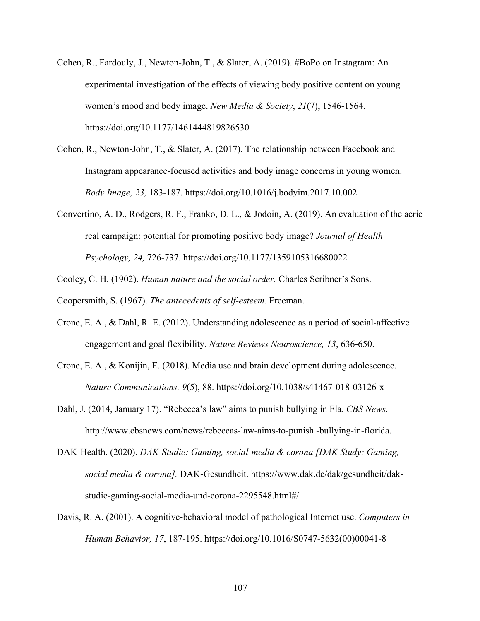- Cohen, R., Fardouly, J., Newton-John, T., & Slater, A. (2019). #BoPo on Instagram: An experimental investigation of the effects of viewing body positive content on young women's mood and body image. *New Media & Society*, *21*(7), 1546-1564. https://doi.org/10.1177/1461444819826530
- Cohen, R., Newton-John, T., & Slater, A. (2017). The relationship between Facebook and Instagram appearance-focused activities and body image concerns in young women. *Body Image, 23,* 183-187. https://doi.org/10.1016/j.bodyim.2017.10.002
- Convertino, A. D., Rodgers, R. F., Franko, D. L., & Jodoin, A. (2019). An evaluation of the aerie real campaign: potential for promoting positive body image? *Journal of Health Psychology, 24,* 726-737. https://doi.org/10.1177/1359105316680022

Cooley, C. H. (1902). *Human nature and the social order.* Charles Scribner's Sons.

Coopersmith, S. (1967). *The antecedents of self-esteem.* Freeman.

- Crone, E. A., & Dahl, R. E. (2012). Understanding adolescence as a period of social-affective engagement and goal flexibility. *Nature Reviews Neuroscience, 13*, 636-650.
- Crone, E. A., & Konijin, E. (2018). Media use and brain development during adolescence. *Nature Communications, 9*(5), 88. https://doi.org/10.1038/s41467-018-03126-x
- Dahl, J. (2014, January 17). "Rebecca's law" aims to punish bullying in Fla. *CBS News*. http://www.cbsnews.com/news/rebeccas-law-aims-to-punish -bullying-in-florida.
- DAK-Health. (2020). *DAK-Studie: Gaming, social-media & corona [DAK Study: Gaming, social media & corona].* DAK-Gesundheit. https://www.dak.de/dak/gesundheit/dakstudie-gaming-social-media-und-corona-2295548.html#/
- Davis, R. A. (2001). A cognitive-behavioral model of pathological Internet use. *Computers in Human Behavior, 17*, 187-195. https://doi.org/10.1016/S0747-5632(00)00041-8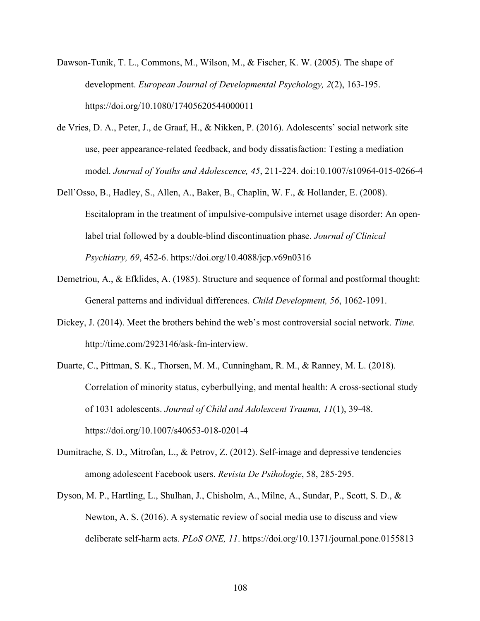- Dawson-Tunik, T. L., Commons, M., Wilson, M., & Fischer, K. W. (2005). The shape of development. *European Journal of Developmental Psychology, 2*(2), 163-195. https://doi.org/10.1080/17405620544000011
- de Vries, D. A., Peter, J., de Graaf, H., & Nikken, P. (2016). Adolescents' social network site use, peer appearance-related feedback, and body dissatisfaction: Testing a mediation model. *Journal of Youths and Adolescence, 45*, 211-224. doi:10.1007/s10964-015-0266-4
- Dell'Osso, B., Hadley, S., Allen, A., Baker, B., Chaplin, W. F., & Hollander, E. (2008). Escitalopram in the treatment of impulsive-compulsive internet usage disorder: An openlabel trial followed by a double-blind discontinuation phase. *Journal of Clinical Psychiatry, 69*, 452-6. https://doi.org/10.4088/jcp.v69n0316
- Demetriou, A., & Efklides, A. (1985). Structure and sequence of formal and postformal thought: General patterns and individual differences. *Child Development, 56*, 1062-1091.
- Dickey, J. (2014). Meet the brothers behind the web's most controversial social network. *Time.* http://time.com/2923146/ask-fm-interview.
- Duarte, C., Pittman, S. K., Thorsen, M. M., Cunningham, R. M., & Ranney, M. L. (2018). Correlation of minority status, cyberbullying, and mental health: A cross-sectional study of 1031 adolescents. *Journal of Child and Adolescent Trauma, 11*(1), 39-48. https://doi.org/10.1007/s40653-018-0201-4
- Dumitrache, S. D., Mitrofan, L., & Petrov, Z. (2012). Self-image and depressive tendencies among adolescent Facebook users. *Revista De Psihologie*, 58, 285-295.
- Dyson, M. P., Hartling, L., Shulhan, J., Chisholm, A., Milne, A., Sundar, P., Scott, S. D., & Newton, A. S. (2016). A systematic review of social media use to discuss and view deliberate self-harm acts. *PLoS ONE, 11*. https://doi.org/10.1371/journal.pone.0155813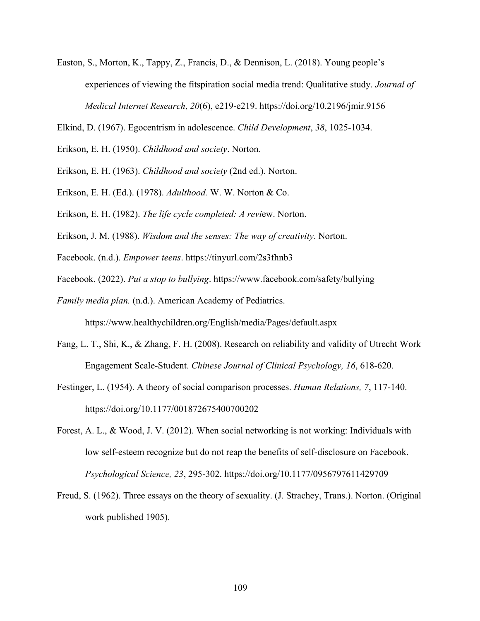- Easton, S., Morton, K., Tappy, Z., Francis, D., & Dennison, L. (2018). Young people's experiences of viewing the fitspiration social media trend: Qualitative study. *Journal of Medical Internet Research*, *20*(6), e219-e219. https://doi.org/10.2196/jmir.9156
- Elkind, D. (1967). Egocentrism in adolescence. *Child Development*, *38*, 1025-1034.
- Erikson, E. H. (1950). *Childhood and society*. Norton.
- Erikson, E. H. (1963). *Childhood and society* (2nd ed.). Norton.
- Erikson, E. H. (Ed.). (1978). *Adulthood.* W. W. Norton & Co.
- Erikson, E. H. (1982). *The life cycle completed: A revi*ew. Norton.
- Erikson, J. M. (1988). *Wisdom and the senses: The way of creativity*. Norton.
- Facebook. (n.d.). *Empower teens*. https://tinyurl.com/2s3fhnb3
- Facebook. (2022). *Put a stop to bullying*. https://www.facebook.com/safety/bullying
- *Family media plan.* (n.d.). American Academy of Pediatrics.

https://www.healthychildren.org/English/media/Pages/default.aspx

- Fang, L. T., Shi, K., & Zhang, F. H. (2008). Research on reliability and validity of Utrecht Work Engagement Scale-Student. *Chinese Journal of Clinical Psychology, 16*, 618-620.
- Festinger, L. (1954). A theory of social comparison processes. *Human Relations, 7*, 117-140. https://doi.org/10.1177/001872675400700202
- Forest, A. L., & Wood, J. V. (2012). When social networking is not working: Individuals with low self-esteem recognize but do not reap the benefits of self-disclosure on Facebook. *Psychological Science, 23*, 295-302. https://doi.org/10.1177/0956797611429709
- Freud, S. (1962). Three essays on the theory of sexuality. (J. Strachey, Trans.). Norton. (Original work published 1905).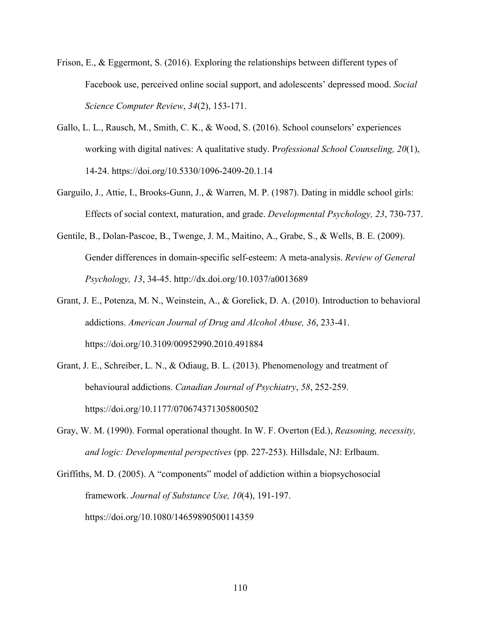- Frison, E., & Eggermont, S. (2016). Exploring the relationships between different types of Facebook use, perceived online social support, and adolescents' depressed mood. *Social Science Computer Review*, *34*(2), 153-171.
- Gallo, L. L., Rausch, M., Smith, C. K., & Wood, S. (2016). School counselors' experiences working with digital natives: A qualitative study. P*rofessional School Counseling, 20*(1), 14-24. https://doi.org/10.5330/1096-2409-20.1.14
- Garguilo, J., Attie, I., Brooks-Gunn, J., & Warren, M. P. (1987). Dating in middle school girls: Effects of social context, maturation, and grade. *Developmental Psychology, 23*, 730-737.
- Gentile, B., Dolan-Pascoe, B., Twenge, J. M., Maitino, A., Grabe, S., & Wells, B. E. (2009). Gender differences in domain-specific self-esteem: A meta-analysis. *Review of General Psychology, 13*, 34-45. http://dx.doi.org/10.1037/a0013689
- Grant, J. E., Potenza, M. N., Weinstein, A., & Gorelick, D. A. (2010). Introduction to behavioral addictions. *American Journal of Drug and Alcohol Abuse, 36*, 233-41. https://doi.org/10.3109/00952990.2010.491884
- Grant, J. E., Schreiber, L. N., & Odiaug, B. L. (2013). Phenomenology and treatment of behavioural addictions. *Canadian Journal of Psychiatry*, *58*, 252-259. https://doi.org/10.1177/070674371305800502
- Gray, W. M. (1990). Formal operational thought. In W. F. Overton (Ed.), *Reasoning, necessity, and logic: Developmental perspectives* (pp. 227-253). Hillsdale, NJ: Erlbaum.

Griffiths, M. D. (2005). A "components" model of addiction within a biopsychosocial framework. *Journal of Substance Use, 10*(4), 191-197. https://doi.org/10.1080/14659890500114359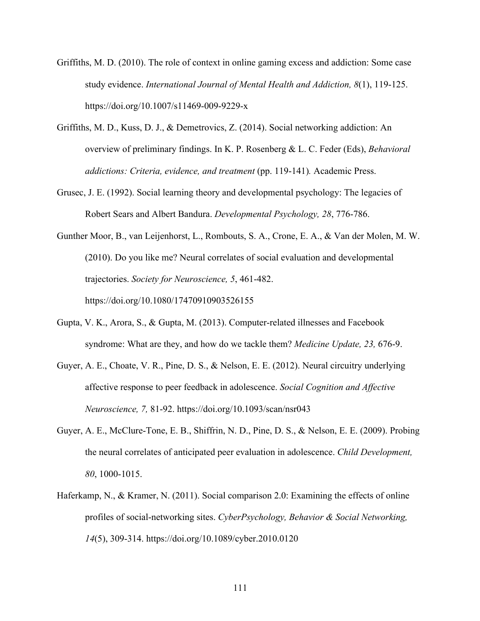- Griffiths, M. D. (2010). The role of context in online gaming excess and addiction: Some case study evidence. *International Journal of Mental Health and Addiction, 8*(1), 119-125. https://doi.org/10.1007/s11469-009-9229-x
- Griffiths, M. D., Kuss, D. J., & Demetrovics, Z. (2014). Social networking addiction: An overview of preliminary findings. In K. P. Rosenberg & L. C. Feder (Eds), *Behavioral addictions: Criteria, evidence, and treatment* (pp. 119-141)*.* Academic Press.
- Grusec, J. E. (1992). Social learning theory and developmental psychology: The legacies of Robert Sears and Albert Bandura. *Developmental Psychology, 28*, 776-786.
- Gunther Moor, B., van Leijenhorst, L., Rombouts, S. A., Crone, E. A., & Van der Molen, M. W. (2010). Do you like me? Neural correlates of social evaluation and developmental trajectories. *Society for Neuroscience, 5*, 461-482. https://doi.org/10.1080/17470910903526155
- Gupta, V. K., Arora, S., & Gupta, M. (2013). Computer-related illnesses and Facebook syndrome: What are they, and how do we tackle them? *Medicine Update, 23,* 676-9.
- Guyer, A. E., Choate, V. R., Pine, D. S., & Nelson, E. E. (2012). Neural circuitry underlying affective response to peer feedback in adolescence. *Social Cognition and Affective Neuroscience, 7,* 81-92. https://doi.org/10.1093/scan/nsr043
- Guyer, A. E., McClure-Tone, E. B., Shiffrin, N. D., Pine, D. S., & Nelson, E. E. (2009). Probing the neural correlates of anticipated peer evaluation in adolescence. *Child Development, 80*, 1000-1015.
- Haferkamp, N., & Kramer, N. (2011). Social comparison 2.0: Examining the effects of online profiles of social-networking sites. *CyberPsychology, Behavior & Social Networking, 14*(5), 309-314. https://doi.org/10.1089/cyber.2010.0120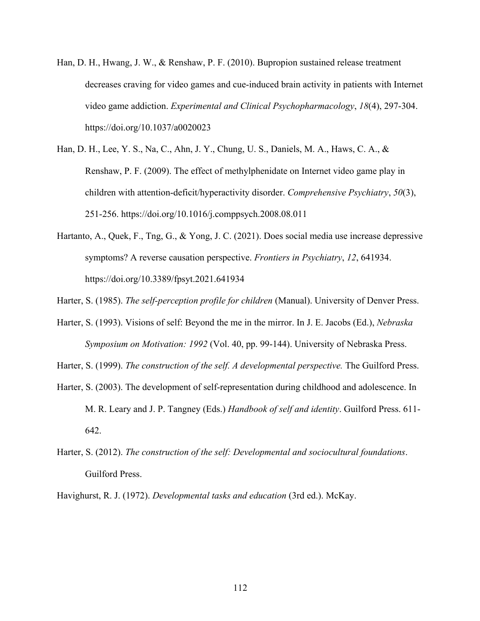- Han, D. H., Hwang, J. W., & Renshaw, P. F. (2010). Bupropion sustained release treatment decreases craving for video games and cue-induced brain activity in patients with Internet video game addiction. *Experimental and Clinical Psychopharmacology*, *18*(4), 297-304. https://doi.org/10.1037/a0020023
- Han, D. H., Lee, Y. S., Na, C., Ahn, J. Y., Chung, U. S., Daniels, M. A., Haws, C. A., & Renshaw, P. F. (2009). The effect of methylphenidate on Internet video game play in children with attention-deficit/hyperactivity disorder. *Comprehensive Psychiatry*, *50*(3), 251-256. https://doi.org/10.1016/j.comppsych.2008.08.011
- Hartanto, A., Quek, F., Tng, G., & Yong, J. C. (2021). Does social media use increase depressive symptoms? A reverse causation perspective. *Frontiers in Psychiatry*, *12*, 641934. https://doi.org/10.3389/fpsyt.2021.641934

Harter, S. (1985). *The self-perception profile for children* (Manual). University of Denver Press.

Harter, S. (1993). Visions of self: Beyond the me in the mirror. In J. E. Jacobs (Ed.), *Nebraska Symposium on Motivation: 1992* (Vol. 40, pp. 99-144). University of Nebraska Press.

Harter, S. (1999). *The construction of the self. A developmental perspective.* The Guilford Press.

- Harter, S. (2003). The development of self-representation during childhood and adolescence. In M. R. Leary and J. P. Tangney (Eds.) *Handbook of self and identity*. Guilford Press. 611- 642.
- Harter, S. (2012). *The construction of the self: Developmental and sociocultural foundations*. Guilford Press.

Havighurst, R. J. (1972). *Developmental tasks and education* (3rd ed.). McKay.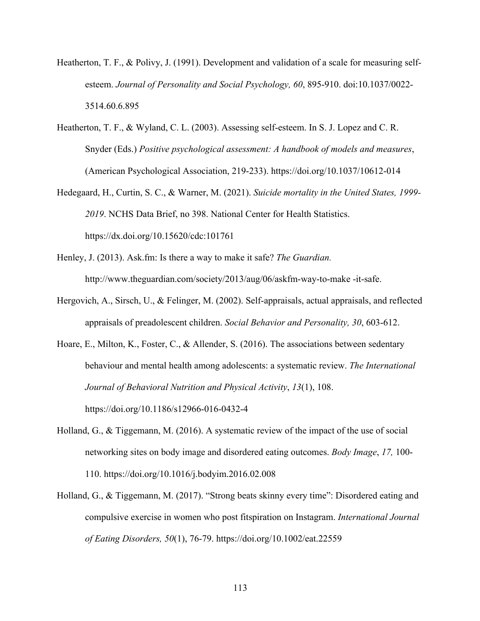- Heatherton, T. F., & Polivy, J. (1991). Development and validation of a scale for measuring selfesteem. *Journal of Personality and Social Psychology, 60*, 895-910. doi:10.1037/0022- 3514.60.6.895
- Heatherton, T. F., & Wyland, C. L. (2003). Assessing self-esteem. In S. J. Lopez and C. R. Snyder (Eds.) *Positive psychological assessment: A handbook of models and measures*, (American Psychological Association, 219-233). https://doi.org/10.1037/10612-014
- Hedegaard, H., Curtin, S. C., & Warner, M. (2021). *Suicide mortality in the United States, 1999- 2019*. NCHS Data Brief, no 398. National Center for Health Statistics. https://dx.doi.org/10.15620/cdc:101761
- Henley, J. (2013). Ask.fm: Is there a way to make it safe? *The Guardian.*  http://www.theguardian.com/society/2013/aug/06/askfm-way-to-make -it-safe.
- Hergovich, A., Sirsch, U., & Felinger, M. (2002). Self-appraisals, actual appraisals, and reflected appraisals of preadolescent children. *Social Behavior and Personality, 30*, 603-612.
- Hoare, E., Milton, K., Foster, C., & Allender, S. (2016). The associations between sedentary behaviour and mental health among adolescents: a systematic review. *The International Journal of Behavioral Nutrition and Physical Activity*, *13*(1), 108. https://doi.org/10.1186/s12966-016-0432-4
- Holland, G., & Tiggemann, M. (2016). A systematic review of the impact of the use of social networking sites on body image and disordered eating outcomes. *Body Image*, *17,* 100- 110. https://doi.org/10.1016/j.bodyim.2016.02.008
- Holland, G., & Tiggemann, M. (2017). "Strong beats skinny every time": Disordered eating and compulsive exercise in women who post fitspiration on Instagram. *International Journal of Eating Disorders, 50*(1), 76-79. https://doi.org/10.1002/eat.22559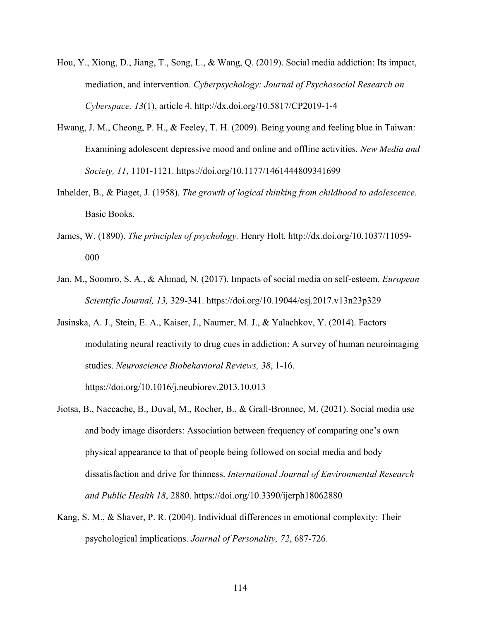- Hou, Y., Xiong, D., Jiang, T., Song, L., & Wang, Q. (2019). Social media addiction: Its impact, mediation, and intervention. *Cyberpsychology: Journal of Psychosocial Research on Cyberspace, 13*(1), article 4. http://dx.doi.org/10.5817/CP2019-1-4
- Hwang, J. M., Cheong, P. H., & Feeley, T. H. (2009). Being young and feeling blue in Taiwan: Examining adolescent depressive mood and online and offline activities. *New Media and Society, 11*, 1101-1121. https://doi.org/10.1177/1461444809341699
- Inhelder, B., & Piaget, J. (1958). *The growth of logical thinking from childhood to adolescence.* Basic Books.
- James, W. (1890). *The principles of psychology.* Henry Holt. http://dx.doi.org/10.1037/11059- 000
- Jan, M., Soomro, S. A., & Ahmad, N. (2017). Impacts of social media on self-esteem. *European Scientific Journal, 13,* 329-341. https://doi.org/10.19044/esj.2017.v13n23p329
- Jasinska, A. J., Stein, E. A., Kaiser, J., Naumer, M. J., & Yalachkov, Y. (2014). Factors modulating neural reactivity to drug cues in addiction: A survey of human neuroimaging studies. *Neuroscience Biobehavioral Reviews, 38*, 1-16. https://doi.org/10.1016/j.neubiorev.2013.10.013
- Jiotsa, B., Naccache, B., Duval, M., Rocher, B., & Grall-Bronnec, M. (2021). Social media use and body image disorders: Association between frequency of comparing one's own physical appearance to that of people being followed on social media and body dissatisfaction and drive for thinness. *International Journal of Environmental Research and Public Health 18*, 2880. https://doi.org/10.3390/ijerph18062880
- Kang, S. M., & Shaver, P. R. (2004). Individual differences in emotional complexity: Their psychological implications. *Journal of Personality, 72*, 687-726.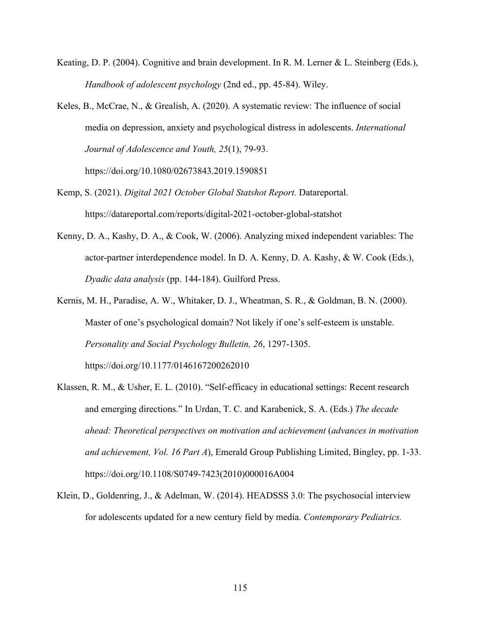- Keating, D. P. (2004). Cognitive and brain development. In R. M. Lerner & L. Steinberg (Eds.), *Handbook of adolescent psychology* (2nd ed., pp. 45-84). Wiley.
- Keles, B., McCrae, N., & Grealish, A. (2020). A systematic review: The influence of social media on depression, anxiety and psychological distress in adolescents. *International Journal of Adolescence and Youth, 25*(1), 79-93.

https://doi.org/10.1080/02673843.2019.1590851

- Kemp, S. (2021). *Digital 2021 October Global Statshot Report.* Datareportal. https://datareportal.com/reports/digital-2021-october-global-statshot
- Kenny, D. A., Kashy, D. A., & Cook, W. (2006). Analyzing mixed independent variables: The actor-partner interdependence model. In D. A. Kenny, D. A. Kashy, & W. Cook (Eds.), *Dyadic data analysis* (pp. 144-184). Guilford Press.
- Kernis, M. H., Paradise, A. W., Whitaker, D. J., Wheatman, S. R., & Goldman, B. N. (2000). Master of one's psychological domain? Not likely if one's self-esteem is unstable. *Personality and Social Psychology Bulletin, 26*, 1297-1305. https://doi.org/10.1177/0146167200262010
- Klassen, R. M., & Usher, E. L. (2010). "Self-efficacy in educational settings: Recent research and emerging directions." In Urdan, T. C. and Karabenick, S. A. (Eds.) *The decade ahead: Theoretical perspectives on motivation and achievement* (*advances in motivation and achievement, Vol. 16 Part A*), Emerald Group Publishing Limited, Bingley, pp. 1-33. https://doi.org/10.1108/S0749-7423(2010)000016A004
- Klein, D., Goldenring, J., & Adelman, W. (2014). HEADSSS 3.0: The psychosocial interview for adolescents updated for a new century field by media. *Contemporary Pediatrics.*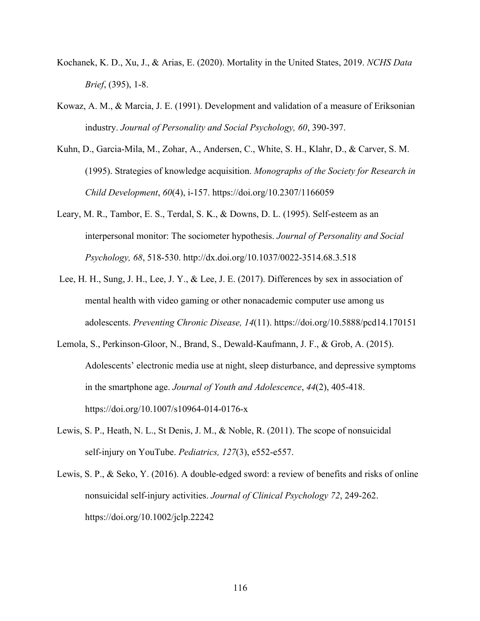- Kochanek, K. D., Xu, J., & Arias, E. (2020). Mortality in the United States, 2019. *NCHS Data Brief*, (395), 1-8.
- Kowaz, A. M., & Marcia, J. E. (1991). Development and validation of a measure of Eriksonian industry. *Journal of Personality and Social Psychology, 60*, 390-397.
- Kuhn, D., Garcia-Mila, M., Zohar, A., Andersen, C., White, S. H., Klahr, D., & Carver, S. M. (1995). Strategies of knowledge acquisition. *Monographs of the Society for Research in Child Development*, *60*(4), i-157. https://doi.org/10.2307/1166059
- Leary, M. R., Tambor, E. S., Terdal, S. K., & Downs, D. L. (1995). Self-esteem as an interpersonal monitor: The sociometer hypothesis. *Journal of Personality and Social Psychology, 68*, 518-530. http://dx.doi.org/10.1037/0022-3514.68.3.518
- Lee, H. H., Sung, J. H., Lee, J. Y., & Lee, J. E. (2017). Differences by sex in association of mental health with video gaming or other nonacademic computer use among us adolescents. *Preventing Chronic Disease, 14*(11). https://doi.org/10.5888/pcd14.170151
- Lemola, S., Perkinson-Gloor, N., Brand, S., Dewald-Kaufmann, J. F., & Grob, A. (2015). Adolescents' electronic media use at night, sleep disturbance, and depressive symptoms in the smartphone age. *Journal of Youth and Adolescence*, *44*(2), 405-418. https://doi.org/10.1007/s10964-014-0176-x
- Lewis, S. P., Heath, N. L., St Denis, J. M., & Noble, R. (2011). The scope of nonsuicidal self-injury on YouTube. *Pediatrics*, 127(3), e552-e557.
- Lewis, S. P., & Seko, Y. (2016). A double-edged sword: a review of benefits and risks of online nonsuicidal self-injury activities. *Journal of Clinical Psychology 72*, 249-262. https://doi.org/10.1002/jclp.22242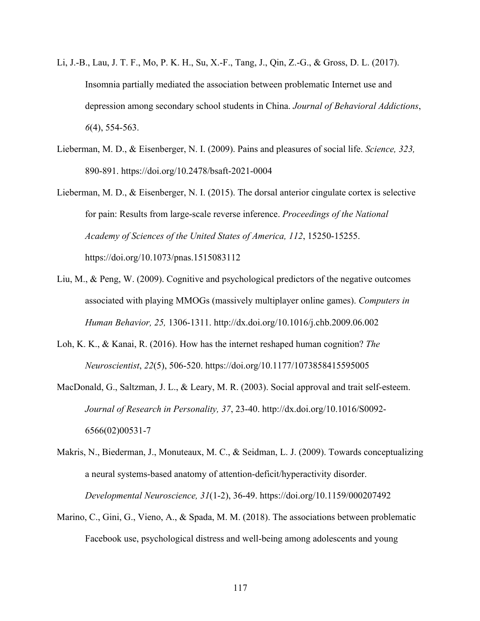- Li, J.-B., Lau, J. T. F., Mo, P. K. H., Su, X.-F., Tang, J., Qin, Z.-G., & Gross, D. L. (2017). Insomnia partially mediated the association between problematic Internet use and depression among secondary school students in China. *Journal of Behavioral Addictions*, *6*(4), 554-563.
- Lieberman, M. D., & Eisenberger, N. I. (2009). Pains and pleasures of social life. *Science, 323,* 890-891. https://doi.org/10.2478/bsaft-2021-0004
- Lieberman, M. D., & Eisenberger, N. I. (2015). The dorsal anterior cingulate cortex is selective for pain: Results from large-scale reverse inference. *Proceedings of the National Academy of Sciences of the United States of America, 112*, 15250-15255. https://doi.org/10.1073/pnas.1515083112
- Liu, M., & Peng, W. (2009). Cognitive and psychological predictors of the negative outcomes associated with playing MMOGs (massively multiplayer online games). *Computers in Human Behavior, 25,* 1306-1311. http://dx.doi.org/10.1016/j.chb.2009.06.002
- Loh, K. K., & Kanai, R. (2016). How has the internet reshaped human cognition? *The Neuroscientist*, *22*(5), 506-520. https://doi.org/10.1177/1073858415595005
- MacDonald, G., Saltzman, J. L., & Leary, M. R. (2003). Social approval and trait self-esteem. *Journal of Research in Personality, 37*, 23-40. http://dx.doi.org/10.1016/S0092- 6566(02)00531-7
- Makris, N., Biederman, J., Monuteaux, M. C., & Seidman, L. J. (2009). Towards conceptualizing a neural systems-based anatomy of attention-deficit/hyperactivity disorder. *Developmental Neuroscience, 31*(1-2), 36-49. https://doi.org/10.1159/000207492
- Marino, C., Gini, G., Vieno, A., & Spada, M. M. (2018). The associations between problematic Facebook use, psychological distress and well-being among adolescents and young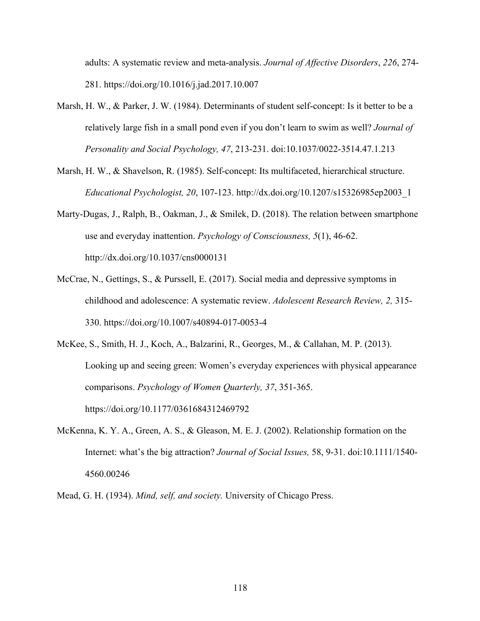adults: A systematic review and meta-analysis. *Journal of Affective Disorders*, *226*, 274- 281. https://doi.org/10.1016/j.jad.2017.10.007

- Marsh, H. W., & Parker, J. W. (1984). Determinants of student self-concept: Is it better to be a relatively large fish in a small pond even if you don't learn to swim as well? *Journal of Personality and Social Psychology, 47*, 213-231. doi:10.1037/0022-3514.47.1.213
- Marsh, H. W., & Shavelson, R. (1985). Self-concept: Its multifaceted, hierarchical structure. *Educational Psychologist, 20*, 107-123. http://dx.doi.org/10.1207/s15326985ep2003\_1
- Marty-Dugas, J., Ralph, B., Oakman, J., & Smilek, D. (2018). The relation between smartphone use and everyday inattention. *Psychology of Consciousness, 5*(1), 46-62. http://dx.doi.org/10.1037/cns0000131
- McCrae, N., Gettings, S., & Purssell, E. (2017). Social media and depressive symptoms in childhood and adolescence: A systematic review. *Adolescent Research Review, 2,* 315- 330. https://doi.org/10.1007/s40894-017-0053-4

McKee, S., Smith, H. J., Koch, A., Balzarini, R., Georges, M., & Callahan, M. P. (2013). Looking up and seeing green: Women's everyday experiences with physical appearance comparisons. *Psychology of Women Quarterly, 37*, 351-365. https://doi.org/10.1177/0361684312469792

McKenna, K. Y. A., Green, A. S., & Gleason, M. E. J. (2002). Relationship formation on the Internet: what's the big attraction? *Journal of Social Issues,* 58, 9-31. doi:10.1111/1540- 4560.00246

Mead, G. H. (1934). *Mind, self, and society.* University of Chicago Press.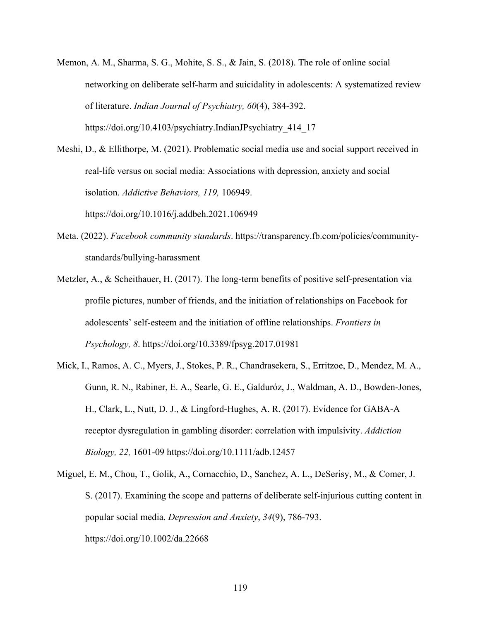Memon, A. M., Sharma, S. G., Mohite, S. S., & Jain, S. (2018). The role of online social networking on deliberate self-harm and suicidality in adolescents: A systematized review of literature. *Indian Journal of Psychiatry, 60*(4), 384-392. https://doi.org/10.4103/psychiatry.IndianJPsychiatry\_414\_17

Meshi, D., & Ellithorpe, M. (2021). Problematic social media use and social support received in real-life versus on social media: Associations with depression, anxiety and social isolation. *Addictive Behaviors, 119,* 106949. https://doi.org/10.1016/j.addbeh.2021.106949

- Meta. (2022). *Facebook community standards*. https://transparency.fb.com/policies/communitystandards/bullying-harassment
- Metzler, A., & Scheithauer, H. (2017). The long-term benefits of positive self-presentation via profile pictures, number of friends, and the initiation of relationships on Facebook for adolescents' self-esteem and the initiation of offline relationships. *Frontiers in Psychology, 8*. https://doi.org/10.3389/fpsyg.2017.01981
- Mick, I., Ramos, A. C., Myers, J., Stokes, P. R., Chandrasekera, S., Erritzoe, D., Mendez, M. A., Gunn, R. N., Rabiner, E. A., Searle, G. E., Galduróz, J., Waldman, A. D., Bowden-Jones, H., Clark, L., Nutt, D. J., & Lingford-Hughes, A. R. (2017). Evidence for GABA-A receptor dysregulation in gambling disorder: correlation with impulsivity. *Addiction Biology, 22,* 1601-09 https://doi.org/10.1111/adb.12457
- Miguel, E. M., Chou, T., Golik, A., Cornacchio, D., Sanchez, A. L., DeSerisy, M., & Comer, J. S. (2017). Examining the scope and patterns of deliberate self-injurious cutting content in popular social media. *Depression and Anxiety*, *34*(9), 786-793. https://doi.org/10.1002/da.22668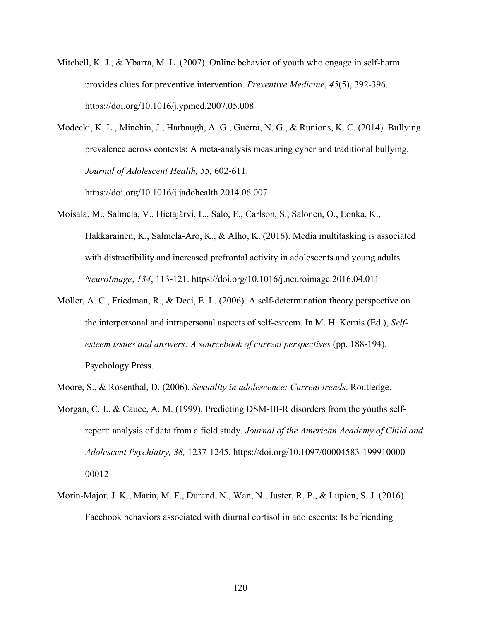- Mitchell, K. J., & Ybarra, M. L. (2007). Online behavior of youth who engage in self-harm provides clues for preventive intervention. *Preventive Medicine*, *45*(5), 392-396. https://doi.org/10.1016/j.ypmed.2007.05.008
- Modecki, K. L., Minchin, J., Harbaugh, A. G., Guerra, N. G., & Runions, K. C. (2014). Bullying prevalence across contexts: A meta-analysis measuring cyber and traditional bullying. *Journal of Adolescent Health, 55,* 602-611.

https://doi.org/10.1016/j.jadohealth.2014.06.007

- Moisala, M., Salmela, V., Hietajärvi, L., Salo, E., Carlson, S., Salonen, O., Lonka, K., Hakkarainen, K., Salmela-Aro, K., & Alho, K. (2016). Media multitasking is associated with distractibility and increased prefrontal activity in adolescents and young adults. *NeuroImage*, *134*, 113-121. https://doi.org/10.1016/j.neuroimage.2016.04.011
- Moller, A. C., Friedman, R., & Deci, E. L. (2006). A self-determination theory perspective on the interpersonal and intrapersonal aspects of self-esteem. In M. H. Kernis (Ed.), *Selfesteem issues and answers: A sourcebook of current perspectives* (pp. 188-194). Psychology Press.
- Moore, S., & Rosenthal, D. (2006). *Sexuality in adolescence: Current trends*. Routledge.
- Morgan, C. J., & Cauce, A. M. (1999). Predicting DSM-III-R disorders from the youths selfreport: analysis of data from a field study. *Journal of the American Academy of Child and Adolescent Psychiatry, 38,* 1237-1245. https://doi.org/10.1097/00004583-199910000- 00012
- Morin-Major, J. K., Marin, M. F., Durand, N., Wan, N., Juster, R. P., & Lupien, S. J. (2016). Facebook behaviors associated with diurnal cortisol in adolescents: Is befriending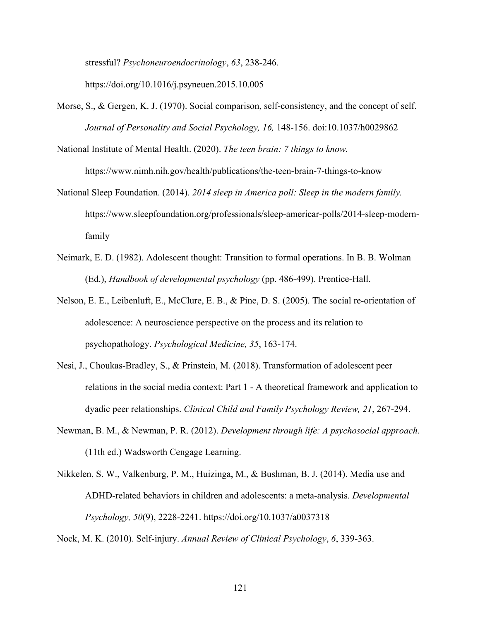stressful? *Psychoneuroendocrinology*, *63*, 238-246.

https://doi.org/10.1016/j.psyneuen.2015.10.005

- Morse, S., & Gergen, K. J. (1970). Social comparison, self-consistency, and the concept of self. *Journal of Personality and Social Psychology, 16,* 148-156. doi:10.1037/h0029862
- National Institute of Mental Health. (2020). *The teen brain: 7 things to know.* https://www.nimh.nih.gov/health/publications/the-teen-brain-7-things-to-know
- National Sleep Foundation. (2014). *2014 sleep in America poll: Sleep in the modern family.* https://www.sleepfoundation.org/professionals/sleep-americar-polls/2014-sleep-modernfamily
- Neimark, E. D. (1982). Adolescent thought: Transition to formal operations. In B. B. Wolman (Ed.), *Handbook of developmental psychology* (pp. 486-499). Prentice-Hall.
- Nelson, E. E., Leibenluft, E., McClure, E. B., & Pine, D. S. (2005). The social re-orientation of adolescence: A neuroscience perspective on the process and its relation to psychopathology. *Psychological Medicine, 35*, 163-174.
- Nesi, J., Choukas-Bradley, S., & Prinstein, M. (2018). Transformation of adolescent peer relations in the social media context: Part 1 - A theoretical framework and application to dyadic peer relationships. *Clinical Child and Family Psychology Review, 21*, 267-294.
- Newman, B. M., & Newman, P. R. (2012). *Development through life: A psychosocial approach*. (11th ed.) Wadsworth Cengage Learning.
- Nikkelen, S. W., Valkenburg, P. M., Huizinga, M., & Bushman, B. J. (2014). Media use and ADHD-related behaviors in children and adolescents: a meta-analysis. *Developmental Psychology, 50*(9), 2228-2241. https://doi.org/10.1037/a0037318

Nock, M. K. (2010). Self-injury. *Annual Review of Clinical Psychology*, *6*, 339-363.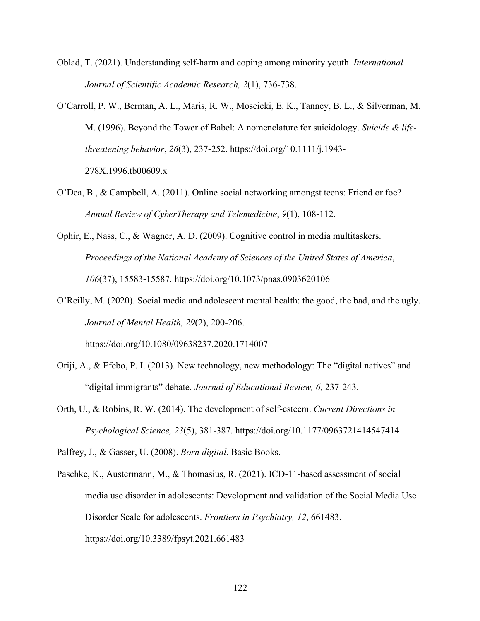- Oblad, T. (2021). Understanding self-harm and coping among minority youth. *International Journal of Scientific Academic Research, 2*(1), 736-738.
- O'Carroll, P. W., Berman, A. L., Maris, R. W., Moscicki, E. K., Tanney, B. L., & Silverman, M. M. (1996). Beyond the Tower of Babel: A nomenclature for suicidology. *Suicide & lifethreatening behavior*, *26*(3), 237-252. https://doi.org/10.1111/j.1943- 278X.1996.tb00609.x
- O'Dea, B., & Campbell, A. (2011). Online social networking amongst teens: Friend or foe? *Annual Review of CyberTherapy and Telemedicine*, *9*(1), 108-112.
- Ophir, E., Nass, C., & Wagner, A. D. (2009). Cognitive control in media multitaskers. *Proceedings of the National Academy of Sciences of the United States of America*, *106*(37), 15583-15587. https://doi.org/10.1073/pnas.0903620106
- O'Reilly, M. (2020). Social media and adolescent mental health: the good, the bad, and the ugly. *Journal of Mental Health, 29*(2), 200-206. https://doi.org/10.1080/09638237.2020.1714007
- Oriji, A., & Efebo, P. I. (2013). New technology, new methodology: The "digital natives" and "digital immigrants" debate. *Journal of Educational Review, 6,* 237-243.
- Orth, U., & Robins, R. W. (2014). The development of self-esteem. *Current Directions in Psychological Science, 23*(5), 381-387. https://doi.org/10.1177/0963721414547414

Palfrey, J., & Gasser, U. (2008). *Born digital*. Basic Books.

Paschke, K., Austermann, M., & Thomasius, R. (2021). ICD-11-based assessment of social media use disorder in adolescents: Development and validation of the Social Media Use Disorder Scale for adolescents. *Frontiers in Psychiatry, 12*, 661483. https://doi.org/10.3389/fpsyt.2021.661483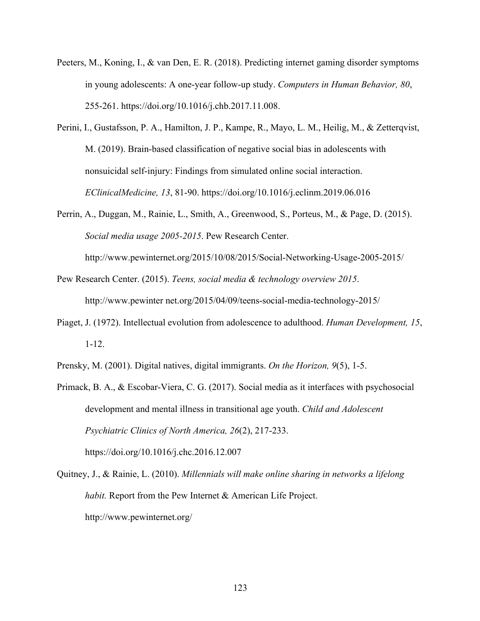- Peeters, M., Koning, I., & van Den, E. R. (2018). Predicting internet gaming disorder symptoms in young adolescents: A one-year follow-up study. *Computers in Human Behavior, 80*, 255-261. https://doi.org/10.1016/j.chb.2017.11.008.
- Perini, I., Gustafsson, P. A., Hamilton, J. P., Kampe, R., Mayo, L. M., Heilig, M., & Zetterqvist, M. (2019). Brain-based classification of negative social bias in adolescents with nonsuicidal self-injury: Findings from simulated online social interaction. *EClinicalMedicine, 13*, 81-90. https://doi.org/10.1016/j.eclinm.2019.06.016
- Perrin, A., Duggan, M., Rainie, L., Smith, A., Greenwood, S., Porteus, M., & Page, D. (2015). *Social media usage 2005-2015*. Pew Research Center.

http://www.pewinternet.org/2015/10/08/2015/Social-Networking-Usage-2005-2015/

Pew Research Center. (2015). *Teens, social media & technology overview 2015*. http://www.pewinter net.org/2015/04/09/teens-social-media-technology-2015/

- Piaget, J. (1972). Intellectual evolution from adolescence to adulthood. *Human Development, 15*, 1-12.
- Prensky, M. (2001). Digital natives, digital immigrants. *On the Horizon, 9*(5), 1-5.
- Primack, B. A., & Escobar-Viera, C. G. (2017). Social media as it interfaces with psychosocial development and mental illness in transitional age youth. *Child and Adolescent Psychiatric Clinics of North America, 26*(2), 217-233. https://doi.org/10.1016/j.chc.2016.12.007
- Quitney, J., & Rainie, L. (2010). *Millennials will make online sharing in networks a lifelong habit.* Report from the Pew Internet & American Life Project. http://www.pewinternet.org/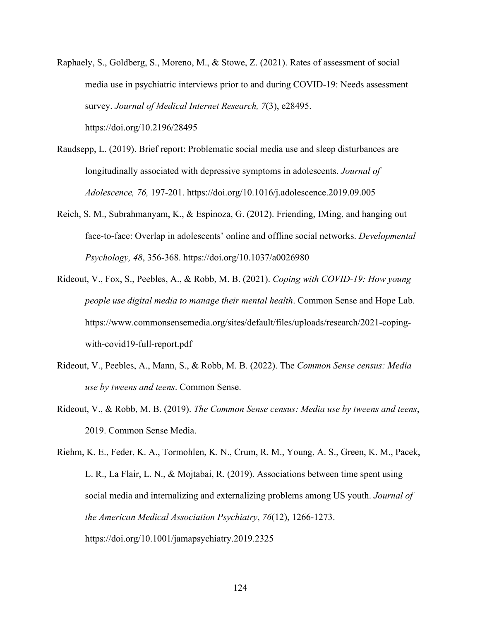Raphaely, S., Goldberg, S., Moreno, M., & Stowe, Z. (2021). Rates of assessment of social media use in psychiatric interviews prior to and during COVID-19: Needs assessment survey. *Journal of Medical Internet Research, 7*(3), e28495.

https://doi.org/10.2196/28495

- Raudsepp, L. (2019). Brief report: Problematic social media use and sleep disturbances are longitudinally associated with depressive symptoms in adolescents. *Journal of Adolescence, 76,* 197-201. https://doi.org/10.1016/j.adolescence.2019.09.005
- Reich, S. M., Subrahmanyam, K., & Espinoza, G. (2012). Friending, IMing, and hanging out face-to-face: Overlap in adolescents' online and offline social networks. *Developmental Psychology, 48*, 356-368. https://doi.org/10.1037/a0026980
- Rideout, V., Fox, S., Peebles, A., & Robb, M. B. (2021). *Coping with COVID-19: How young people use digital media to manage their mental health*. Common Sense and Hope Lab. https://www.commonsensemedia.org/sites/default/files/uploads/research/2021-copingwith-covid19-full-report.pdf
- Rideout, V., Peebles, A., Mann, S., & Robb, M. B. (2022). The *Common Sense census: Media use by tweens and teens*. Common Sense.
- Rideout, V., & Robb, M. B. (2019). *The Common Sense census: Media use by tweens and teens*, 2019. Common Sense Media.

Riehm, K. E., Feder, K. A., Tormohlen, K. N., Crum, R. M., Young, A. S., Green, K. M., Pacek, L. R., La Flair, L. N., & Mojtabai, R. (2019). Associations between time spent using social media and internalizing and externalizing problems among US youth. *Journal of the American Medical Association Psychiatry*, *76*(12), 1266-1273. https://doi.org/10.1001/jamapsychiatry.2019.2325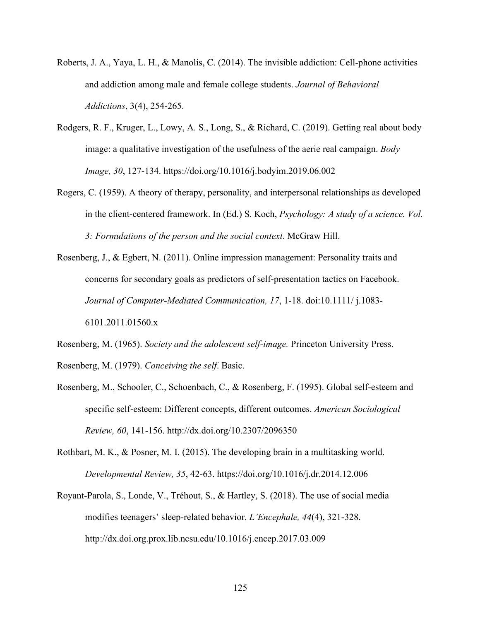- Roberts, J. A., Yaya, L. H., & Manolis, C. (2014). The invisible addiction: Cell-phone activities and addiction among male and female college students. *Journal of Behavioral Addictions*, 3(4), 254-265.
- Rodgers, R. F., Kruger, L., Lowy, A. S., Long, S., & Richard, C. (2019). Getting real about body image: a qualitative investigation of the usefulness of the aerie real campaign. *Body Image, 30*, 127-134. https://doi.org/10.1016/j.bodyim.2019.06.002
- Rogers, C. (1959). A theory of therapy, personality, and interpersonal relationships as developed in the client-centered framework. In (Ed.) S. Koch, *Psychology: A study of a science. Vol. 3: Formulations of the person and the social context*. McGraw Hill.
- Rosenberg, J., & Egbert, N. (2011). Online impression management: Personality traits and concerns for secondary goals as predictors of self-presentation tactics on Facebook. *Journal of Computer-Mediated Communication, 17*, 1-18. doi:10.1111/ j.1083- 6101.2011.01560.x
- Rosenberg, M. (1965). *Society and the adolescent self-image.* Princeton University Press. Rosenberg, M. (1979). *Conceiving the self*. Basic.
- Rosenberg, M., Schooler, C., Schoenbach, C., & Rosenberg, F. (1995). Global self-esteem and specific self-esteem: Different concepts, different outcomes. *American Sociological Review, 60*, 141-156. http://dx.doi.org/10.2307/2096350
- Rothbart, M. K., & Posner, M. I. (2015). The developing brain in a multitasking world. *Developmental Review, 35*, 42-63. https://doi.org/10.1016/j.dr.2014.12.006
- Royant-Parola, S., Londe, V., Tréhout, S., & Hartley, S. (2018). The use of social media modifies teenagers' sleep-related behavior. *L'Encephale, 44*(4), 321-328. http://dx.doi.org.prox.lib.ncsu.edu/10.1016/j.encep.2017.03.009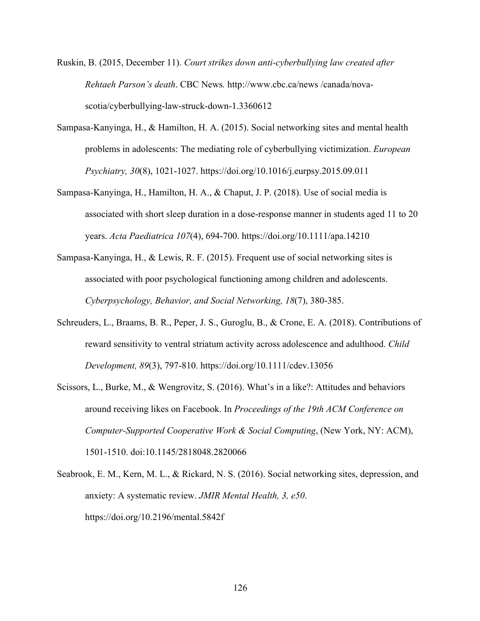- Ruskin, B. (2015, December 11). *Court strikes down anti-cyberbullying law created after Rehtaeh Parson's death*. CBC News*.* http://www.cbc.ca/news /canada/novascotia/cyberbullying-law-struck-down-1.3360612
- Sampasa-Kanyinga, H., & Hamilton, H. A. (2015). Social networking sites and mental health problems in adolescents: The mediating role of cyberbullying victimization. *European Psychiatry, 30*(8), 1021-1027. https://doi.org/10.1016/j.eurpsy.2015.09.011
- Sampasa-Kanyinga, H., Hamilton, H. A., & Chaput, J. P. (2018). Use of social media is associated with short sleep duration in a dose-response manner in students aged 11 to 20 years. *Acta Paediatrica 107*(4), 694-700. https://doi.org/10.1111/apa.14210
- Sampasa-Kanyinga, H., & Lewis, R. F. (2015). Frequent use of social networking sites is associated with poor psychological functioning among children and adolescents. *Cyberpsychology, Behavior, and Social Networking, 18*(7), 380-385.
- Schreuders, L., Braams, B. R., Peper, J. S., Guroglu, B., & Crone, E. A. (2018). Contributions of reward sensitivity to ventral striatum activity across adolescence and adulthood. *Child Development, 89*(3), 797-810. https://doi.org/10.1111/cdev.13056
- Scissors, L., Burke, M., & Wengrovitz, S. (2016). What's in a like?: Attitudes and behaviors around receiving likes on Facebook. In *Proceedings of the 19th ACM Conference on Computer-Supported Cooperative Work & Social Computing*, (New York, NY: ACM), 1501-1510. doi:10.1145/2818048.2820066
- Seabrook, E. M., Kern, M. L., & Rickard, N. S. (2016). Social networking sites, depression, and anxiety: A systematic review. *JMIR Mental Health, 3, e50*. https://doi.org/10.2196/mental.5842f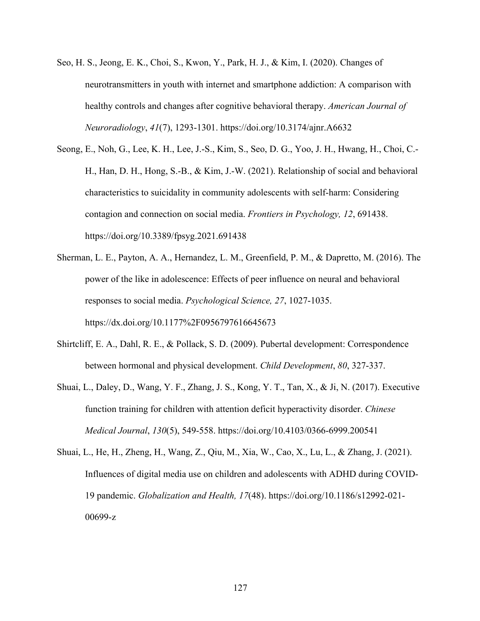- Seo, H. S., Jeong, E. K., Choi, S., Kwon, Y., Park, H. J., & Kim, I. (2020). Changes of neurotransmitters in youth with internet and smartphone addiction: A comparison with healthy controls and changes after cognitive behavioral therapy. *American Journal of Neuroradiology*, *41*(7), 1293-1301. https://doi.org/10.3174/ajnr.A6632
- Seong, E., Noh, G., Lee, K. H., Lee, J.-S., Kim, S., Seo, D. G., Yoo, J. H., Hwang, H., Choi, C.- H., Han, D. H., Hong, S.-B., & Kim, J.-W. (2021). Relationship of social and behavioral characteristics to suicidality in community adolescents with self-harm: Considering contagion and connection on social media. *Frontiers in Psychology, 12*, 691438. https://doi.org/10.3389/fpsyg.2021.691438
- Sherman, L. E., Payton, A. A., Hernandez, L. M., Greenfield, P. M., & Dapretto, M. (2016). The power of the like in adolescence: Effects of peer influence on neural and behavioral responses to social media. *Psychological Science, 27*, 1027-1035. https://dx.doi.org/10.1177%2F0956797616645673
- Shirtcliff, E. A., Dahl, R. E., & Pollack, S. D. (2009). Pubertal development: Correspondence between hormonal and physical development. *Child Development*, *80*, 327-337.
- Shuai, L., Daley, D., Wang, Y. F., Zhang, J. S., Kong, Y. T., Tan, X., & Ji, N. (2017). Executive function training for children with attention deficit hyperactivity disorder. *Chinese Medical Journal*, *130*(5), 549-558. https://doi.org/10.4103/0366-6999.200541
- Shuai, L., He, H., Zheng, H., Wang, Z., Qiu, M., Xia, W., Cao, X., Lu, L., & Zhang, J. (2021). Influences of digital media use on children and adolescents with ADHD during COVID-19 pandemic. *Globalization and Health, 17*(48). https://doi.org/10.1186/s12992-021- 00699-z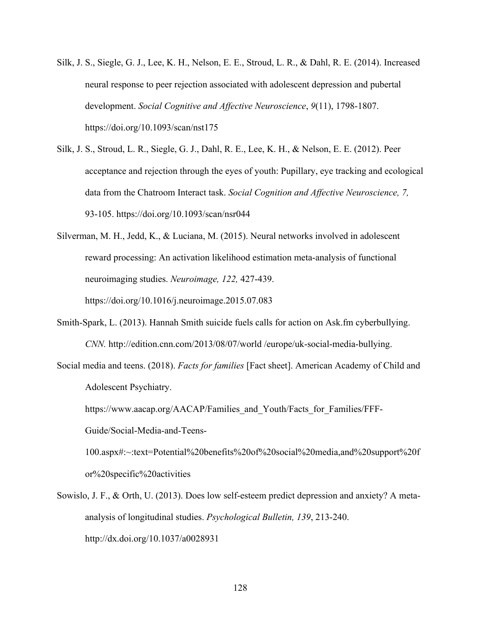- Silk, J. S., Siegle, G. J., Lee, K. H., Nelson, E. E., Stroud, L. R., & Dahl, R. E. (2014). Increased neural response to peer rejection associated with adolescent depression and pubertal development. *Social Cognitive and Affective Neuroscience*, *9*(11), 1798-1807. https://doi.org/10.1093/scan/nst175
- Silk, J. S., Stroud, L. R., Siegle, G. J., Dahl, R. E., Lee, K. H., & Nelson, E. E. (2012). Peer acceptance and rejection through the eyes of youth: Pupillary, eye tracking and ecological data from the Chatroom Interact task. *Social Cognition and Affective Neuroscience, 7,*  93-105. https://doi.org/10.1093/scan/nsr044
- Silverman, M. H., Jedd, K., & Luciana, M. (2015). Neural networks involved in adolescent reward processing: An activation likelihood estimation meta-analysis of functional neuroimaging studies. *Neuroimage, 122,* 427-439. https://doi.org/10.1016/j.neuroimage.2015.07.083
- Smith-Spark, L. (2013). Hannah Smith suicide fuels calls for action on Ask.fm cyberbullying. *CNN.* http://edition.cnn.com/2013/08/07/world /europe/uk-social-media-bullying.
- Social media and teens. (2018). *Facts for families* [Fact sheet]. American Academy of Child and Adolescent Psychiatry.

https://www.aacap.org/AACAP/Families and Youth/Facts for Families/FFF-Guide/Social-Media-and-Teens-

100.aspx#:~:text=Potential%20benefits%20of%20social%20media,and%20support%20f or%20specific%20activities

Sowislo, J. F., & Orth, U. (2013). Does low self-esteem predict depression and anxiety? A metaanalysis of longitudinal studies. *Psychological Bulletin, 139*, 213-240. http://dx.doi.org/10.1037/a0028931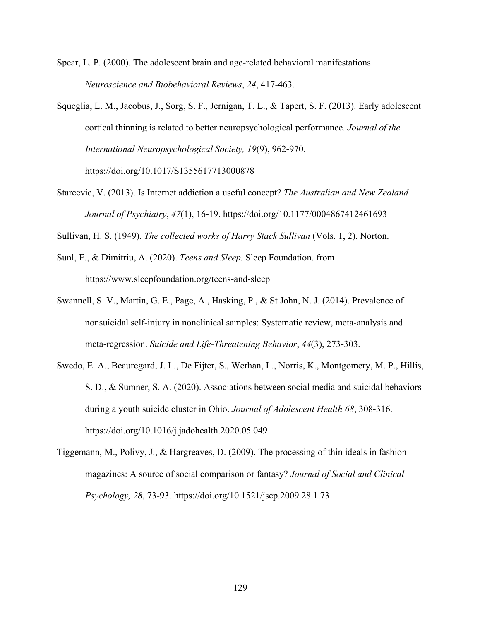Spear, L. P. (2000). The adolescent brain and age-related behavioral manifestations. *Neuroscience and Biobehavioral Reviews*, *24*, 417-463.

- Squeglia, L. M., Jacobus, J., Sorg, S. F., Jernigan, T. L., & Tapert, S. F. (2013). Early adolescent cortical thinning is related to better neuropsychological performance. *Journal of the International Neuropsychological Society, 19*(9), 962-970. https://doi.org/10.1017/S1355617713000878
- Starcevic, V. (2013). Is Internet addiction a useful concept? *The Australian and New Zealand Journal of Psychiatry*, *47*(1), 16-19. https://doi.org/10.1177/0004867412461693

Sullivan, H. S. (1949). *The collected works of Harry Stack Sullivan* (Vols. 1, 2). Norton.

- Sunl, E., & Dimitriu, A. (2020). *Teens and Sleep.* Sleep Foundation. from https://www.sleepfoundation.org/teens-and-sleep
- Swannell, S. V., Martin, G. E., Page, A., Hasking, P., & St John, N. J. (2014). Prevalence of nonsuicidal self‐injury in nonclinical samples: Systematic review, meta‐analysis and meta‐regression. *Suicide and Life‐Threatening Behavior*, *44*(3), 273-303.
- Swedo, E. A., Beauregard, J. L., De Fijter, S., Werhan, L., Norris, K., Montgomery, M. P., Hillis, S. D., & Sumner, S. A. (2020). Associations between social media and suicidal behaviors during a youth suicide cluster in Ohio. *Journal of Adolescent Health 68*, 308-316. https://doi.org/10.1016/j.jadohealth.2020.05.049
- Tiggemann, M., Polivy, J., & Hargreaves, D. (2009). The processing of thin ideals in fashion magazines: A source of social comparison or fantasy? *Journal of Social and Clinical Psychology, 28*, 73-93. https://doi.org/10.1521/jscp.2009.28.1.73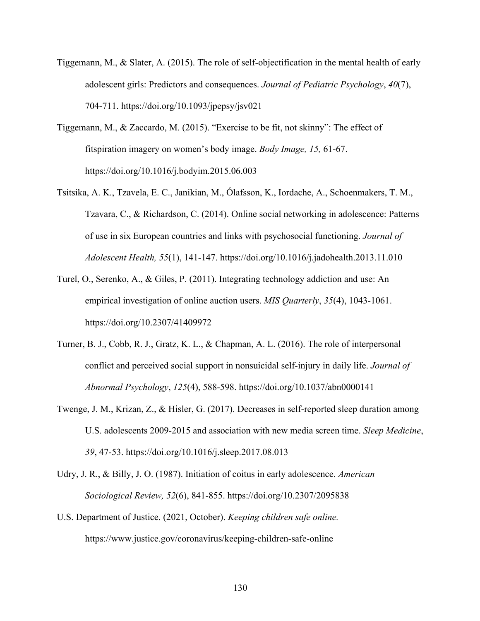- Tiggemann, M., & Slater, A. (2015). The role of self-objectification in the mental health of early adolescent girls: Predictors and consequences. *Journal of Pediatric Psychology*, *40*(7), 704-711. https://doi.org/10.1093/jpepsy/jsv021
- Tiggemann, M., & Zaccardo, M. (2015). "Exercise to be fit, not skinny": The effect of fitspiration imagery on women's body image. *Body Image, 15,* 61-67. https://doi.org/10.1016/j.bodyim.2015.06.003
- Tsitsika, A. K., Tzavela, E. C., Janikian, M., Ólafsson, K., Iordache, A., Schoenmakers, T. M., Tzavara, C., & Richardson, C. (2014). Online social networking in adolescence: Patterns of use in six European countries and links with psychosocial functioning. *Journal of Adolescent Health, 55*(1), 141-147. https://doi.org/10.1016/j.jadohealth.2013.11.010
- Turel, O., Serenko, A., & Giles, P. (2011). Integrating technology addiction and use: An empirical investigation of online auction users. *MIS Quarterly*, *35*(4), 1043-1061. https://doi.org/10.2307/41409972
- Turner, B. J., Cobb, R. J., Gratz, K. L., & Chapman, A. L. (2016). The role of interpersonal conflict and perceived social support in nonsuicidal self-injury in daily life. *Journal of Abnormal Psychology*, *125*(4), 588-598. https://doi.org/10.1037/abn0000141
- Twenge, J. M., Krizan, Z., & Hisler, G. (2017). Decreases in self-reported sleep duration among U.S. adolescents 2009-2015 and association with new media screen time. *Sleep Medicine*, *39*, 47-53. https://doi.org/10.1016/j.sleep.2017.08.013
- Udry, J. R., & Billy, J. O. (1987). Initiation of coitus in early adolescence. *American Sociological Review, 52*(6), 841-855. https://doi.org/10.2307/2095838
- U.S. Department of Justice. (2021, October). *Keeping children safe online.*  https://www.justice.gov/coronavirus/keeping-children-safe-online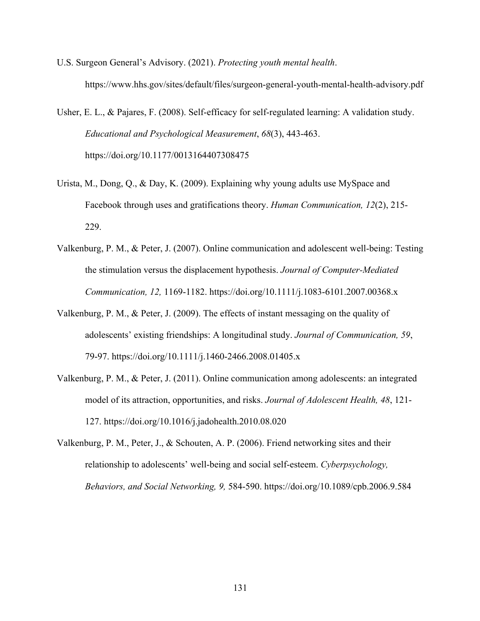- U.S. Surgeon General's Advisory. (2021). *Protecting youth mental health*. https://www.hhs.gov/sites/default/files/surgeon-general-youth-mental-health-advisory.pdf
- Usher, E. L., & Pajares, F. (2008). Self-efficacy for self-regulated learning: A validation study. *Educational and Psychological Measurement*, *68*(3), 443-463. https://doi.org/10.1177/0013164407308475
- Urista, M., Dong, Q., & Day, K. (2009). Explaining why young adults use MySpace and Facebook through uses and gratifications theory. *Human Communication, 12*(2), 215- 229.
- Valkenburg, P. M., & Peter, J. (2007). Online communication and adolescent well-being: Testing the stimulation versus the displacement hypothesis. *Journal of Computer-Mediated Communication, 12,* 1169-1182. https://doi.org/10.1111/j.1083-6101.2007.00368.x
- Valkenburg, P. M., & Peter, J. (2009). The effects of instant messaging on the quality of adolescents' existing friendships: A longitudinal study. *Journal of Communication, 59*, 79-97. https://doi.org/10.1111/j.1460-2466.2008.01405.x
- Valkenburg, P. M., & Peter, J. (2011). Online communication among adolescents: an integrated model of its attraction, opportunities, and risks. *Journal of Adolescent Health, 48*, 121- 127. https://doi.org/10.1016/j.jadohealth.2010.08.020
- Valkenburg, P. M., Peter, J., & Schouten, A. P. (2006). Friend networking sites and their relationship to adolescents' well-being and social self-esteem. *Cyberpsychology, Behaviors, and Social Networking, 9,* 584-590. https://doi.org/10.1089/cpb.2006.9.584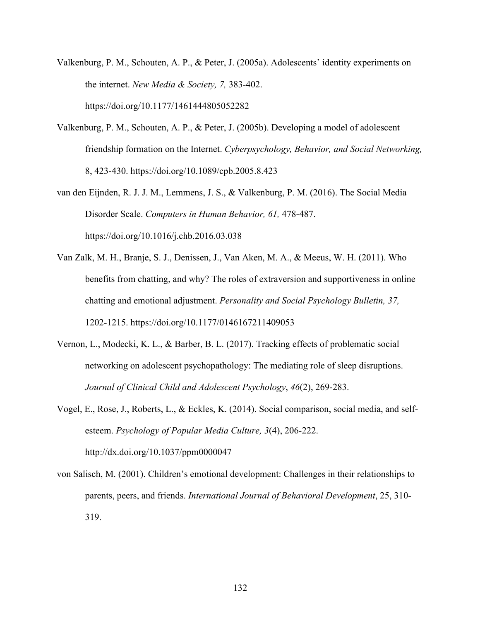- Valkenburg, P. M., Schouten, A. P., & Peter, J. (2005a). Adolescents' identity experiments on the internet. *New Media & Society, 7,* 383-402. https://doi.org/10.1177/1461444805052282
- Valkenburg, P. M., Schouten, A. P., & Peter, J. (2005b). Developing a model of adolescent friendship formation on the Internet. *Cyberpsychology, Behavior, and Social Networking,* 8, 423-430. https://doi.org/10.1089/cpb.2005.8.423
- van den Eijnden, R. J. J. M., Lemmens, J. S., & Valkenburg, P. M. (2016). The Social Media Disorder Scale. *Computers in Human Behavior, 61,* 478-487. https://doi.org/10.1016/j.chb.2016.03.038
- Van Zalk, M. H., Branje, S. J., Denissen, J., Van Aken, M. A., & Meeus, W. H. (2011). Who benefits from chatting, and why? The roles of extraversion and supportiveness in online chatting and emotional adjustment. *Personality and Social Psychology Bulletin, 37,* 1202-1215. https://doi.org/10.1177/0146167211409053
- Vernon, L., Modecki, K. L., & Barber, B. L. (2017). Tracking effects of problematic social networking on adolescent psychopathology: The mediating role of sleep disruptions. *Journal of Clinical Child and Adolescent Psychology*, *46*(2), 269-283.
- Vogel, E., Rose, J., Roberts, L., & Eckles, K. (2014). Social comparison, social media, and selfesteem. *Psychology of Popular Media Culture, 3*(4), 206-222. http://dx.doi.org/10.1037/ppm0000047
- von Salisch, M. (2001). Children's emotional development: Challenges in their relationships to parents, peers, and friends. *International Journal of Behavioral Development*, 25, 310- 319.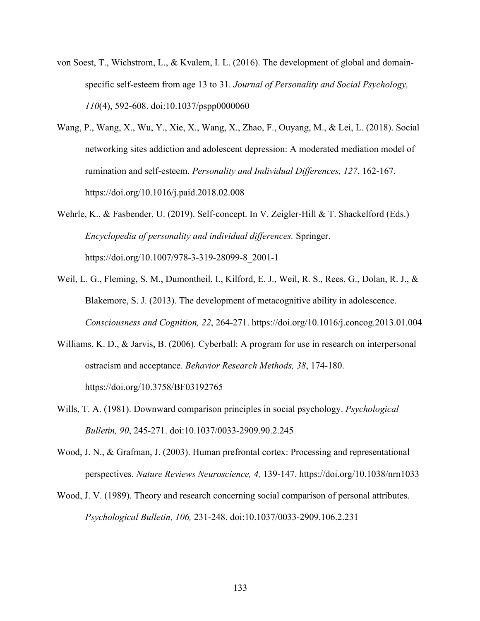- von Soest, T., Wichstrom, L., & Kvalem, I. L. (2016). The development of global and domainspecific self-esteem from age 13 to 31. *Journal of Personality and Social Psychology, 110*(4), 592-608. doi:10.1037/pspp0000060
- Wang, P., Wang, X., Wu, Y., Xie, X., Wang, X., Zhao, F., Ouyang, M., & Lei, L. (2018). Social networking sites addiction and adolescent depression: A moderated mediation model of rumination and self-esteem. *Personality and Individual Differences, 127*, 162-167. https://doi.org/10.1016/j.paid.2018.02.008
- Wehrle, K., & Fasbender, U. (2019). Self-concept. In V. Zeigler-Hill & T. Shackelford (Eds.) *Encyclopedia of personality and individual differences.* Springer. https://doi.org/10.1007/978-3-319-28099-8\_2001-1
- Weil, L. G., Fleming, S. M., Dumontheil, I., Kilford, E. J., Weil, R. S., Rees, G., Dolan, R. J., & Blakemore, S. J. (2013). The development of metacognitive ability in adolescence. *Consciousness and Cognition, 22*, 264-271. https://doi.org/10.1016/j.concog.2013.01.004
- Williams, K. D., & Jarvis, B. (2006). Cyberball: A program for use in research on interpersonal ostracism and acceptance. *Behavior Research Methods, 38*, 174-180. https://doi.org/10.3758/BF03192765
- Wills, T. A. (1981). Downward comparison principles in social psychology. *Psychological Bulletin, 90*, 245-271. doi:10.1037/0033-2909.90.2.245
- Wood, J. N., & Grafman, J. (2003). Human prefrontal cortex: Processing and representational perspectives. *Nature Reviews Neuroscience, 4,* 139-147. https://doi.org/10.1038/nrn1033
- Wood, J. V. (1989). Theory and research concerning social comparison of personal attributes. *Psychological Bulletin, 106,* 231-248. doi:10.1037/0033-2909.106.2.231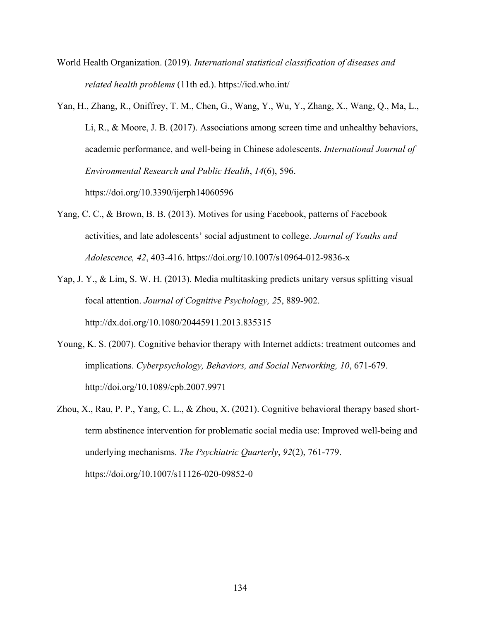- World Health Organization. (2019). *International statistical classification of diseases and related health problems* (11th ed.). https://icd.who.int/
- Yan, H., Zhang, R., Oniffrey, T. M., Chen, G., Wang, Y., Wu, Y., Zhang, X., Wang, Q., Ma, L., Li, R., & Moore, J. B. (2017). Associations among screen time and unhealthy behaviors, academic performance, and well-being in Chinese adolescents. *International Journal of Environmental Research and Public Health*, *14*(6), 596. https://doi.org/10.3390/ijerph14060596
- Yang, C. C., & Brown, B. B. (2013). Motives for using Facebook, patterns of Facebook activities, and late adolescents' social adjustment to college. *Journal of Youths and Adolescence, 42*, 403-416. https://doi.org/10.1007/s10964-012-9836-x
- Yap, J. Y., & Lim, S. W. H. (2013). Media multitasking predicts unitary versus splitting visual focal attention. *Journal of Cognitive Psychology, 2*5, 889-902. http://dx.doi.org/10.1080/20445911.2013.835315
- Young, K. S. (2007). Cognitive behavior therapy with Internet addicts: treatment outcomes and implications. *Cyberpsychology, Behaviors, and Social Networking, 10*, 671-679. http://doi.org/10.1089/cpb.2007.9971
- Zhou, X., Rau, P. P., Yang, C. L., & Zhou, X. (2021). Cognitive behavioral therapy based shortterm abstinence intervention for problematic social media use: Improved well-being and underlying mechanisms. *The Psychiatric Quarterly*, *92*(2), 761-779. https://doi.org/10.1007/s11126-020-09852-0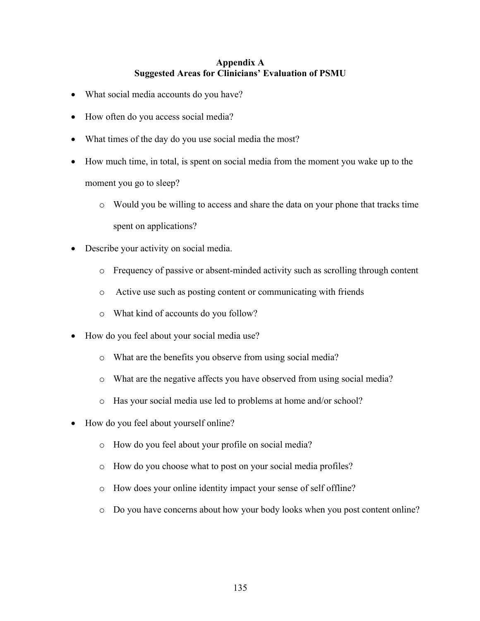## **Appendix A Suggested Areas for Clinicians' Evaluation of PSMU**

- What social media accounts do you have?
- How often do you access social media?
- What times of the day do you use social media the most?
- How much time, in total, is spent on social media from the moment you wake up to the moment you go to sleep?
	- o Would you be willing to access and share the data on your phone that tracks time spent on applications?
- Describe your activity on social media.
	- o Frequency of passive or absent-minded activity such as scrolling through content
	- o Active use such as posting content or communicating with friends
	- o What kind of accounts do you follow?
- How do you feel about your social media use?
	- o What are the benefits you observe from using social media?
	- o What are the negative affects you have observed from using social media?
	- o Has your social media use led to problems at home and/or school?
- How do you feel about yourself online?
	- o How do you feel about your profile on social media?
	- o How do you choose what to post on your social media profiles?
	- o How does your online identity impact your sense of self offline?
	- o Do you have concerns about how your body looks when you post content online?